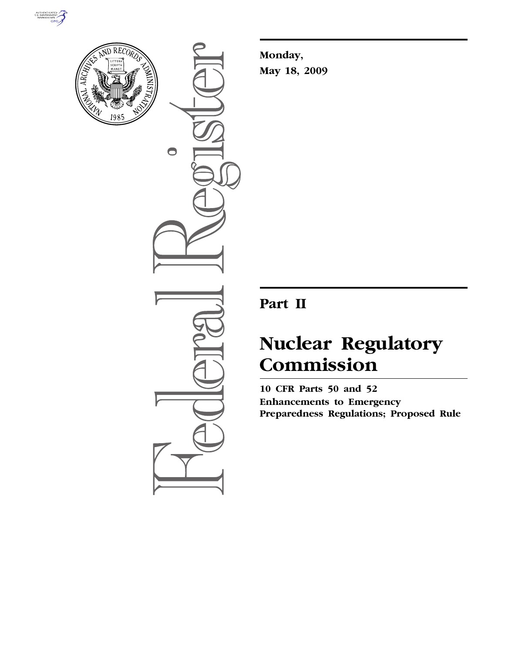



 $\bullet$ 

**Monday, May 18, 2009** 

# **Part II**

# **Nuclear Regulatory Commission**

**10 CFR Parts 50 and 52 Enhancements to Emergency Preparedness Regulations; Proposed Rule**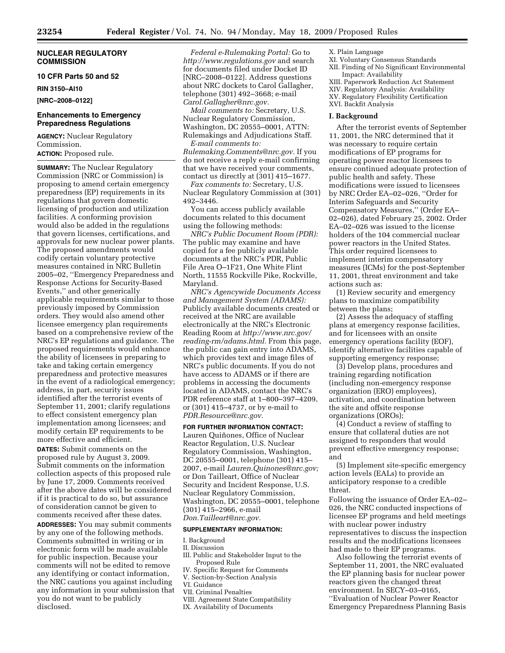# **NUCLEAR REGULATORY COMMISSION**

# **10 CFR Parts 50 and 52**

**RIN 3150–AI10** 

**[NRC–2008–0122]** 

# **Enhancements to Emergency Preparedness Regulations**

**AGENCY:** Nuclear Regulatory Commission.

**ACTION:** Proposed rule.

**SUMMARY:** The Nuclear Regulatory Commission (NRC or Commission) is proposing to amend certain emergency preparedness (EP) requirements in its regulations that govern domestic licensing of production and utilization facilities. A conforming provision would also be added in the regulations that govern licenses, certifications, and approvals for new nuclear power plants. The proposed amendments would codify certain voluntary protective measures contained in NRC Bulletin 2005–02, ''Emergency Preparedness and Response Actions for Security-Based Events,'' and other generically applicable requirements similar to those previously imposed by Commission orders. They would also amend other licensee emergency plan requirements based on a comprehensive review of the NRC's EP regulations and guidance. The proposed requirements would enhance the ability of licensees in preparing to take and taking certain emergency preparedness and protective measures in the event of a radiological emergency; address, in part, security issues identified after the terrorist events of September 11, 2001; clarify regulations to effect consistent emergency plan implementation among licensees; and modify certain EP requirements to be more effective and efficient.

**DATES:** Submit comments on the proposed rule by August 3, 2009. Submit comments on the information collection aspects of this proposed rule by June 17, 2009. Comments received after the above dates will be considered if it is practical to do so, but assurance of consideration cannot be given to comments received after these dates. **ADDRESSES:** You may submit comments by any one of the following methods. Comments submitted in writing or in electronic form will be made available for public inspection. Because your comments will not be edited to remove any identifying or contact information, the NRC cautions you against including any information in your submission that you do not want to be publicly disclosed.

*Federal e-Rulemaking Portal:* Go to *http://www.regulations.gov* and search for documents filed under Docket ID [NRC–2008–0122]. Address questions about NRC dockets to Carol Gallagher, telephone (301) 492–3668; e-mail *Carol.Gallagher@nrc.gov.* 

*Mail comments to:* Secretary, U.S. Nuclear Regulatory Commission, Washington, DC 20555–0001, ATTN: Rulemakings and Adjudications Staff.

*E-mail comments to: Rulemaking.Comments@nrc.gov.* If you do not receive a reply e-mail confirming that we have received your comments, contact us directly at (301) 415–1677.

*Fax comments to:* Secretary, U.S. Nuclear Regulatory Commission at (301) 492–3446.

You can access publicly available documents related to this document using the following methods:

*NRC's Public Document Room (PDR):*  The public may examine and have copied for a fee publicly available documents at the NRC's PDR, Public File Area O–1F21, One White Flint North, 11555 Rockville Pike, Rockville, Maryland.

*NRC's Agencywide Documents Access and Management System (ADAMS):*  Publicly available documents created or received at the NRC are available electronically at the NRC's Electronic Reading Room at *http://www.nrc.gov/ reading-rm/adams.html.* From this page, the public can gain entry into ADAMS, which provides text and image files of NRC's public documents. If you do not have access to ADAMS or if there are problems in accessing the documents located in ADAMS, contact the NRC's PDR reference staff at 1–800–397–4209, or (301) 415–4737, or by e-mail to *PDR.Resource@nrc.gov.* 

**FOR FURTHER INFORMATION CONTACT:**  Lauren Quiñones, Office of Nuclear Reactor Regulation, U.S. Nuclear Regulatory Commission, Washington, DC 20555–0001, telephone (301) 415– 2007, e-mail *Lauren.Quinones@nrc.gov;*  or Don Tailleart, Office of Nuclear Security and Incident Response, U.S. Nuclear Regulatory Commission, Washington, DC 20555–0001, telephone (301) 415–2966, e-mail *Don.Tailleart@nrc.gov.* 

#### **SUPPLEMENTARY INFORMATION:**

#### I. Background

#### II. Discussion

- III. Public and Stakeholder Input to the Proposed Rule
- IV. Specific Request for Comments
- V. Section-by-Section Analysis
- VI. Guidance
- VII. Criminal Penalties
- VIII. Agreement State Compatibility
- IX. Availability of Documents
- X. Plain Language
- XI. Voluntary Consensus Standards
- XII. Finding of No Significant Environmental Impact: Availability
- XIII. Paperwork Reduction Act Statement
- XIV. Regulatory Analysis: Availability
- XV. Regulatory Flexibility Certification
- XVI. Backfit Analysis

# **I. Background**

After the terrorist events of September 11, 2001, the NRC determined that it was necessary to require certain modifications of EP programs for operating power reactor licensees to ensure continued adequate protection of public health and safety. These modifications were issued to licensees by NRC Order EA–02–026, ''Order for Interim Safeguards and Security Compensatory Measures,'' (Order EA– 02–026), dated February 25, 2002. Order EA–02–026 was issued to the license holders of the 104 commercial nuclear power reactors in the United States. This order required licensees to implement interim compensatory measures (ICMs) for the post-September 11, 2001, threat environment and take actions such as:

(1) Review security and emergency plans to maximize compatibility between the plans;

(2) Assess the adequacy of staffing plans at emergency response facilities, and for licensees with an onsite emergency operations facility (EOF), identify alternative facilities capable of supporting emergency response;

(3) Develop plans, procedures and training regarding notification (including non-emergency response organization (ERO) employees), activation, and coordination between the site and offsite response organizations (OROs);

(4) Conduct a review of staffing to ensure that collateral duties are not assigned to responders that would prevent effective emergency response; and

(5) Implement site-specific emergency action levels (EALs) to provide an anticipatory response to a credible threat.

Following the issuance of Order EA–02– 026, the NRC conducted inspections of licensee EP programs and held meetings with nuclear power industry representatives to discuss the inspection results and the modifications licensees had made to their EP programs.

Also following the terrorist events of September 11, 2001, the NRC evaluated the EP planning basis for nuclear power reactors given the changed threat environment. In SECY–03–0165, ''Evaluation of Nuclear Power Reactor Emergency Preparedness Planning Basis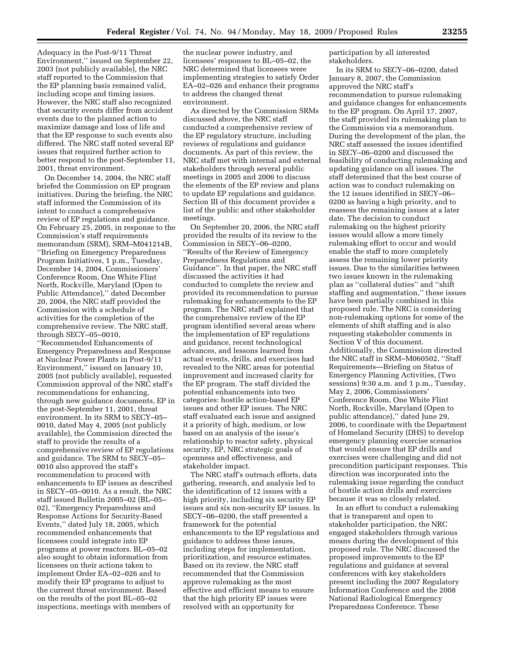Adequacy in the Post-9/11 Threat Environment,'' issued on September 22, 2003 (not publicly available), the NRC staff reported to the Commission that the EP planning basis remained valid, including scope and timing issues. However, the NRC staff also recognized that security events differ from accident events due to the planned action to maximize damage and loss of life and that the EP response to such events also differed. The NRC staff noted several EP issues that required further action to better respond to the post-September 11, 2001, threat environment.

On December 14, 2004, the NRC staff briefed the Commission on EP program initiatives. During the briefing, the NRC staff informed the Commission of its intent to conduct a comprehensive review of EP regulations and guidance. On February 25, 2005, in response to the Commission's staff requirements memorandum (SRM), SRM–M041214B, ''Briefing on Emergency Preparedness Program Initiatives, 1 p.m., Tuesday, December 14, 2004, Commissioners' Conference Room, One White Flint North, Rockville, Maryland (Open to Public Attendance),'' dated December 20, 2004, the NRC staff provided the Commission with a schedule of activities for the completion of the comprehensive review. The NRC staff, through SECY–05–0010,

''Recommended Enhancements of Emergency Preparedness and Response at Nuclear Power Plants in Post-9/11 Environment,'' issued on January 10, 2005 (not publicly available), requested Commission approval of the NRC staff's recommendations for enhancing, through new guidance documents, EP in the post-September 11, 2001, threat environment. In its SRM to SECY–05– 0010, dated May 4, 2005 (not publicly available), the Commission directed the staff to provide the results of a comprehensive review of EP regulations and guidance. The SRM to SECY–05– 0010 also approved the staff's recommendation to proceed with enhancements to EP issues as described in SECY–05–0010. As a result, the NRC staff issued Bulletin 2005–02 (BL–05– 02), ''Emergency Preparedness and Response Actions for Security-Based Events,'' dated July 18, 2005, which recommended enhancements that licensees could integrate into EP programs at power reactors. BL–05–02 also sought to obtain information from licensees on their actions taken to implement Order EA–02–026 and to modify their EP programs to adjust to the current threat environment. Based on the results of the post BL–05–02 inspections, meetings with members of

the nuclear power industry, and licensees' responses to BL–05–02, the NRC determined that licensees were implementing strategies to satisfy Order EA–02–026 and enhance their programs to address the changed threat environment.

As directed by the Commission SRMs discussed above, the NRC staff conducted a comprehensive review of the EP regulatory structure, including reviews of regulations and guidance documents. As part of this review, the NRC staff met with internal and external stakeholders through several public meetings in 2005 and 2006 to discuss the elements of the EP review and plans to update EP regulations and guidance. Section III of this document provides a list of the public and other stakeholder meetings.

On September 20, 2006, the NRC staff provided the results of its review to the Commission in SECY–06–0200, ''Results of the Review of Emergency Preparedness Regulations and Guidance''. In that paper, the NRC staff discussed the activities it had conducted to complete the review and provided its recommendation to pursue rulemaking for enhancements to the EP program. The NRC staff explained that the comprehensive review of the EP program identified several areas where the implementation of EP regulations and guidance, recent technological advances, and lessons learned from actual events, drills, and exercises had revealed to the NRC areas for potential improvement and increased clarity for the EP program. The staff divided the potential enhancements into two categories: hostile action-based EP issues and other EP issues. The NRC staff evaluated each issue and assigned it a priority of high, medium, or low based on an analysis of the issue's relationship to reactor safety, physical security, EP, NRC strategic goals of openness and effectiveness, and stakeholder impact.

The NRC staff's outreach efforts, data gathering, research, and analysis led to the identification of 12 issues with a high priority, including six security EP issues and six non-security EP issues. In SECY–06–0200, the staff presented a framework for the potential enhancements to the EP regulations and guidance to address these issues, including steps for implementation, prioritization, and resource estimates. Based on its review, the NRC staff recommended that the Commission approve rulemaking as the most effective and efficient means to ensure that the high priority EP issues were resolved with an opportunity for

participation by all interested stakeholders.

In its SRM to SECY–06–0200, dated January 8, 2007, the Commission approved the NRC staff's recommendation to pursue rulemaking and guidance changes for enhancements to the EP program. On April 17, 2007, the staff provided its rulemaking plan to the Commission via a memorandum. During the development of the plan, the NRC staff assessed the issues identified in SECY–06–0200 and discussed the feasibility of conducting rulemaking and updating guidance on all issues. The staff determined that the best course of action was to conduct rulemaking on the 12 issues identified in SECY–06– 0200 as having a high priority, and to reassess the remaining issues at a later date. The decision to conduct rulemaking on the highest priority issues would allow a more timely rulemaking effort to occur and would enable the staff to more completely assess the remaining lower priority issues. Due to the similarities between two issues known in the rulemaking plan as ''collateral duties'' and ''shift staffing and augmentation,'' these issues have been partially combined in this proposed rule. The NRC is considering non-rulemaking options for some of the elements of shift staffing and is also requesting stakeholder comments in Section V of this document. Additionally, the Commission directed the NRC staff in SRM–M060502, ''Staff Requirements—Briefing on Status of Emergency Planning Activities, (Two sessions) 9:30 a.m. and 1 p.m., Tuesday, May 2, 2006, Commissioners' Conference Room, One White Flint North, Rockville, Maryland (Open to public attendance)," dated June 29, 2006, to coordinate with the Department of Homeland Security (DHS) to develop emergency planning exercise scenarios that would ensure that EP drills and exercises were challenging and did not precondition participant responses. This direction was incorporated into the rulemaking issue regarding the conduct of hostile action drills and exercises because it was so closely related.

In an effort to conduct a rulemaking that is transparent and open to stakeholder participation, the NRC engaged stakeholders through various means during the development of this proposed rule. The NRC discussed the proposed improvements to the EP regulations and guidance at several conferences with key stakeholders present including the 2007 Regulatory Information Conference and the 2008 National Radiological Emergency Preparedness Conference. These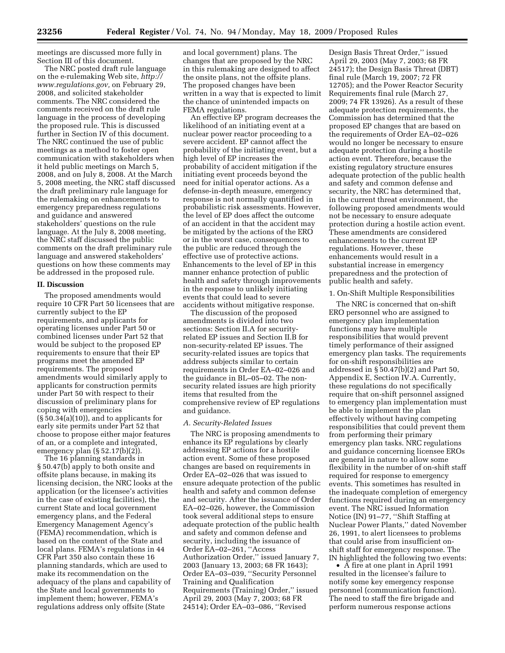meetings are discussed more fully in Section III of this document.

The NRC posted draft rule language on the e-rulemaking Web site, *http:// www.regulations.gov,* on February 29, 2008, and solicited stakeholder comments. The NRC considered the comments received on the draft rule language in the process of developing the proposed rule. This is discussed further in Section IV of this document. The NRC continued the use of public meetings as a method to foster open communication with stakeholders when it held public meetings on March 5, 2008, and on July 8, 2008. At the March 5, 2008 meeting, the NRC staff discussed the draft preliminary rule language for the rulemaking on enhancements to emergency preparedness regulations and guidance and answered stakeholders' questions on the rule language. At the July 8, 2008 meeting, the NRC staff discussed the public comments on the draft preliminary rule language and answered stakeholders' questions on how these comments may be addressed in the proposed rule.

# **II. Discussion**

The proposed amendments would require 10 CFR Part 50 licensees that are currently subject to the EP requirements, and applicants for operating licenses under Part 50 or combined licenses under Part 52 that would be subject to the proposed EP requirements to ensure that their EP programs meet the amended EP requirements. The proposed amendments would similarly apply to applicants for construction permits under Part 50 with respect to their discussion of preliminary plans for coping with emergencies  $(\S 50.34(a)(10))$ , and to applicants for early site permits under Part 52 that choose to propose either major features of an, or a complete and integrated, emergency plan  $(\S 52.17(b)(2))$ .

The 16 planning standards in § 50.47(b) apply to both onsite and offsite plans because, in making its licensing decision, the NRC looks at the application (or the licensee's activities in the case of existing facilities), the current State and local government emergency plans, and the Federal Emergency Management Agency's (FEMA) recommendation, which is based on the content of the State and local plans. FEMA's regulations in 44 CFR Part 350 also contain these 16 planning standards, which are used to make its recommendation on the adequacy of the plans and capability of the State and local governments to implement them; however, FEMA's regulations address only offsite (State

and local government) plans. The changes that are proposed by the NRC in this rulemaking are designed to affect the onsite plans, not the offsite plans. The proposed changes have been written in a way that is expected to limit the chance of unintended impacts on FEMA regulations.

An effective EP program decreases the likelihood of an initiating event at a nuclear power reactor proceeding to a severe accident. EP cannot affect the probability of the initiating event, but a high level of EP increases the probability of accident mitigation if the initiating event proceeds beyond the need for initial operator actions. As a defense-in-depth measure, emergency response is not normally quantified in probabilistic risk assessments. However, the level of EP does affect the outcome of an accident in that the accident may be mitigated by the actions of the ERO or in the worst case, consequences to the public are reduced through the effective use of protective actions. Enhancements to the level of EP in this manner enhance protection of public health and safety through improvements in the response to unlikely initiating events that could lead to severe accidents without mitigative response.

The discussion of the proposed amendments is divided into two sections: Section II.A for securityrelated EP issues and Section II.B for non-security-related EP issues. The security-related issues are topics that address subjects similar to certain requirements in Order EA–02–026 and the guidance in BL–05–02. The nonsecurity related issues are high priority items that resulted from the comprehensive review of EP regulations and guidance.

#### *A. Security-Related Issues*

The NRC is proposing amendments to enhance its EP regulations by clearly addressing EP actions for a hostile action event. Some of these proposed changes are based on requirements in Order EA–02–026 that was issued to ensure adequate protection of the public health and safety and common defense and security. After the issuance of Order EA–02–026, however, the Commission took several additional steps to ensure adequate protection of the public health and safety and common defense and security, including the issuance of Order EA–02–261, ''Access Authorization Order,'' issued January 7, 2003 (January 13, 2003; 68 FR 1643); Order EA–03–039, ''Security Personnel Training and Qualification Requirements (Training) Order,'' issued April 29, 2003 (May 7, 2003; 68 FR 24514); Order EA–03–086, ''Revised

Design Basis Threat Order,'' issued April 29, 2003 (May 7, 2003; 68 FR 24517); the Design Basis Threat (DBT) final rule (March 19, 2007; 72 FR 12705); and the Power Reactor Security Requirements final rule (March 27, 2009; 74 FR 13926). As a result of these adequate protection requirements, the Commission has determined that the proposed EP changes that are based on the requirements of Order EA–02–026 would no longer be necessary to ensure adequate protection during a hostile action event. Therefore, because the existing regulatory structure ensures adequate protection of the public health and safety and common defense and security, the NRC has determined that, in the current threat environment, the following proposed amendments would not be necessary to ensure adequate protection during a hostile action event. These amendments are considered enhancements to the current EP regulations. However, these enhancements would result in a substantial increase in emergency preparedness and the protection of public health and safety.

#### 1. On-Shift Multiple Responsibilities

The NRC is concerned that on-shift ERO personnel who are assigned to emergency plan implementation functions may have multiple responsibilities that would prevent timely performance of their assigned emergency plan tasks. The requirements for on-shift responsibilities are addressed in § 50.47(b)(2) and Part 50, Appendix E, Section IV.A. Currently, these regulations do not specifically require that on-shift personnel assigned to emergency plan implementation must be able to implement the plan effectively without having competing responsibilities that could prevent them from performing their primary emergency plan tasks. NRC regulations and guidance concerning licensee EROs are general in nature to allow some flexibility in the number of on-shift staff required for response to emergency events. This sometimes has resulted in the inadequate completion of emergency functions required during an emergency event. The NRC issued Information Notice (IN) 91–77, ''Shift Staffing at Nuclear Power Plants,'' dated November 26, 1991, to alert licensees to problems that could arise from insufficient onshift staff for emergency response. The IN highlighted the following two events:

• A fire at one plant in April 1991 resulted in the licensee's failure to notify some key emergency response personnel (communication function). The need to staff the fire brigade and perform numerous response actions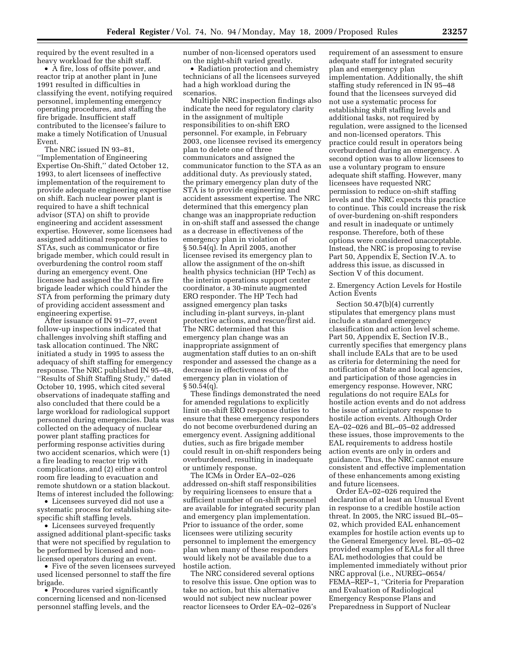required by the event resulted in a heavy workload for the shift staff.

• A fire, loss of offsite power, and reactor trip at another plant in June 1991 resulted in difficulties in classifying the event, notifying required personnel, implementing emergency operating procedures, and staffing the fire brigade. Insufficient staff contributed to the licensee's failure to make a timely Notification of Unusual Event.

The NRC issued IN 93–81, ''Implementation of Engineering Expertise On-Shift,'' dated October 12, 1993, to alert licensees of ineffective implementation of the requirement to provide adequate engineering expertise on shift. Each nuclear power plant is required to have a shift technical advisor (STA) on shift to provide engineering and accident assessment expertise. However, some licensees had assigned additional response duties to STAs, such as communicator or fire brigade member, which could result in overburdening the control room staff during an emergency event. One licensee had assigned the STA as fire brigade leader which could hinder the STA from performing the primary duty of providing accident assessment and engineering expertise.

After issuance of IN 91–77, event follow-up inspections indicated that challenges involving shift staffing and task allocation continued. The NRC initiated a study in 1995 to assess the adequacy of shift staffing for emergency response. The NRC published IN 95–48, ''Results of Shift Staffing Study,'' dated October 10, 1995, which cited several observations of inadequate staffing and also concluded that there could be a large workload for radiological support personnel during emergencies. Data was collected on the adequacy of nuclear power plant staffing practices for performing response activities during two accident scenarios, which were (1) a fire leading to reactor trip with complications, and (2) either a control room fire leading to evacuation and remote shutdown or a station blackout. Items of interest included the following:

• Licensees surveyed did not use a systematic process for establishing sitespecific shift staffing levels.

• Licensees surveyed frequently assigned additional plant-specific tasks that were not specified by regulation to be performed by licensed and nonlicensed operators during an event.

• Five of the seven licensees surveyed used licensed personnel to staff the fire brigade.

• Procedures varied significantly concerning licensed and non-licensed personnel staffing levels, and the

number of non-licensed operators used on the night-shift varied greatly.

• Radiation protection and chemistry technicians of all the licensees surveyed had a high workload during the scenarios.

Multiple NRC inspection findings also indicate the need for regulatory clarity in the assignment of multiple responsibilities to on-shift ERO personnel. For example, in February 2003, one licensee revised its emergency plan to delete one of three communicators and assigned the communicator function to the STA as an additional duty. As previously stated, the primary emergency plan duty of the STA is to provide engineering and accident assessment expertise. The NRC determined that this emergency plan change was an inappropriate reduction in on-shift staff and assessed the change as a decrease in effectiveness of the emergency plan in violation of § 50.54(q). In April 2005, another licensee revised its emergency plan to allow the assignment of the on-shift health physics technician (HP Tech) as the interim operations support center coordinator, a 30-minute augmented ERO responder. The HP Tech had assigned emergency plan tasks including in-plant surveys, in-plant protective actions, and rescue/first aid. The NRC determined that this emergency plan change was an inappropriate assignment of augmentation staff duties to an on-shift responder and assessed the change as a decrease in effectiveness of the emergency plan in violation of  $\S 50.54(q)$ .

These findings demonstrated the need for amended regulations to explicitly limit on-shift ERO response duties to ensure that these emergency responders do not become overburdened during an emergency event. Assigning additional duties, such as fire brigade member could result in on-shift responders being overburdened, resulting in inadequate or untimely response.

The ICMs in Order EA–02–026 addressed on-shift staff responsibilities by requiring licensees to ensure that a sufficient number of on-shift personnel are available for integrated security plan and emergency plan implementation. Prior to issuance of the order, some licensees were utilizing security personnel to implement the emergency plan when many of these responders would likely not be available due to a hostile action.

The NRC considered several options to resolve this issue. One option was to take no action, but this alternative would not subject new nuclear power reactor licensees to Order EA–02–026's

requirement of an assessment to ensure adequate staff for integrated security plan and emergency plan implementation. Additionally, the shift staffing study referenced in IN 95–48 found that the licensees surveyed did not use a systematic process for establishing shift staffing levels and additional tasks, not required by regulation, were assigned to the licensed and non-licensed operators. This practice could result in operators being overburdened during an emergency. A second option was to allow licensees to use a voluntary program to ensure adequate shift staffing. However, many licensees have requested NRC permission to reduce on-shift staffing levels and the NRC expects this practice to continue. This could increase the risk of over-burdening on-shift responders and result in inadequate or untimely response. Therefore, both of these options were considered unacceptable. Instead, the NRC is proposing to revise Part 50, Appendix E, Section IV.A. to address this issue, as discussed in Section V of this document.

2. Emergency Action Levels for Hostile Action Events

Section 50.47(b)(4) currently stipulates that emergency plans must include a standard emergency classification and action level scheme. Part 50, Appendix E, Section IV.B., currently specifies that emergency plans shall include EALs that are to be used as criteria for determining the need for notification of State and local agencies, and participation of those agencies in emergency response. However, NRC regulations do not require EALs for hostile action events and do not address the issue of anticipatory response to hostile action events. Although Order EA–02–026 and BL–05–02 addressed these issues, those improvements to the EAL requirements to address hostile action events are only in orders and guidance. Thus, the NRC cannot ensure consistent and effective implementation of these enhancements among existing and future licensees.

Order EA–02–026 required the declaration of at least an Unusual Event in response to a credible hostile action threat. In 2005, the NRC issued BL–05– 02, which provided EAL enhancement examples for hostile action events up to the General Emergency level. BL–05–02 provided examples of EALs for all three EAL methodologies that could be implemented immediately without prior NRC approval (i.e., NUREG–0654/ FEMA–REP–1, "Criteria for Preparation and Evaluation of Radiological Emergency Response Plans and Preparedness in Support of Nuclear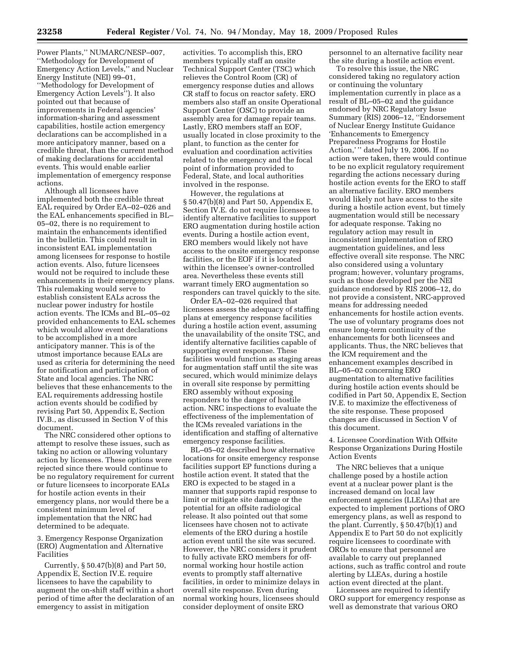Power Plants,'' NUMARC/NESP–007, ''Methodology for Development of Emergency Action Levels,'' and Nuclear Energy Institute (NEI) 99–01, ''Methodology for Development of Emergency Action Levels''). It also pointed out that because of improvements in Federal agencies' information-sharing and assessment capabilities, hostile action emergency declarations can be accomplished in a more anticipatory manner, based on a credible threat, than the current method of making declarations for accidental events. This would enable earlier implementation of emergency response actions.

Although all licensees have implemented both the credible threat EAL required by Order EA–02–026 and the EAL enhancements specified in BL– 05–02, there is no requirement to maintain the enhancements identified in the bulletin. This could result in inconsistent EAL implementation among licensees for response to hostile action events. Also, future licensees would not be required to include these enhancements in their emergency plans. This rulemaking would serve to establish consistent EALs across the nuclear power industry for hostile action events. The ICMs and BL–05–02 provided enhancements to EAL schemes which would allow event declarations to be accomplished in a more anticipatory manner. This is of the utmost importance because EALs are used as criteria for determining the need for notification and participation of State and local agencies. The NRC believes that these enhancements to the EAL requirements addressing hostile action events should be codified by revising Part 50, Appendix E, Section IV.B., as discussed in Section V of this document.

The NRC considered other options to attempt to resolve these issues, such as taking no action or allowing voluntary action by licensees. These options were rejected since there would continue to be no regulatory requirement for current or future licensees to incorporate EALs for hostile action events in their emergency plans, nor would there be a consistent minimum level of implementation that the NRC had determined to be adequate.

3. Emergency Response Organization (ERO) Augmentation and Alternative Facilities

Currently, § 50.47(b)(8) and Part 50, Appendix E, Section IV.E. require licensees to have the capability to augment the on-shift staff within a short period of time after the declaration of an emergency to assist in mitigation

activities. To accomplish this, ERO members typically staff an onsite Technical Support Center (TSC) which relieves the Control Room (CR) of emergency response duties and allows CR staff to focus on reactor safety. ERO members also staff an onsite Operational Support Center (OSC) to provide an assembly area for damage repair teams. Lastly, ERO members staff an EOF, usually located in close proximity to the plant, to function as the center for evaluation and coordination activities related to the emergency and the focal point of information provided to Federal, State, and local authorities involved in the response.

However, the regulations at § 50.47(b)(8) and Part 50, Appendix E, Section IV.E. do not require licensees to identify alternative facilities to support ERO augmentation during hostile action events. During a hostile action event, ERO members would likely not have access to the onsite emergency response facilities, or the EOF if it is located within the licensee's owner-controlled area. Nevertheless these events still warrant timely ERO augmentation so responders can travel quickly to the site.

Order EA–02–026 required that licensees assess the adequacy of staffing plans at emergency response facilities during a hostile action event, assuming the unavailability of the onsite TSC, and identify alternative facilities capable of supporting event response. These facilities would function as staging areas for augmentation staff until the site was secured, which would minimize delays in overall site response by permitting ERO assembly without exposing responders to the danger of hostile action. NRC inspections to evaluate the effectiveness of the implementation of the ICMs revealed variations in the identification and staffing of alternative emergency response facilities.

BL–05–02 described how alternative locations for onsite emergency response facilities support EP functions during a hostile action event. It stated that the ERO is expected to be staged in a manner that supports rapid response to limit or mitigate site damage or the potential for an offsite radiological release. It also pointed out that some licensees have chosen not to activate elements of the ERO during a hostile action event until the site was secured. However, the NRC considers it prudent to fully activate ERO members for offnormal working hour hostile action events to promptly staff alternative facilities, in order to minimize delays in overall site response. Even during normal working hours, licensees should consider deployment of onsite ERO

personnel to an alternative facility near the site during a hostile action event.

To resolve this issue, the NRC considered taking no regulatory action or continuing the voluntary implementation currently in place as a result of BL–05–02 and the guidance endorsed by NRC Regulatory Issue Summary (RIS) 2006–12, ''Endorsement of Nuclear Energy Institute Guidance 'Enhancements to Emergency Preparedness Programs for Hostile Action,' '' dated July 19, 2006. If no action were taken, there would continue to be no explicit regulatory requirement regarding the actions necessary during hostile action events for the ERO to staff an alternative facility. ERO members would likely not have access to the site during a hostile action event, but timely augmentation would still be necessary for adequate response. Taking no regulatory action may result in inconsistent implementation of ERO augmentation guidelines, and less effective overall site response. The NRC also considered using a voluntary program; however, voluntary programs, such as those developed per the NEI guidance endorsed by RIS 2006–12, do not provide a consistent, NRC-approved means for addressing needed enhancements for hostile action events. The use of voluntary programs does not ensure long-term continuity of the enhancements for both licensees and applicants. Thus, the NRC believes that the ICM requirement and the enhancement examples described in BL–05–02 concerning ERO augmentation to alternative facilities during hostile action events should be codified in Part 50, Appendix E, Section IV.E. to maximize the effectiveness of the site response. These proposed changes are discussed in Section V of this document.

4. Licensee Coordination With Offsite Response Organizations During Hostile Action Events

The NRC believes that a unique challenge posed by a hostile action event at a nuclear power plant is the increased demand on local law enforcement agencies (LLEAs) that are expected to implement portions of ORO emergency plans, as well as respond to the plant. Currently,  $\S 50.47(b)(1)$  and Appendix E to Part 50 do not explicitly require licensees to coordinate with OROs to ensure that personnel are available to carry out preplanned actions, such as traffic control and route alerting by LLEAs, during a hostile action event directed at the plant.

Licensees are required to identify ORO support for emergency response as well as demonstrate that various ORO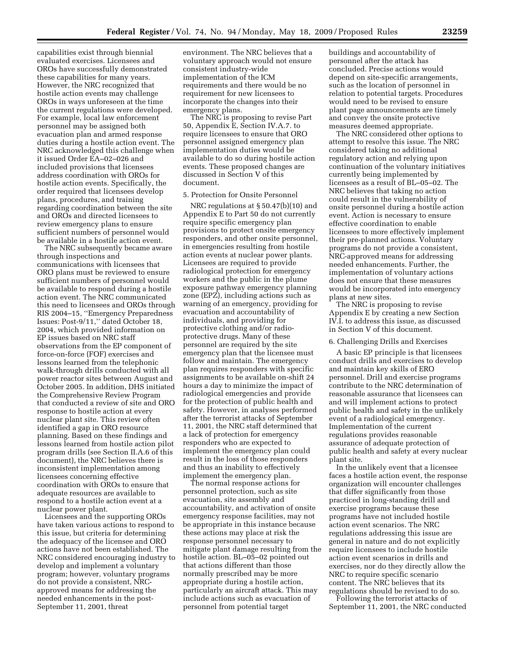capabilities exist through biennial evaluated exercises. Licensees and OROs have successfully demonstrated these capabilities for many years. However, the NRC recognized that hostile action events may challenge OROs in ways unforeseen at the time the current regulations were developed. For example, local law enforcement personnel may be assigned both evacuation plan and armed response duties during a hostile action event. The NRC acknowledged this challenge when it issued Order EA–02–026 and included provisions that licensees address coordination with OROs for hostile action events. Specifically, the order required that licensees develop plans, procedures, and training regarding coordination between the site and OROs and directed licensees to review emergency plans to ensure sufficient numbers of personnel would be available in a hostile action event.

The NRC subsequently became aware through inspections and communications with licensees that ORO plans must be reviewed to ensure sufficient numbers of personnel would be available to respond during a hostile action event. The NRC communicated this need to licensees and OROs through RIS 2004–15, ''Emergency Preparedness Issues: Post-9/11,'' dated October 18, 2004, which provided information on EP issues based on NRC staff observations from the EP component of force-on-force (FOF) exercises and lessons learned from the telephonic walk-through drills conducted with all power reactor sites between August and October 2005. In addition, DHS initiated the Comprehensive Review Program that conducted a review of site and ORO response to hostile action at every nuclear plant site. This review often identified a gap in ORO resource planning. Based on these findings and lessons learned from hostile action pilot program drills (see Section II.A.6 of this document), the NRC believes there is inconsistent implementation among licensees concerning effective coordination with OROs to ensure that adequate resources are available to respond to a hostile action event at a nuclear power plant.

Licensees and the supporting OROs have taken various actions to respond to this issue, but criteria for determining the adequacy of the licensee and ORO actions have not been established. The NRC considered encouraging industry to develop and implement a voluntary program; however, voluntary programs do not provide a consistent, NRCapproved means for addressing the needed enhancements in the post-September 11, 2001, threat

environment. The NRC believes that a voluntary approach would not ensure consistent industry-wide implementation of the ICM requirements and there would be no requirement for new licensees to incorporate the changes into their emergency plans.

The NRC is proposing to revise Part 50, Appendix E, Section IV.A.7. to require licensees to ensure that ORO personnel assigned emergency plan implementation duties would be available to do so during hostile action events. These proposed changes are discussed in Section V of this document.

# 5. Protection for Onsite Personnel

NRC regulations at § 50.47(b)(10) and Appendix E to Part 50 do not currently require specific emergency plan provisions to protect onsite emergency responders, and other onsite personnel, in emergencies resulting from hostile action events at nuclear power plants. Licensees are required to provide radiological protection for emergency workers and the public in the plume exposure pathway emergency planning zone (EPZ), including actions such as warning of an emergency, providing for evacuation and accountability of individuals, and providing for protective clothing and/or radioprotective drugs. Many of these personnel are required by the site emergency plan that the licensee must follow and maintain. The emergency plan requires responders with specific assignments to be available on-shift 24 hours a day to minimize the impact of radiological emergencies and provide for the protection of public health and safety. However, in analyses performed after the terrorist attacks of September 11, 2001, the NRC staff determined that a lack of protection for emergency responders who are expected to implement the emergency plan could result in the loss of those responders and thus an inability to effectively implement the emergency plan.

The normal response actions for personnel protection, such as site evacuation, site assembly and accountability, and activation of onsite emergency response facilities, may not be appropriate in this instance because these actions may place at risk the response personnel necessary to mitigate plant damage resulting from the hostile action. BL–05–02 pointed out that actions different than those normally prescribed may be more appropriate during a hostile action, particularly an aircraft attack. This may include actions such as evacuation of personnel from potential target

buildings and accountability of personnel after the attack has concluded. Precise actions would depend on site-specific arrangements, such as the location of personnel in relation to potential targets. Procedures would need to be revised to ensure plant page announcements are timely and convey the onsite protective measures deemed appropriate.

The NRC considered other options to attempt to resolve this issue. The NRC considered taking no additional regulatory action and relying upon continuation of the voluntary initiatives currently being implemented by licensees as a result of BL–05–02. The NRC believes that taking no action could result in the vulnerability of onsite personnel during a hostile action event. Action is necessary to ensure effective coordination to enable licensees to more effectively implement their pre-planned actions. Voluntary programs do not provide a consistent, NRC-approved means for addressing needed enhancements. Further, the implementation of voluntary actions does not ensure that these measures would be incorporated into emergency plans at new sites.

The NRC is proposing to revise Appendix E by creating a new Section IV.I. to address this issue, as discussed in Section V of this document.

#### 6. Challenging Drills and Exercises

A basic EP principle is that licensees conduct drills and exercises to develop and maintain key skills of ERO personnel. Drill and exercise programs contribute to the NRC determination of reasonable assurance that licensees can and will implement actions to protect public health and safety in the unlikely event of a radiological emergency. Implementation of the current regulations provides reasonable assurance of adequate protection of public health and safety at every nuclear plant site.

In the unlikely event that a licensee faces a hostile action event, the response organization will encounter challenges that differ significantly from those practiced in long-standing drill and exercise programs because these programs have not included hostile action event scenarios. The NRC regulations addressing this issue are general in nature and do not explicitly require licensees to include hostile action event scenarios in drills and exercises, nor do they directly allow the NRC to require specific scenario content. The NRC believes that its regulations should be revised to do so.

Following the terrorist attacks of September 11, 2001, the NRC conducted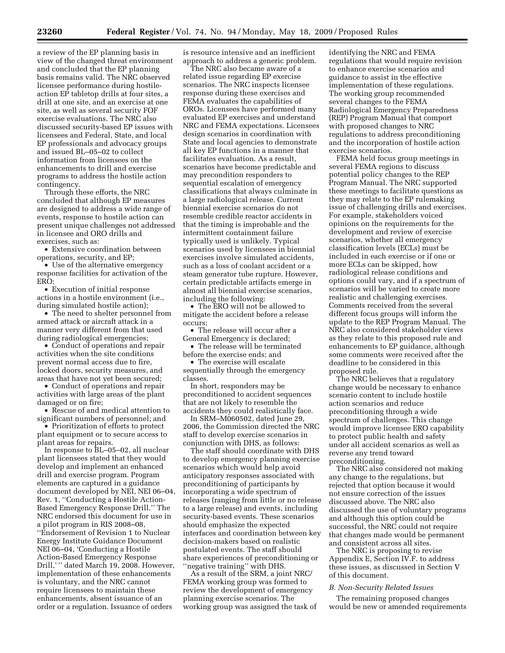a review of the EP planning basis in view of the changed threat environment and concluded that the EP planning basis remains valid. The NRC observed licensee performance during hostileaction EP tabletop drills at four sites, a drill at one site, and an exercise at one site, as well as several security FOF exercise evaluations. The NRC also discussed security-based EP issues with licensees and Federal, State, and local EP professionals and advocacy groups and issued BL–05–02 to collect information from licensees on the enhancements to drill and exercise programs to address the hostile action contingency.

Through these efforts, the NRC concluded that although EP measures are designed to address a wide range of events, response to hostile action can present unique challenges not addressed in licensee and ORO drills and exercises, such as:

• Extensive coordination between operations, security, and EP;

• Use of the alternative emergency response facilities for activation of the ERO;

• Execution of initial response actions in a hostile environment (i.e., during simulated hostile action);

• The need to shelter personnel from armed attack or aircraft attack in a manner very different from that used during radiological emergencies;

• Conduct of operations and repair activities when the site conditions prevent normal access due to fire, locked doors, security measures, and areas that have not yet been secured;

• Conduct of operations and repair activities with large areas of the plant damaged or on fire;

• Rescue of and medical attention to significant numbers of personnel; and

• Prioritization of efforts to protect plant equipment or to secure access to plant areas for repairs.

In response to BL–05–02, all nuclear plant licensees stated that they would develop and implement an enhanced drill and exercise program. Program elements are captured in a guidance document developed by NEI, NEI 06–04, Rev. 1, ''Conducting a Hostile Action-Based Emergency Response Drill.'' The NRC endorsed this document for use in a pilot program in RIS 2008–08, ''Endorsement of Revision 1 to Nuclear Energy Institute Guidance Document NEI 06–04, 'Conducting a Hostile Action-Based Emergency Response Drill,'" dated March 19, 2008. However, implementation of these enhancements is voluntary, and the NRC cannot require licensees to maintain these enhancements, absent issuance of an order or a regulation. Issuance of orders

is resource intensive and an inefficient approach to address a generic problem.

The NRC also became aware of a related issue regarding EP exercise scenarios. The NRC inspects licensee response during these exercises and FEMA evaluates the capabilities of OROs. Licensees have performed many evaluated EP exercises and understand NRC and FEMA expectations. Licensees design scenarios in coordination with State and local agencies to demonstrate all key EP functions in a manner that facilitates evaluation. As a result, scenarios have become predictable and may precondition responders to sequential escalation of emergency classifications that always culminate in a large radiological release. Current biennial exercise scenarios do not resemble credible reactor accidents in that the timing is improbable and the intermittent containment failure typically used is unlikely. Typical scenarios used by licensees in biennial exercises involve simulated accidents, such as a loss of coolant accident or a steam generator tube rupture. However, certain predictable artifacts emerge in almost all biennial exercise scenarios, including the following:

• The ERO will not be allowed to mitigate the accident before a release occurs;

• The release will occur after a General Emergency is declared;

• The release will be terminated before the exercise ends; and

• The exercise will escalate sequentially through the emergency classes.

In short, responders may be preconditioned to accident sequences that are not likely to resemble the accidents they could realistically face.

In SRM–M060502, dated June 29, 2006, the Commission directed the NRC staff to develop exercise scenarios in conjunction with DHS, as follows:

The staff should coordinate with DHS to develop emergency planning exercise scenarios which would help avoid anticipatory responses associated with preconditioning of participants by incorporating a wide spectrum of releases (ranging from little or no release to a large release) and events, including security-based events. These scenarios should emphasize the expected interfaces and coordination between key decision-makers based on realistic postulated events. The staff should share experiences of preconditioning or ''negative training'' with DHS.

As a result of the SRM, a joint NRC/ FEMA working group was formed to review the development of emergency planning exercise scenarios. The working group was assigned the task of identifying the NRC and FEMA regulations that would require revision to enhance exercise scenarios and guidance to assist in the effective implementation of these regulations. The working group recommended several changes to the FEMA Radiological Emergency Preparedness (REP) Program Manual that comport with proposed changes to NRC regulations to address preconditioning and the incorporation of hostile action exercise scenarios.

FEMA held focus group meetings in several FEMA regions to discuss potential policy changes to the REP Program Manual. The NRC supported these meetings to facilitate questions as they may relate to the EP rulemaking issue of challenging drills and exercises. For example, stakeholders voiced opinions on the requirements for the development and review of exercise scenarios, whether all emergency classification levels (ECLs) must be included in each exercise or if one or more ECLs can be skipped, how radiological release conditions and options could vary, and if a spectrum of scenarios will be varied to create more realistic and challenging exercises. Comments received from the several different focus groups will inform the update to the REP Program Manual. The NRC also considered stakeholder views as they relate to this proposed rule and enhancements to EP guidance, although some comments were received after the deadline to be considered in this proposed rule.

The NRC believes that a regulatory change would be necessary to enhance scenario content to include hostile action scenarios and reduce preconditioning through a wide spectrum of challenges. This change would improve licensee ERO capability to protect public health and safety under all accident scenarios as well as reverse any trend toward preconditioning.

The NRC also considered not making any change to the regulations, but rejected that option because it would not ensure correction of the issues discussed above. The NRC also discussed the use of voluntary programs and although this option could be successful, the NRC could not require that changes made would be permanent and consistent across all sites.

The NRC is proposing to revise Appendix E, Section IV.F. to address these issues, as discussed in Section V of this document.

#### *B. Non-Security Related Issues*

The remaining proposed changes would be new or amended requirements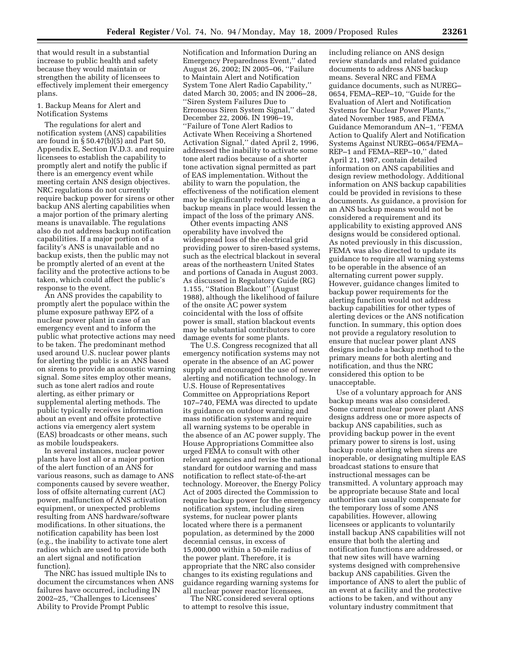that would result in a substantial increase to public health and safety because they would maintain or strengthen the ability of licensees to effectively implement their emergency plans.

1. Backup Means for Alert and Notification Systems

The regulations for alert and notification system (ANS) capabilities are found in § 50.47(b)(5) and Part 50, Appendix E, Section IV.D.3. and require licensees to establish the capability to promptly alert and notify the public if there is an emergency event while meeting certain ANS design objectives. NRC regulations do not currently require backup power for sirens or other backup ANS alerting capabilities when a major portion of the primary alerting means is unavailable. The regulations also do not address backup notification capabilities. If a major portion of a facility's ANS is unavailable and no backup exists, then the public may not be promptly alerted of an event at the facility and the protective actions to be taken, which could affect the public's response to the event.

An ANS provides the capability to promptly alert the populace within the plume exposure pathway EPZ of a nuclear power plant in case of an emergency event and to inform the public what protective actions may need to be taken. The predominant method used around U.S. nuclear power plants for alerting the public is an ANS based on sirens to provide an acoustic warning signal. Some sites employ other means, such as tone alert radios and route alerting, as either primary or supplemental alerting methods. The public typically receives information about an event and offsite protective actions via emergency alert system (EAS) broadcasts or other means, such as mobile loudspeakers.

In several instances, nuclear power plants have lost all or a major portion of the alert function of an ANS for various reasons, such as damage to ANS components caused by severe weather, loss of offsite alternating current (AC) power, malfunction of ANS activation equipment, or unexpected problems resulting from ANS hardware/software modifications. In other situations, the notification capability has been lost (e.g., the inability to activate tone alert radios which are used to provide both an alert signal and notification function).

The NRC has issued multiple INs to document the circumstances when ANS failures have occurred, including IN 2002–25, ''Challenges to Licensees' Ability to Provide Prompt Public

Notification and Information During an Emergency Preparedness Event,'' dated August 26, 2002; IN 2005–06, ''Failure to Maintain Alert and Notification System Tone Alert Radio Capability,'' dated March 30, 2005; and IN 2006–28, ''Siren System Failures Due to Erroneous Siren System Signal,'' dated December 22, 2006. IN 1996–19, ''Failure of Tone Alert Radios to Activate When Receiving a Shortened Activation Signal,'' dated April 2, 1996, addressed the inability to activate some tone alert radios because of a shorter tone activation signal permitted as part of EAS implementation. Without the ability to warn the population, the effectiveness of the notification element may be significantly reduced. Having a backup means in place would lessen the impact of the loss of the primary ANS.

Other events impacting ANS operability have involved the widespread loss of the electrical grid providing power to siren-based systems, such as the electrical blackout in several areas of the northeastern United States and portions of Canada in August 2003. As discussed in Regulatory Guide (RG) 1.155, ''Station Blackout'' (August 1988), although the likelihood of failure of the onsite AC power system coincidental with the loss of offsite power is small, station blackout events may be substantial contributors to core damage events for some plants.

The U.S. Congress recognized that all emergency notification systems may not operate in the absence of an AC power supply and encouraged the use of newer alerting and notification technology. In U.S. House of Representatives Committee on Appropriations Report 107–740, FEMA was directed to update its guidance on outdoor warning and mass notification systems and require all warning systems to be operable in the absence of an AC power supply. The House Appropriations Committee also urged FEMA to consult with other relevant agencies and revise the national standard for outdoor warning and mass notification to reflect state-of-the-art technology. Moreover, the Energy Policy Act of 2005 directed the Commission to require backup power for the emergency notification system, including siren systems, for nuclear power plants located where there is a permanent population, as determined by the 2000 decennial census, in excess of 15,000,000 within a 50-mile radius of the power plant. Therefore, it is appropriate that the NRC also consider changes to its existing regulations and guidance regarding warning systems for all nuclear power reactor licensees.

The NRC considered several options to attempt to resolve this issue,

including reliance on ANS design review standards and related guidance documents to address ANS backup means. Several NRC and FEMA guidance documents, such as NUREG– 0654, FEMA–REP–10, ''Guide for the Evaluation of Alert and Notification Systems for Nuclear Power Plants,'' dated November 1985, and FEMA Guidance Memorandum AN–1, ''FEMA Action to Qualify Alert and Notification Systems Against NUREG–0654/FEMA– REP–1 and FEMA–REP–10,'' dated April 21, 1987, contain detailed information on ANS capabilities and design review methodology. Additional information on ANS backup capabilities could be provided in revisions to these documents. As guidance, a provision for an ANS backup means would not be considered a requirement and its applicability to existing approved ANS designs would be considered optional. As noted previously in this discussion, FEMA was also directed to update its guidance to require all warning systems to be operable in the absence of an alternating current power supply. However, guidance changes limited to backup power requirements for the alerting function would not address backup capabilities for other types of alerting devices or the ANS notification function. In summary, this option does not provide a regulatory resolution to ensure that nuclear power plant ANS designs include a backup method to the primary means for both alerting and notification, and thus the NRC considered this option to be unacceptable.

Use of a voluntary approach for ANS backup means was also considered. Some current nuclear power plant ANS designs address one or more aspects of backup ANS capabilities, such as providing backup power in the event primary power to sirens is lost, using backup route alerting when sirens are inoperable, or designating multiple EAS broadcast stations to ensure that instructional messages can be transmitted. A voluntary approach may be appropriate because State and local authorities can usually compensate for the temporary loss of some ANS capabilities. However, allowing licensees or applicants to voluntarily install backup ANS capabilities will not ensure that both the alerting and notification functions are addressed, or that new sites will have warning systems designed with comprehensive backup ANS capabilities. Given the importance of ANS to alert the public of an event at a facility and the protective actions to be taken, and without any voluntary industry commitment that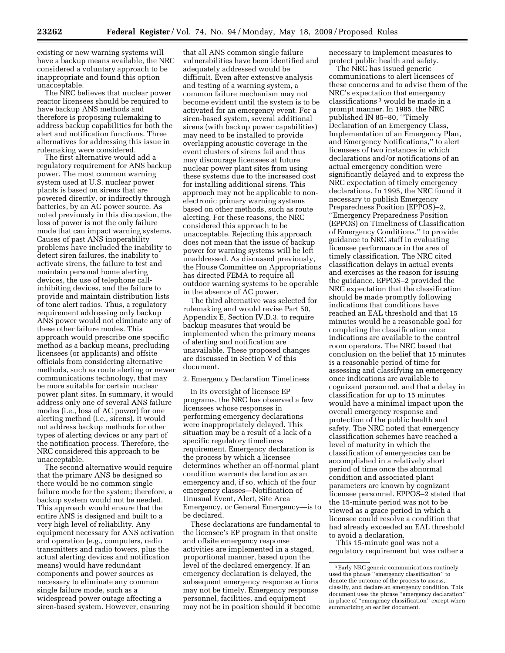existing or new warning systems will have a backup means available, the NRC considered a voluntary approach to be inappropriate and found this option unacceptable.

The NRC believes that nuclear power reactor licensees should be required to have backup ANS methods and therefore is proposing rulemaking to address backup capabilities for both the alert and notification functions. Three alternatives for addressing this issue in rulemaking were considered.

The first alternative would add a regulatory requirement for ANS backup power. The most common warning system used at U.S. nuclear power plants is based on sirens that are powered directly, or indirectly through batteries, by an AC power source. As noted previously in this discussion, the loss of power is not the only failure mode that can impact warning systems. Causes of past ANS inoperability problems have included the inability to detect siren failures, the inability to activate sirens, the failure to test and maintain personal home alerting devices, the use of telephone callinhibiting devices, and the failure to provide and maintain distribution lists of tone alert radios. Thus, a regulatory requirement addressing only backup ANS power would not eliminate any of these other failure modes. This approach would prescribe one specific method as a backup means, precluding licensees (or applicants) and offsite officials from considering alternative methods, such as route alerting or newer communications technology, that may be more suitable for certain nuclear power plant sites. In summary, it would address only one of several ANS failure modes (i.e., loss of AC power) for one alerting method (i.e., sirens). It would not address backup methods for other types of alerting devices or any part of the notification process. Therefore, the NRC considered this approach to be unacceptable.

The second alternative would require that the primary ANS be designed so there would be no common single failure mode for the system; therefore, a backup system would not be needed. This approach would ensure that the entire ANS is designed and built to a very high level of reliability. Any equipment necessary for ANS activation and operation (e.g., computers, radio transmitters and radio towers, plus the actual alerting devices and notification means) would have redundant components and power sources as necessary to eliminate any common single failure mode, such as a widespread power outage affecting a siren-based system. However, ensuring

that all ANS common single failure vulnerabilities have been identified and adequately addressed would be difficult. Even after extensive analysis and testing of a warning system, a common failure mechanism may not become evident until the system is to be activated for an emergency event. For a siren-based system, several additional sirens (with backup power capabilities) may need to be installed to provide overlapping acoustic coverage in the event clusters of sirens fail and thus may discourage licensees at future nuclear power plant sites from using these systems due to the increased cost for installing additional sirens. This approach may not be applicable to nonelectronic primary warning systems based on other methods, such as route alerting. For these reasons, the NRC considered this approach to be unacceptable. Rejecting this approach does not mean that the issue of backup power for warning systems will be left unaddressed. As discussed previously, the House Committee on Appropriations has directed FEMA to require all outdoor warning systems to be operable in the absence of AC power.

The third alternative was selected for rulemaking and would revise Part 50, Appendix E, Section IV.D.3. to require backup measures that would be implemented when the primary means of alerting and notification are unavailable. These proposed changes are discussed in Section V of this document.

2. Emergency Declaration Timeliness

In its oversight of licensee EP programs, the NRC has observed a few licensees whose responses in performing emergency declarations were inappropriately delayed. This situation may be a result of a lack of a specific regulatory timeliness requirement. Emergency declaration is the process by which a licensee determines whether an off-normal plant condition warrants declaration as an emergency and, if so, which of the four emergency classes—Notification of Unusual Event, Alert, Site Area Emergency, or General Emergency—is to be declared.

These declarations are fundamental to the licensee's EP program in that onsite and offsite emergency response activities are implemented in a staged, proportional manner, based upon the level of the declared emergency. If an emergency declaration is delayed, the subsequent emergency response actions may not be timely. Emergency response personnel, facilities, and equipment may not be in position should it become

necessary to implement measures to protect public health and safety.

The NRC has issued generic communications to alert licensees of these concerns and to advise them of the NRC's expectation that emergency classifications 3 would be made in a prompt manner. In 1985, the NRC published IN 85–80, ''Timely Declaration of an Emergency Class, Implementation of an Emergency Plan, and Emergency Notifications,'' to alert licensees of two instances in which declarations and/or notifications of an actual emergency condition were significantly delayed and to express the NRC expectation of timely emergency declarations. In 1995, the NRC found it necessary to publish Emergency Preparedness Position (EPPOS)–2, ''Emergency Preparedness Position (EPPOS) on Timeliness of Classification of Emergency Conditions,'' to provide guidance to NRC staff in evaluating licensee performance in the area of timely classification. The NRC cited classification delays in actual events and exercises as the reason for issuing the guidance. EPPOS–2 provided the NRC expectation that the classification should be made promptly following indications that conditions have reached an EAL threshold and that 15 minutes would be a reasonable goal for completing the classification once indications are available to the control room operators. The NRC based that conclusion on the belief that 15 minutes is a reasonable period of time for assessing and classifying an emergency once indications are available to cognizant personnel, and that a delay in classification for up to 15 minutes would have a minimal impact upon the overall emergency response and protection of the public health and safety. The NRC noted that emergency classification schemes have reached a level of maturity in which the classification of emergencies can be accomplished in a relatively short period of time once the abnormal condition and associated plant parameters are known by cognizant licensee personnel. EPPOS–2 stated that the 15-minute period was not to be viewed as a grace period in which a licensee could resolve a condition that had already exceeded an EAL threshold to avoid a declaration.

This 15-minute goal was not a regulatory requirement but was rather a

<sup>3</sup>Early NRC generic communications routinely used the phrase ''emergency classification'' to denote the outcome of the process to assess, classify, and declare an emergency condition. This document uses the phrase ''emergency declaration'' in place of ''emergency classification'' except when summarizing an earlier document.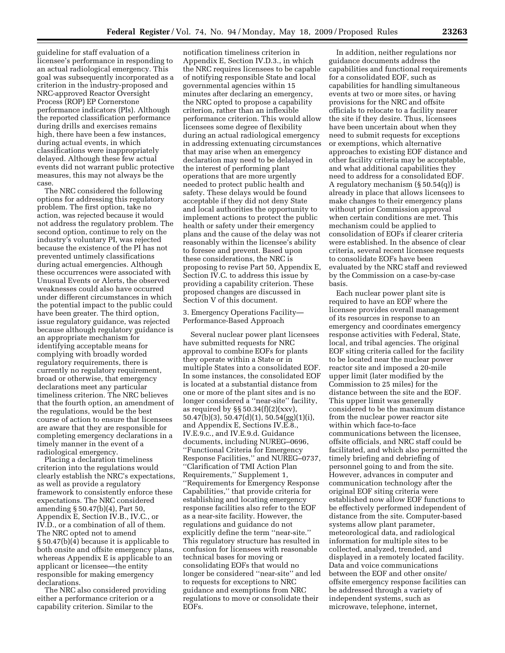guideline for staff evaluation of a licensee's performance in responding to an actual radiological emergency. This goal was subsequently incorporated as a criterion in the industry-proposed and NRC-approved Reactor Oversight Process (ROP) EP Cornerstone performance indicators (PIs). Although the reported classification performance during drills and exercises remains high, there have been a few instances, during actual events, in which classifications were inappropriately delayed. Although these few actual events did not warrant public protective measures, this may not always be the case.

The NRC considered the following options for addressing this regulatory problem. The first option, take no action, was rejected because it would not address the regulatory problem. The second option, continue to rely on the industry's voluntary PI, was rejected because the existence of the PI has not prevented untimely classifications during actual emergencies. Although these occurrences were associated with Unusual Events or Alerts, the observed weaknesses could also have occurred under different circumstances in which the potential impact to the public could have been greater. The third option, issue regulatory guidance, was rejected because although regulatory guidance is an appropriate mechanism for identifying acceptable means for complying with broadly worded regulatory requirements, there is currently no regulatory requirement, broad or otherwise, that emergency declarations meet any particular timeliness criterion. The NRC believes that the fourth option, an amendment of the regulations, would be the best course of action to ensure that licensees are aware that they are responsible for completing emergency declarations in a timely manner in the event of a radiological emergency.

Placing a declaration timeliness criterion into the regulations would clearly establish the NRC's expectations, as well as provide a regulatory framework to consistently enforce these expectations. The NRC considered amending § 50.47(b)(4), Part 50, Appendix E, Section IV.B., IV.C., or IV.D., or a combination of all of them. The NRC opted not to amend § 50.47(b)(4) because it is applicable to both onsite and offsite emergency plans, whereas Appendix E is applicable to an applicant or licensee—the entity responsible for making emergency declarations.

The NRC also considered providing either a performance criterion or a capability criterion. Similar to the

notification timeliness criterion in Appendix E, Section IV.D.3., in which the NRC requires licensees to be capable of notifying responsible State and local governmental agencies within 15 minutes after declaring an emergency, the NRC opted to propose a capability criterion, rather than an inflexible performance criterion. This would allow licensees some degree of flexibility during an actual radiological emergency in addressing extenuating circumstances that may arise when an emergency declaration may need to be delayed in the interest of performing plant operations that are more urgently needed to protect public health and safety. These delays would be found acceptable if they did not deny State and local authorities the opportunity to implement actions to protect the public health or safety under their emergency plans and the cause of the delay was not reasonably within the licensee's ability to foresee and prevent. Based upon these considerations, the NRC is proposing to revise Part 50, Appendix E, Section IV.C. to address this issue by providing a capability criterion. These proposed changes are discussed in Section V of this document.

3. Emergency Operations Facility— Performance-Based Approach

Several nuclear power plant licensees have submitted requests for NRC approval to combine EOFs for plants they operate within a State or in multiple States into a consolidated EOF. In some instances, the consolidated EOF is located at a substantial distance from one or more of the plant sites and is no longer considered a ''near-site'' facility, as required by  $\S$ § 50.34(f)(2)(xxv), 50.47(b)(3), 50.47(d)(1), 50.54(gg)(1)(i), and Appendix E, Sections IV.E.8., IV.E.9.c., and IV.E.9.d. Guidance documents, including NUREG–0696, ''Functional Criteria for Emergency Response Facilities,'' and NUREG–0737, ''Clarification of TMI Action Plan Requirements,'' Supplement 1, ''Requirements for Emergency Response Capabilities,'' that provide criteria for establishing and locating emergency response facilities also refer to the EOF as a near-site facility. However, the regulations and guidance do not explicitly define the term ''near-site.'' This regulatory structure has resulted in confusion for licensees with reasonable technical bases for moving or consolidating EOFs that would no longer be considered ''near-site'' and led to requests for exceptions to NRC guidance and exemptions from NRC regulations to move or consolidate their EOFs.

In addition, neither regulations nor guidance documents address the capabilities and functional requirements for a consolidated EOF, such as capabilities for handling simultaneous events at two or more sites, or having provisions for the NRC and offsite officials to relocate to a facility nearer the site if they desire. Thus, licensees have been uncertain about when they need to submit requests for exceptions or exemptions, which alternative approaches to existing EOF distance and other facility criteria may be acceptable, and what additional capabilities they need to address for a consolidated EOF. A regulatory mechanism (§ 50.54(q)) is already in place that allows licensees to make changes to their emergency plans without prior Commission approval when certain conditions are met. This mechanism could be applied to consolidation of EOFs if clearer criteria were established. In the absence of clear criteria, several recent licensee requests to consolidate EOFs have been evaluated by the NRC staff and reviewed by the Commission on a case-by-case basis.

Each nuclear power plant site is required to have an EOF where the licensee provides overall management of its resources in response to an emergency and coordinates emergency response activities with Federal, State, local, and tribal agencies. The original EOF siting criteria called for the facility to be located near the nuclear power reactor site and imposed a 20-mile upper limit (later modified by the Commission to 25 miles) for the distance between the site and the EOF. This upper limit was generally considered to be the maximum distance from the nuclear power reactor site within which face-to-face communications between the licensee, offsite officials, and NRC staff could be facilitated, and which also permitted the timely briefing and debriefing of personnel going to and from the site. However, advances in computer and communication technology after the original EOF siting criteria were established now allow EOF functions to be effectively performed independent of distance from the site. Computer-based systems allow plant parameter, meteorological data, and radiological information for multiple sites to be collected, analyzed, trended, and displayed in a remotely located facility. Data and voice communications between the EOF and other onsite/ offsite emergency response facilities can be addressed through a variety of independent systems, such as microwave, telephone, internet,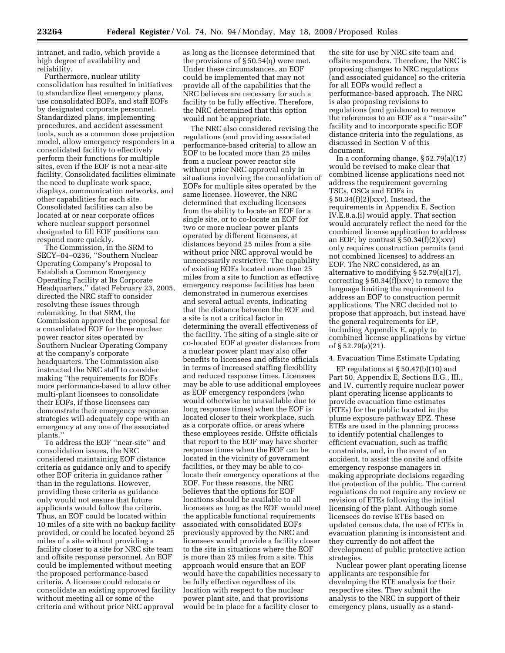intranet, and radio, which provide a high degree of availability and reliability.

Furthermore, nuclear utility consolidation has resulted in initiatives to standardize fleet emergency plans, use consolidated EOFs, and staff EOFs by designated corporate personnel. Standardized plans, implementing procedures, and accident assessment tools, such as a common dose projection model, allow emergency responders in a consolidated facility to effectively perform their functions for multiple sites, even if the EOF is not a near-site facility. Consolidated facilities eliminate the need to duplicate work space, displays, communication networks, and other capabilities for each site. Consolidated facilities can also be located at or near corporate offices where nuclear support personnel designated to fill EOF positions can respond more quickly.

The Commission, in the SRM to SECY–04–0236, ''Southern Nuclear Operating Company's Proposal to Establish a Common Emergency Operating Facility at Its Corporate Headquarters,'' dated February 23, 2005, directed the NRC staff to consider resolving these issues through rulemaking. In that SRM, the Commission approved the proposal for a consolidated EOF for three nuclear power reactor sites operated by Southern Nuclear Operating Company at the company's corporate headquarters. The Commission also instructed the NRC staff to consider making ''the requirements for EOFs more performance-based to allow other multi-plant licensees to consolidate their EOFs, if those licensees can demonstrate their emergency response strategies will adequately cope with an emergency at any one of the associated plants.''

To address the EOF ''near-site'' and consolidation issues, the NRC considered maintaining EOF distance criteria as guidance only and to specify other EOF criteria in guidance rather than in the regulations. However, providing these criteria as guidance only would not ensure that future applicants would follow the criteria. Thus, an EOF could be located within 10 miles of a site with no backup facility provided, or could be located beyond 25 miles of a site without providing a facility closer to a site for NRC site team and offsite response personnel. An EOF could be implemented without meeting the proposed performance-based criteria. A licensee could relocate or consolidate an existing approved facility without meeting all or some of the criteria and without prior NRC approval

as long as the licensee determined that the provisions of § 50.54(q) were met. Under these circumstances, an EOF could be implemented that may not provide all of the capabilities that the NRC believes are necessary for such a facility to be fully effective. Therefore, the NRC determined that this option would not be appropriate.

The NRC also considered revising the regulations (and providing associated performance-based criteria) to allow an EOF to be located more than 25 miles from a nuclear power reactor site without prior NRC approval only in situations involving the consolidation of EOFs for multiple sites operated by the same licensee. However, the NRC determined that excluding licensees from the ability to locate an EOF for a single site, or to co-locate an EOF for two or more nuclear power plants operated by different licensees, at distances beyond 25 miles from a site without prior NRC approval would be unnecessarily restrictive. The capability of existing EOFs located more than 25 miles from a site to function as effective emergency response facilities has been demonstrated in numerous exercises and several actual events, indicating that the distance between the EOF and a site is not a critical factor in determining the overall effectiveness of the facility. The siting of a single-site or co-located EOF at greater distances from a nuclear power plant may also offer benefits to licensees and offsite officials in terms of increased staffing flexibility and reduced response times. Licensees may be able to use additional employees as EOF emergency responders (who would otherwise be unavailable due to long response times) when the EOF is located closer to their workplace, such as a corporate office, or areas where these employees reside. Offsite officials that report to the EOF may have shorter response times when the EOF can be located in the vicinity of government facilities, or they may be able to colocate their emergency operations at the EOF. For these reasons, the NRC believes that the options for EOF locations should be available to all licensees as long as the EOF would meet the applicable functional requirements associated with consolidated EOFs previously approved by the NRC and licensees would provide a facility closer to the site in situations where the EOF is more than 25 miles from a site. This approach would ensure that an EOF would have the capabilities necessary to be fully effective regardless of its location with respect to the nuclear power plant site, and that provisions would be in place for a facility closer to

the site for use by NRC site team and offsite responders. Therefore, the NRC is proposing changes to NRC regulations (and associated guidance) so the criteria for all EOFs would reflect a performance-based approach. The NRC is also proposing revisions to regulations (and guidance) to remove the references to an EOF as a ''near-site'' facility and to incorporate specific EOF distance criteria into the regulations, as discussed in Section V of this document.

In a conforming change, § 52.79(a)(17) would be revised to make clear that combined license applications need not address the requirement governing TSCs, OSCs and EOFs in § 50.34(f)(2)(xxv). Instead, the requirements in Appendix E, Section IV.E.8.a.(i) would apply. That section would accurately reflect the need for the combined license application to address an EOF; by contrast  $\S 50.34(f)(2)(xx)$ only requires construction permits (and not combined licenses) to address an EOF. The NRC considered, as an alternative to modifying § 52.79(a)(17), correcting  $\S 50.34(f)(xxv)$  to remove the language limiting the requirement to address an EOF to construction permit applications. The NRC decided not to propose that approach, but instead have the general requirements for EP, including Appendix E, apply to combined license applications by virtue of § 52.79(a)(21).

#### 4. Evacuation Time Estimate Updating

EP regulations at  $\S 50.47(b)(10)$  and Part 50, Appendix E, Sections II.G., III., and IV. currently require nuclear power plant operating license applicants to provide evacuation time estimates (ETEs) for the public located in the plume exposure pathway EPZ. These ETEs are used in the planning process to identify potential challenges to efficient evacuation, such as traffic constraints, and, in the event of an accident, to assist the onsite and offsite emergency response managers in making appropriate decisions regarding the protection of the public. The current regulations do not require any review or revision of ETEs following the initial licensing of the plant. Although some licensees do revise ETEs based on updated census data, the use of ETEs in evacuation planning is inconsistent and they currently do not affect the development of public protective action strategies.

Nuclear power plant operating license applicants are responsible for developing the ETE analysis for their respective sites. They submit the analysis to the NRC in support of their emergency plans, usually as a stand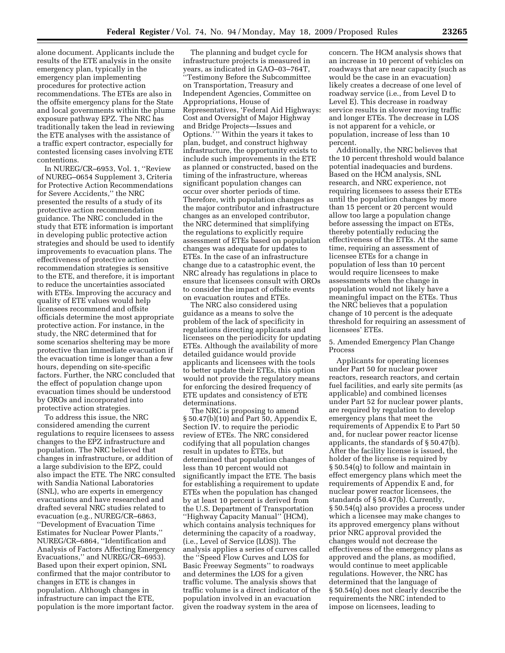alone document. Applicants include the results of the ETE analysis in the onsite emergency plan, typically in the emergency plan implementing procedures for protective action recommendations. The ETEs are also in the offsite emergency plans for the State and local governments within the plume exposure pathway EPZ. The NRC has traditionally taken the lead in reviewing the ETE analyses with the assistance of a traffic expert contractor, especially for contested licensing cases involving ETE contentions.

In NUREG/CR–6953, Vol. 1, ''Review of NUREG–0654 Supplement 3, Criteria for Protective Action Recommendations for Severe Accidents,'' the NRC presented the results of a study of its protective action recommendation guidance. The NRC concluded in the study that ETE information is important in developing public protective action strategies and should be used to identify improvements to evacuation plans. The effectiveness of protective action recommendation strategies is sensitive to the ETE, and therefore, it is important to reduce the uncertainties associated with ETEs. Improving the accuracy and quality of ETE values would help licensees recommend and offsite officials determine the most appropriate protective action. For instance, in the study, the NRC determined that for some scenarios sheltering may be more protective than immediate evacuation if the evacuation time is longer than a few hours, depending on site-specific factors. Further, the NRC concluded that the effect of population change upon evacuation times should be understood by OROs and incorporated into protective action strategies.

To address this issue, the NRC considered amending the current regulations to require licensees to assess changes to the EPZ infrastructure and population. The NRC believed that changes in infrastructure, or addition of a large subdivision to the EPZ, could also impact the ETE. The NRC consulted with Sandia National Laboratories (SNL), who are experts in emergency evacuations and have researched and drafted several NRC studies related to evacuation (e.g., NUREG/CR–6863, ''Development of Evacuation Time Estimates for Nuclear Power Plants,'' NUREG/CR–6864, ''Identification and Analysis of Factors Affecting Emergency Evacuations,'' and NUREG/CR–6953). Based upon their expert opinion, SNL confirmed that the major contributor to changes in ETE is changes in population. Although changes in infrastructure can impact the ETE, population is the more important factor.

The planning and budget cycle for infrastructure projects is measured in years, as indicated in GAO–03–764T, ''Testimony Before the Subcommittee on Transportation, Treasury and Independent Agencies, Committee on Appropriations, House of Representatives, 'Federal Aid Highways: Cost and Oversight of Major Highway and Bridge Projects—Issues and Options.' '' Within the years it takes to plan, budget, and construct highway infrastructure, the opportunity exists to include such improvements in the ETE as planned or constructed, based on the timing of the infrastructure, whereas significant population changes can occur over shorter periods of time. Therefore, with population changes as the major contributor and infrastructure changes as an enveloped contributor, the NRC determined that simplifying the regulations to explicitly require assessment of ETEs based on population changes was adequate for updates to ETEs. In the case of an infrastructure change due to a catastrophic event, the NRC already has regulations in place to ensure that licensees consult with OROs to consider the impact of offsite events on evacuation routes and ETEs.

The NRC also considered using guidance as a means to solve the problem of the lack of specificity in regulations directing applicants and licensees on the periodicity for updating ETEs. Although the availability of more detailed guidance would provide applicants and licensees with the tools to better update their ETEs, this option would not provide the regulatory means for enforcing the desired frequency of ETE updates and consistency of ETE determinations.

The NRC is proposing to amend § 50.47(b)(10) and Part 50, Appendix E, Section IV. to require the periodic review of ETEs. The NRC considered codifying that all population changes result in updates to ETEs, but determined that population changes of less than 10 percent would not significantly impact the ETE. The basis for establishing a requirement to update ETEs when the population has changed by at least 10 percent is derived from the U.S. Department of Transportation ''Highway Capacity Manual'' (HCM), which contains analysis techniques for determining the capacity of a roadway, (i.e., Level of Service (LOS)). The analysis applies a series of curves called the ''Speed Flow Curves and LOS for Basic Freeway Segments'' to roadways and determines the LOS for a given traffic volume. The analysis shows that traffic volume is a direct indicator of the population involved in an evacuation given the roadway system in the area of

concern. The HCM analysis shows that an increase in 10 percent of vehicles on roadways that are near capacity (such as would be the case in an evacuation) likely creates a decrease of one level of roadway service (i.e., from Level D to Level E). This decrease in roadway service results in slower moving traffic and longer ETEs. The decrease in LOS is not apparent for a vehicle, or population, increase of less than 10 percent.

Additionally, the NRC believes that the 10 percent threshold would balance potential inadequacies and burdens. Based on the HCM analysis, SNL research, and NRC experience, not requiring licensees to assess their ETEs until the population changes by more than 15 percent or 20 percent would allow too large a population change before assessing the impact on ETEs, thereby potentially reducing the effectiveness of the ETEs. At the same time, requiring an assessment of licensee ETEs for a change in population of less than 10 percent would require licensees to make assessments when the change in population would not likely have a meaningful impact on the ETEs. Thus the NRC believes that a population change of 10 percent is the adequate threshold for requiring an assessment of licensees' ETEs.

# 5. Amended Emergency Plan Change Process

Applicants for operating licenses under Part 50 for nuclear power reactors, research reactors, and certain fuel facilities, and early site permits (as applicable) and combined licenses under Part 52 for nuclear power plants, are required by regulation to develop emergency plans that meet the requirements of Appendix E to Part 50 and, for nuclear power reactor license applicants, the standards of § 50.47(b). After the facility license is issued, the holder of the license is required by § 50.54(q) to follow and maintain in effect emergency plans which meet the requirements of Appendix E and, for nuclear power reactor licensees, the standards of § 50.47(b). Currently, § 50.54(q) also provides a process under which a licensee may make changes to its approved emergency plans without prior NRC approval provided the changes would not decrease the effectiveness of the emergency plans as approved and the plans, as modified, would continue to meet applicable regulations. However, the NRC has determined that the language of § 50.54(q) does not clearly describe the requirements the NRC intended to impose on licensees, leading to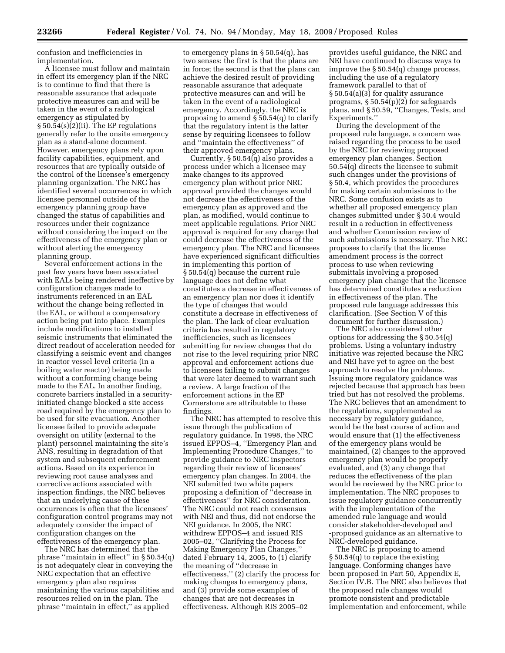confusion and inefficiencies in implementation.

A licensee must follow and maintain in effect its emergency plan if the NRC is to continue to find that there is reasonable assurance that adequate protective measures can and will be taken in the event of a radiological emergency as stipulated by § 50.54(s)(2)(ii). The EP regulations generally refer to the onsite emergency plan as a stand-alone document. However, emergency plans rely upon facility capabilities, equipment, and resources that are typically outside of the control of the licensee's emergency planning organization. The NRC has identified several occurrences in which licensee personnel outside of the emergency planning group have changed the status of capabilities and resources under their cognizance without considering the impact on the effectiveness of the emergency plan or without alerting the emergency planning group.

Several enforcement actions in the past few years have been associated with EALs being rendered ineffective by configuration changes made to instruments referenced in an EAL without the change being reflected in the EAL, or without a compensatory action being put into place. Examples include modifications to installed seismic instruments that eliminated the direct readout of acceleration needed for classifying a seismic event and changes in reactor vessel level criteria (in a boiling water reactor) being made without a conforming change being made to the EAL. In another finding, concrete barriers installed in a securityinitiated change blocked a site access road required by the emergency plan to be used for site evacuation. Another licensee failed to provide adequate oversight on utility (external to the plant) personnel maintaining the site's ANS, resulting in degradation of that system and subsequent enforcement actions. Based on its experience in reviewing root cause analyses and corrective actions associated with inspection findings, the NRC believes that an underlying cause of these occurrences is often that the licensees' configuration control programs may not adequately consider the impact of configuration changes on the effectiveness of the emergency plan.

The NRC has determined that the phrase ''maintain in effect'' in § 50.54(q) is not adequately clear in conveying the NRC expectation that an effective emergency plan also requires maintaining the various capabilities and resources relied on in the plan. The phrase ''maintain in effect,'' as applied

to emergency plans in § 50.54(q), has two senses: the first is that the plans are in force; the second is that the plans can achieve the desired result of providing reasonable assurance that adequate protective measures can and will be taken in the event of a radiological emergency. Accordingly, the NRC is proposing to amend § 50.54(q) to clarify that the regulatory intent is the latter sense by requiring licensees to follow and ''maintain the effectiveness'' of their approved emergency plans.

Currently, § 50.54(q) also provides a process under which a licensee may make changes to its approved emergency plan without prior NRC approval provided the changes would not decrease the effectiveness of the emergency plan as approved and the plan, as modified, would continue to meet applicable regulations. Prior NRC approval is required for any change that could decrease the effectiveness of the emergency plan. The NRC and licensees have experienced significant difficulties in implementing this portion of § 50.54(q) because the current rule language does not define what constitutes a decrease in effectiveness of an emergency plan nor does it identify the type of changes that would constitute a decrease in effectiveness of the plan. The lack of clear evaluation criteria has resulted in regulatory inefficiencies, such as licensees submitting for review changes that do not rise to the level requiring prior NRC approval and enforcement actions due to licensees failing to submit changes that were later deemed to warrant such a review. A large fraction of the enforcement actions in the EP Cornerstone are attributable to these findings.

The NRC has attempted to resolve this issue through the publication of regulatory guidance. In 1998, the NRC issued EPPOS–4, ''Emergency Plan and Implementing Procedure Changes,'' to provide guidance to NRC inspectors regarding their review of licensees' emergency plan changes. In 2004, the NEI submitted two white papers proposing a definition of ''decrease in effectiveness'' for NRC consideration. The NRC could not reach consensus with NEI and thus, did not endorse the NEI guidance. In 2005, the NRC withdrew EPPOS–4 and issued RIS 2005–02, ''Clarifying the Process for Making Emergency Plan Changes,'' dated February 14, 2005, to (1) clarify the meaning of ''decrease in effectiveness,'' (2) clarify the process for making changes to emergency plans, and (3) provide some examples of changes that are not decreases in effectiveness. Although RIS 2005–02

provides useful guidance, the NRC and NEI have continued to discuss ways to improve the § 50.54(q) change process, including the use of a regulatory framework parallel to that of § 50.54(a)(3) for quality assurance programs,  $\S 50.54(p)(2)$  for safeguards plans, and § 50.59, ''Changes, Tests, and Experiments.''

During the development of the proposed rule language, a concern was raised regarding the process to be used by the NRC for reviewing proposed emergency plan changes. Section 50.54(q) directs the licensee to submit such changes under the provisions of § 50.4, which provides the procedures for making certain submissions to the NRC. Some confusion exists as to whether all proposed emergency plan changes submitted under § 50.4 would result in a reduction in effectiveness and whether Commission review of such submissions is necessary. The NRC proposes to clarify that the license amendment process is the correct process to use when reviewing submittals involving a proposed emergency plan change that the licensee has determined constitutes a reduction in effectiveness of the plan. The proposed rule language addresses this clarification. (See Section V of this document for further discussion.)

The NRC also considered other options for addressing the § 50.54(q) problems. Using a voluntary industry initiative was rejected because the NRC and NEI have yet to agree on the best approach to resolve the problems. Issuing more regulatory guidance was rejected because that approach has been tried but has not resolved the problems. The NRC believes that an amendment to the regulations, supplemented as necessary by regulatory guidance, would be the best course of action and would ensure that (1) the effectiveness of the emergency plans would be maintained, (2) changes to the approved emergency plan would be properly evaluated, and (3) any change that reduces the effectiveness of the plan would be reviewed by the NRC prior to implementation. The NRC proposes to issue regulatory guidance concurrently with the implementation of the amended rule language and would consider stakeholder-developed and -proposed guidance as an alternative to NRC-developed guidance.

The NRC is proposing to amend § 50.54(q) to replace the existing language. Conforming changes have been proposed in Part 50, Appendix E, Section IV.B. The NRC also believes that the proposed rule changes would promote consistent and predictable implementation and enforcement, while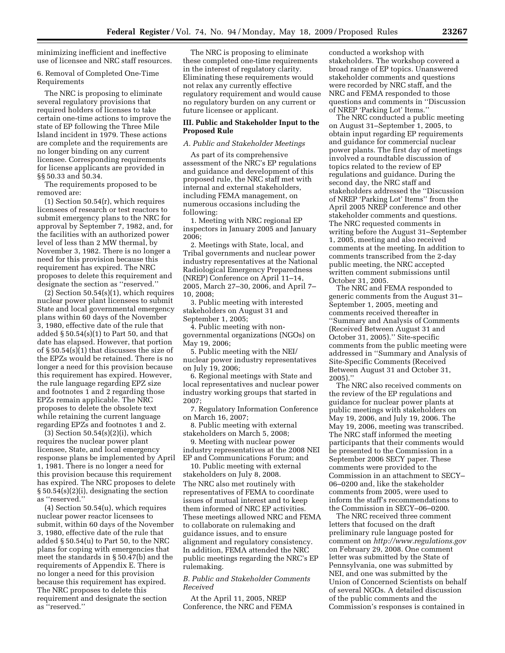minimizing inefficient and ineffective use of licensee and NRC staff resources.

6. Removal of Completed One-Time Requirements

The NRC is proposing to eliminate several regulatory provisions that required holders of licenses to take certain one-time actions to improve the state of EP following the Three Mile Island incident in 1979. These actions are complete and the requirements are no longer binding on any current licensee. Corresponding requirements for license applicants are provided in §§ 50.33 and 50.34.

The requirements proposed to be removed are:

(1) Section 50.54(r), which requires licensees of research or test reactors to submit emergency plans to the NRC for approval by September 7, 1982, and, for the facilities with an authorized power level of less than 2 MW thermal, by November 3, 1982. There is no longer a need for this provision because this requirement has expired. The NRC proposes to delete this requirement and designate the section as ''reserved.''

 $(2)$  Section 50.54 $(s)(1)$ , which requires nuclear power plant licensees to submit State and local governmental emergency plans within 60 days of the November 3, 1980, effective date of the rule that added  $\S 50.54(s)(1)$  to Part 50, and that date has elapsed. However, that portion of § 50.54(s)(1) that discusses the size of the EPZs would be retained. There is no longer a need for this provision because this requirement has expired. However, the rule language regarding EPZ size and footnotes 1 and 2 regarding those EPZs remain applicable. The NRC proposes to delete the obsolete text while retaining the current language regarding EPZs and footnotes 1 and 2.

 $(3)$  Section 50.54 $(s)(2)(i)$ , which requires the nuclear power plant licensee, State, and local emergency response plans be implemented by April 1, 1981. There is no longer a need for this provision because this requirement has expired. The NRC proposes to delete § 50.54(s)(2)(i), designating the section as ''reserved.''

(4) Section 50.54(u), which requires nuclear power reactor licensees to submit, within 60 days of the November 3, 1980, effective date of the rule that added § 50.54(u) to Part 50, to the NRC plans for coping with emergencies that meet the standards in § 50.47(b) and the requirements of Appendix E. There is no longer a need for this provision because this requirement has expired. The NRC proposes to delete this requirement and designate the section as ''reserved.''

The NRC is proposing to eliminate these completed one-time requirements in the interest of regulatory clarity. Eliminating these requirements would not relax any currently effective regulatory requirement and would cause no regulatory burden on any current or future licensee or applicant.

# **III. Public and Stakeholder Input to the Proposed Rule**

# *A. Public and Stakeholder Meetings*

As part of its comprehensive assessment of the NRC's EP regulations and guidance and development of this proposed rule, the NRC staff met with internal and external stakeholders, including FEMA management, on numerous occasions including the following:

1. Meeting with NRC regional EP inspectors in January 2005 and January 2006;

2. Meetings with State, local, and Tribal governments and nuclear power industry representatives at the National Radiological Emergency Preparedness (NREP) Conference on April 11–14, 2005, March 27–30, 2006, and April 7– 10, 2008;

3. Public meeting with interested stakeholders on August 31 and September 1, 2005;

4. Public meeting with nongovernmental organizations (NGOs) on May 19, 2006;

5. Public meeting with the NEI/ nuclear power industry representatives on July 19, 2006;

6. Regional meetings with State and local representatives and nuclear power industry working groups that started in 2007;

7. Regulatory Information Conference on March 16, 2007;

8. Public meeting with external stakeholders on March 5, 2008;

9. Meeting with nuclear power industry representatives at the 2008 NEI EP and Communications Forum; and

10. Public meeting with external stakeholders on July 8, 2008. The NRC also met routinely with representatives of FEMA to coordinate issues of mutual interest and to keep them informed of NRC EP activities. These meetings allowed NRC and FEMA to collaborate on rulemaking and guidance issues, and to ensure alignment and regulatory consistency. In addition, FEMA attended the NRC public meetings regarding the NRC's EP rulemaking.

# *B. Public and Stakeholder Comments Received*

At the April 11, 2005, NREP Conference, the NRC and FEMA

conducted a workshop with stakeholders. The workshop covered a broad range of EP topics. Unanswered stakeholder comments and questions were recorded by NRC staff, and the NRC and FEMA responded to those questions and comments in ''Discussion of NREP 'Parking Lot' Items.''

The NRC conducted a public meeting on August 31–September 1, 2005, to obtain input regarding EP requirements and guidance for commercial nuclear power plants. The first day of meetings involved a roundtable discussion of topics related to the review of EP regulations and guidance. During the second day, the NRC staff and stakeholders addressed the ''Discussion of NREP 'Parking Lot' Items'' from the April 2005 NREP conference and other stakeholder comments and questions. The NRC requested comments in writing before the August 31–September 1, 2005, meeting and also received comments at the meeting. In addition to comments transcribed from the 2-day public meeting, the NRC accepted written comment submissions until October 31, 2005.

The NRC and FEMA responded to generic comments from the August 31– September 1, 2005, meeting and comments received thereafter in ''Summary and Analysis of Comments (Received Between August 31 and October 31, 2005).'' Site-specific comments from the public meeting were addressed in ''Summary and Analysis of Site-Specific Comments (Received Between August 31 and October 31, 2005).''

The NRC also received comments on the review of the EP regulations and guidance for nuclear power plants at public meetings with stakeholders on May 19, 2006, and July 19, 2006. The May 19, 2006, meeting was transcribed. The NRC staff informed the meeting participants that their comments would be presented to the Commission in a September 2006 SECY paper. These comments were provided to the Commission in an attachment to SECY– 06–0200 and, like the stakeholder comments from 2005, were used to inform the staff's recommendations to the Commission in SECY–06–0200.

The NRC received three comment letters that focused on the draft preliminary rule language posted for comment on *http://www.regulations.gov*  on February 29, 2008. One comment letter was submitted by the State of Pennsylvania, one was submitted by NEI, and one was submitted by the Union of Concerned Scientists on behalf of several NGOs. A detailed discussion of the public comments and the Commission's responses is contained in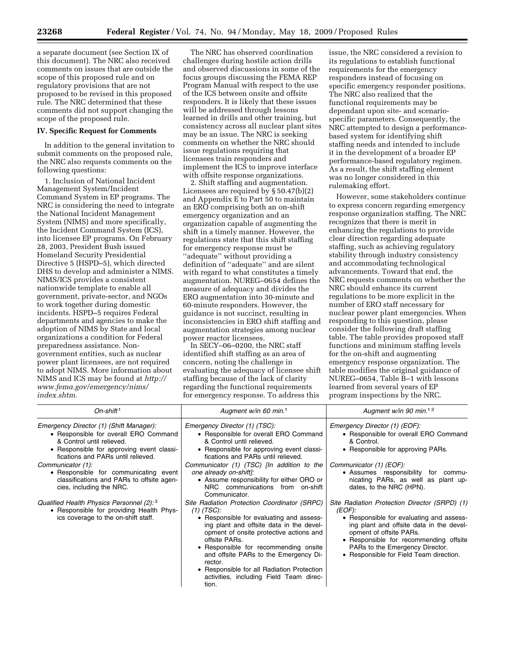a separate document (see Section IX of this document). The NRC also received comments on issues that are outside the scope of this proposed rule and on regulatory provisions that are not proposed to be revised in this proposed rule. The NRC determined that these comments did not support changing the scope of the proposed rule.

# **IV. Specific Request for Comments**

In addition to the general invitation to submit comments on the proposed rule, the NRC also requests comments on the following questions:

1. Inclusion of National Incident Management System/Incident Command System in EP programs. The NRC is considering the need to integrate the National Incident Management System (NIMS) and more specifically, the Incident Command System (ICS), into licensee EP programs. On February 28, 2003, President Bush issued Homeland Security Presidential Directive 5 (HSPD–5), which directed DHS to develop and administer a NIMS. NIMS/ICS provides a consistent nationwide template to enable all government, private-sector, and NGOs to work together during domestic incidents. HSPD–5 requires Federal departments and agencies to make the adoption of NIMS by State and local organizations a condition for Federal preparedness assistance. Nongovernment entities, such as nuclear power plant licensees, are not required to adopt NIMS. More information about NIMS and ICS may be found at *http:// www.fema.gov/emergency/nims/ index.shtm.* 

The NRC has observed coordination challenges during hostile action drills and observed discussions in some of the focus groups discussing the FEMA REP Program Manual with respect to the use of the ICS between onsite and offsite responders. It is likely that these issues will be addressed through lessons learned in drills and other training, but consistency across all nuclear plant sites may be an issue. The NRC is seeking comments on whether the NRC should issue regulations requiring that licensees train responders and implement the ICS to improve interface with offsite response organizations.

2. Shift staffing and augmentation. Licensees are required by § 50.47(b)(2) and Appendix E to Part 50 to maintain an ERO comprising both an on-shift emergency organization and an organization capable of augmenting the shift in a timely manner. However, the regulations state that this shift staffing for emergency response must be "adequate" without providing a definition of ''adequate'' and are silent with regard to what constitutes a timely augmentation. NUREG–0654 defines the measure of adequacy and divides the ERO augmentation into 30-minute and 60-minute responders. However, the guidance is not succinct, resulting in inconsistencies in ERO shift staffing and augmentation strategies among nuclear power reactor licensees.

In SECY–06–0200, the NRC staff identified shift staffing as an area of concern, noting the challenge in evaluating the adequacy of licensee shift staffing because of the lack of clarity regarding the functional requirements for emergency response. To address this

issue, the NRC considered a revision to its regulations to establish functional requirements for the emergency responders instead of focusing on specific emergency responder positions. The NRC also realized that the functional requirements may be dependant upon site- and scenariospecific parameters. Consequently, the NRC attempted to design a performancebased system for identifying shift staffing needs and intended to include it in the development of a broader EP performance-based regulatory regimen. As a result, the shift staffing element was no longer considered in this rulemaking effort.

However, some stakeholders continue to express concern regarding emergency response organization staffing. The NRC recognizes that there is merit in enhancing the regulations to provide clear direction regarding adequate staffing, such as achieving regulatory stability through industry consistency and accommodating technological advancements. Toward that end, the NRC requests comments on whether the NRC should enhance its current regulations to be more explicit in the number of ERO staff necessary for nuclear power plant emergencies. When responding to this question, please consider the following draft staffing table. The table provides proposed staff functions and minimum staffing levels for the on-shift and augmenting emergency response organization. The table modifies the original guidance of NUREG–0654, Table B–1 with lessons learned from several years of EP program inspections by the NRC.

| On-shift <sup>1</sup>                                                                                                                                                                            | Augment w/in 60 min. <sup>1</sup>                                                                                                                                                                                                                                                                                                                                                                              | Augment w/in 90 min. <sup>12</sup>                                                                                                                                                                                                                                                                 |
|--------------------------------------------------------------------------------------------------------------------------------------------------------------------------------------------------|----------------------------------------------------------------------------------------------------------------------------------------------------------------------------------------------------------------------------------------------------------------------------------------------------------------------------------------------------------------------------------------------------------------|----------------------------------------------------------------------------------------------------------------------------------------------------------------------------------------------------------------------------------------------------------------------------------------------------|
| Emergency Director (1) (Shift Manager):<br>• Responsible for overall ERO Command<br>& Control until relieved.<br>• Responsible for approving event classi-<br>fications and PARs until relieved. | Emergency Director (1) (TSC):<br>• Responsible for overall ERO Command<br>& Control until relieved.<br>• Responsible for approving event classi-<br>fications and PARs until relieved.                                                                                                                                                                                                                         | Emergency Director (1) (EOF):<br>• Responsible for overall ERO Command<br>& Control.<br>• Responsible for approving PARs.                                                                                                                                                                          |
| Communicator (1):<br>• Responsible for communicating event<br>classifications and PARs to offsite agen-<br>cies, including the NRC.                                                              | Communicator (1) (TSC) [In addition to the<br>one already on-shift]:<br>• Assume responsibility for either ORO or<br>NRC communications from on-shift<br>Communicator.                                                                                                                                                                                                                                         | Communicator (1) (EOF):<br>• Assumes responsibility for commu-<br>nicating PARs, as well as plant up-<br>dates, to the NRC (HPN).                                                                                                                                                                  |
| Qualified Health Physics Personnel (2): 3<br>• Responsible for providing Health Phys-<br>ics coverage to the on-shift staff.                                                                     | Site Radiation Protection Coordinator (SRPC)<br>$(1)$ (TSC):<br>• Responsible for evaluating and assess-<br>ing plant and offsite data in the devel-<br>opment of onsite protective actions and<br>offsite PARs.<br>• Responsible for recommending onsite<br>and offsite PARs to the Emergency Di-<br>rector.<br>• Responsible for all Radiation Protection<br>activities, including Field Team direc-<br>fion | Site Radiation Protection Director (SRPD) (1)<br>(EOF):<br>• Responsible for evaluating and assess-<br>ing plant and offsite data in the devel-<br>opment of offsite PARs.<br>• Responsible for recommending offsite<br>PARs to the Emergency Director.<br>• Responsible for Field Team direction. |

tion.

 $\mathsf{l}$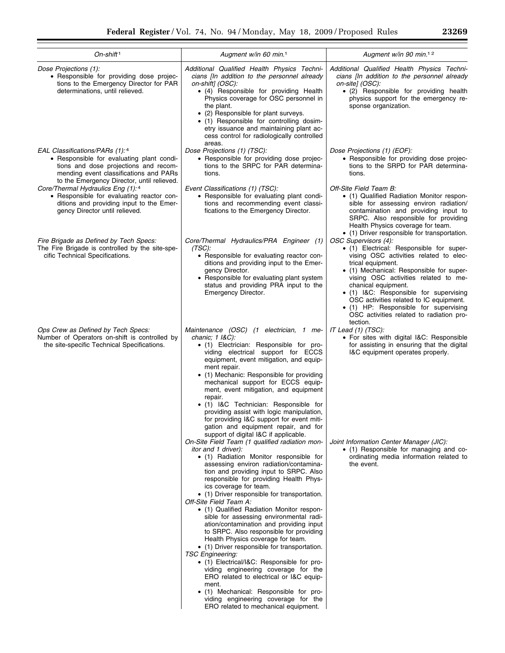| On-shift <sup>1</sup>                                                                                                                                                                                                                                                                          | Augment w/in 60 min. <sup>1</sup>                                                                                                                                                                                                                                                                                                                                                                                                                                                                                                                                                                                                                                                                                                                                                                                                                                                                                                                           | Augment w/in 90 min. <sup>12</sup>                                                                                                                                                                                                                                                                                                                           |
|------------------------------------------------------------------------------------------------------------------------------------------------------------------------------------------------------------------------------------------------------------------------------------------------|-------------------------------------------------------------------------------------------------------------------------------------------------------------------------------------------------------------------------------------------------------------------------------------------------------------------------------------------------------------------------------------------------------------------------------------------------------------------------------------------------------------------------------------------------------------------------------------------------------------------------------------------------------------------------------------------------------------------------------------------------------------------------------------------------------------------------------------------------------------------------------------------------------------------------------------------------------------|--------------------------------------------------------------------------------------------------------------------------------------------------------------------------------------------------------------------------------------------------------------------------------------------------------------------------------------------------------------|
| Dose Projections (1):<br>• Responsible for providing dose projec-<br>tions to the Emergency Director for PAR<br>determinations, until relieved.                                                                                                                                                | Additional Qualified Health Physics Techni-<br>cians [In addition to the personnel already<br>on-shift] (OSC):<br>• (4) Responsible for providing Health<br>Physics coverage for OSC personnel in<br>the plant.<br>• (2) Responsible for plant surveys.<br>• (1) Responsible for controlling dosim-<br>etry issuance and maintaining plant ac-<br>cess control for radiologically controlled<br>areas.                                                                                                                                                                                                                                                                                                                                                                                                                                                                                                                                                      | Additional Qualified Health Physics Techni-<br>cians [In addition to the personnel already<br>on-site] (OSC):<br>• (2) Responsible for providing health<br>physics support for the emergency re-<br>sponse organization.                                                                                                                                     |
| EAL Classifications/PARs (1):4<br>• Responsible for evaluating plant condi-<br>tions and dose projections and recom-<br>mending event classifications and PARs<br>to the Emergency Director, until relieved.<br>Core/Thermal Hydraulics Eng (1):4<br>• Responsible for evaluating reactor con- | Dose Projections (1) (TSC):<br>• Responsible for providing dose projec-<br>tions to the SRPC for PAR determina-<br>tions.<br>Event Classifications (1) (TSC):<br>• Responsible for evaluating plant condi-                                                                                                                                                                                                                                                                                                                                                                                                                                                                                                                                                                                                                                                                                                                                                  | Dose Projections (1) (EOF):<br>• Responsible for providing dose projec-<br>tions to the SRPD for PAR determina-<br>tions.<br>Off-Site Field Team B:<br>• (1) Qualified Radiation Monitor respon-                                                                                                                                                             |
| ditions and providing input to the Emer-<br>gency Director until relieved.<br>Fire Brigade as Defined by Tech Specs:<br>The Fire Brigade is controlled by the site-spe-                                                                                                                        | tions and recommending event classi-<br>fications to the Emergency Director.<br>Core/Thermal Hydraulics/PRA Engineer (1)<br>(TSC):                                                                                                                                                                                                                                                                                                                                                                                                                                                                                                                                                                                                                                                                                                                                                                                                                          | sible for assessing environ radiation/<br>contamination and providing input to<br>SRPC. Also responsible for providing<br>Health Physics coverage for team.<br>• (1) Driver responsible for transportation.<br>OSC Supervisors (4):<br>· (1) Electrical: Responsible for super-                                                                              |
| cific Technical Specifications.                                                                                                                                                                                                                                                                | • Responsible for evaluating reactor con-<br>ditions and providing input to the Emer-<br>gency Director.<br>• Responsible for evaluating plant system<br>status and providing PRA input to the<br>Emergency Director.                                                                                                                                                                                                                                                                                                                                                                                                                                                                                                                                                                                                                                                                                                                                       | vising OSC activities related to elec-<br>trical equipment.<br>• (1) Mechanical: Responsible for super-<br>vising OSC activities related to me-<br>chanical equipment.<br>• (1) I&C: Responsible for supervising<br>OSC activities related to IC equipment.<br>• (1) HP: Responsible for supervising<br>OSC activities related to radiation pro-<br>tection. |
| Ops Crew as Defined by Tech Specs:<br>Number of Operators on-shift is controlled by<br>the site-specific Technical Specifications.                                                                                                                                                             | Maintenance (OSC) (1 electrician, 1 me-<br>chanic; $1$ $18C$ ):<br>• (1) Electrician: Responsible for pro-<br>viding electrical support for ECCS<br>equipment, event mitigation, and equip-<br>ment repair.<br>• (1) Mechanic: Responsible for providing<br>mechanical support for ECCS equip-<br>ment, event mitigation, and equipment<br>repair.<br>• (1) I&C Technician: Responsible for<br>providing assist with logic manipulation,<br>for providing I&C support for event miti-<br>gation and equipment repair, and for                                                                                                                                                                                                                                                                                                                                                                                                                               | IT Lead (1) (TSC):<br>• For sites with digital I&C: Responsible<br>for assisting in ensuring that the digital<br>I&C equipment operates properly.                                                                                                                                                                                                            |
|                                                                                                                                                                                                                                                                                                | support of digital I&C if applicable.<br>On-Site Field Team (1 qualified radiation mon-<br>itor and 1 driver):<br>• (1) Radiation Monitor responsible for<br>assessing environ radiation/contamina-<br>tion and providing input to SRPC. Also<br>responsible for providing Health Phys-<br>ics coverage for team.<br>• (1) Driver responsible for transportation.<br>Off-Site Field Team A:<br>• (1) Qualified Radiation Monitor respon-<br>sible for assessing environmental radi-<br>ation/contamination and providing input<br>to SRPC. Also responsible for providing<br>Health Physics coverage for team.<br>• (1) Driver responsible for transportation.<br><b>TSC Engineering:</b><br>• (1) Electrical/I&C: Responsible for pro-<br>viding engineering coverage for the<br>ERO related to electrical or I&C equip-<br>ment.<br>• (1) Mechanical: Responsible for pro-<br>viding engineering coverage for the<br>ERO related to mechanical equipment. | Joint Information Center Manager (JIC):<br>• (1) Responsible for managing and co-<br>ordinating media information related to<br>the event.                                                                                                                                                                                                                   |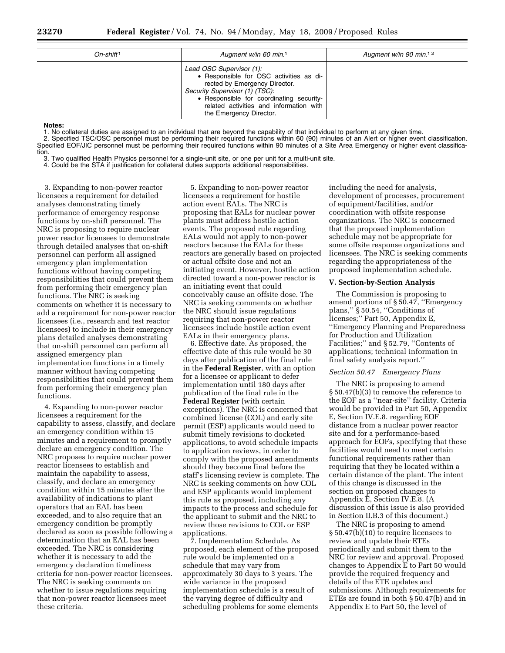| $On$ -shift <sup>1</sup> | Augment w/in 60 min. <sup>1</sup>                                                                                                                                                                                                                        | Augment w/in 90 min. <sup>12</sup> |
|--------------------------|----------------------------------------------------------------------------------------------------------------------------------------------------------------------------------------------------------------------------------------------------------|------------------------------------|
|                          | Lead OSC Supervisor (1):<br>• Responsible for OSC activities as di-<br>rected by Emergency Director.<br>Security Supervisor (1) (TSC):<br>• Responsible for coordinating security-<br>related activities and information with<br>the Emergency Director. |                                    |

#### **Notes:**

1. No collateral duties are assigned to an individual that are beyond the capability of that individual to perform at any given time. 2. Specified TSC/OSC personnel must be performing their required functions within 60 (90) minutes of an Alert or higher event classification. Specified EOF/JIC personnel must be performing their required functions within 90 minutes of a Site Area Emergency or higher event classification.

3. Two qualified Health Physics personnel for a single-unit site, or one per unit for a multi-unit site.

4. Could be the STA if justification for collateral duties supports additional responsibilities.

3. Expanding to non-power reactor licensees a requirement for detailed analyses demonstrating timely performance of emergency response functions by on-shift personnel. The NRC is proposing to require nuclear power reactor licensees to demonstrate through detailed analyses that on-shift personnel can perform all assigned emergency plan implementation functions without having competing responsibilities that could prevent them from performing their emergency plan functions. The NRC is seeking comments on whether it is necessary to add a requirement for non-power reactor licensees (i.e., research and test reactor licensees) to include in their emergency plans detailed analyses demonstrating that on-shift personnel can perform all assigned emergency plan implementation functions in a timely manner without having competing responsibilities that could prevent them from performing their emergency plan functions.

4. Expanding to non-power reactor licensees a requirement for the capability to assess, classify, and declare an emergency condition within 15 minutes and a requirement to promptly declare an emergency condition. The NRC proposes to require nuclear power reactor licensees to establish and maintain the capability to assess, classify, and declare an emergency condition within 15 minutes after the availability of indications to plant operators that an EAL has been exceeded, and to also require that an emergency condition be promptly declared as soon as possible following a determination that an EAL has been exceeded. The NRC is considering whether it is necessary to add the emergency declaration timeliness criteria for non-power reactor licensees. The NRC is seeking comments on whether to issue regulations requiring that non-power reactor licensees meet these criteria.

5. Expanding to non-power reactor licensees a requirement for hostile action event EALs. The NRC is proposing that EALs for nuclear power plants must address hostile action events. The proposed rule regarding EALs would not apply to non-power reactors because the EALs for these reactors are generally based on projected or actual offsite dose and not an initiating event. However, hostile action directed toward a non-power reactor is an initiating event that could conceivably cause an offsite dose. The NRC is seeking comments on whether the NRC should issue regulations requiring that non-power reactor licensees include hostile action event EALs in their emergency plans.

6. Effective date. As proposed, the effective date of this rule would be 30 days after publication of the final rule in the **Federal Register**, with an option for a licensee or applicant to defer implementation until 180 days after publication of the final rule in the **Federal Register** (with certain exceptions). The NRC is concerned that combined license (COL) and early site permit (ESP) applicants would need to submit timely revisions to docketed applications, to avoid schedule impacts to application reviews, in order to comply with the proposed amendments should they become final before the staff's licensing review is complete. The NRC is seeking comments on how COL and ESP applicants would implement this rule as proposed, including any impacts to the process and schedule for the applicant to submit and the NRC to review those revisions to COL or ESP applications.

7. Implementation Schedule. As proposed, each element of the proposed rule would be implemented on a schedule that may vary from approximately 30 days to 3 years. The wide variance in the proposed implementation schedule is a result of the varying degree of difficulty and scheduling problems for some elements

including the need for analysis, development of processes, procurement of equipment/facilities, and/or coordination with offsite response organizations. The NRC is concerned that the proposed implementation schedule may not be appropriate for some offsite response organizations and licensees. The NRC is seeking comments regarding the appropriateness of the proposed implementation schedule.

# **V. Section-by-Section Analysis**

The Commission is proposing to amend portions of § 50.47, ''Emergency plans,'' § 50.54, ''Conditions of licenses;'' Part 50, Appendix E, ''Emergency Planning and Preparedness for Production and Utilization Facilities;" and § 52.79, "Contents of applications; technical information in final safety analysis report.''

#### *Section 50.47 Emergency Plans*

The NRC is proposing to amend § 50.47(b)(3) to remove the reference to the EOF as a ''near-site'' facility. Criteria would be provided in Part 50, Appendix E, Section IV.E.8. regarding EOF distance from a nuclear power reactor site and for a performance-based approach for EOFs, specifying that these facilities would need to meet certain functional requirements rather than requiring that they be located within a certain distance of the plant. The intent of this change is discussed in the section on proposed changes to Appendix E, Section IV.E.8. (A discussion of this issue is also provided in Section II.B.3 of this document.)

The NRC is proposing to amend § 50.47(b)(10) to require licensees to review and update their ETEs periodically and submit them to the NRC for review and approval. Proposed changes to Appendix E to Part 50 would provide the required frequency and details of the ETE updates and submissions. Although requirements for ETEs are found in both § 50.47(b) and in Appendix E to Part 50, the level of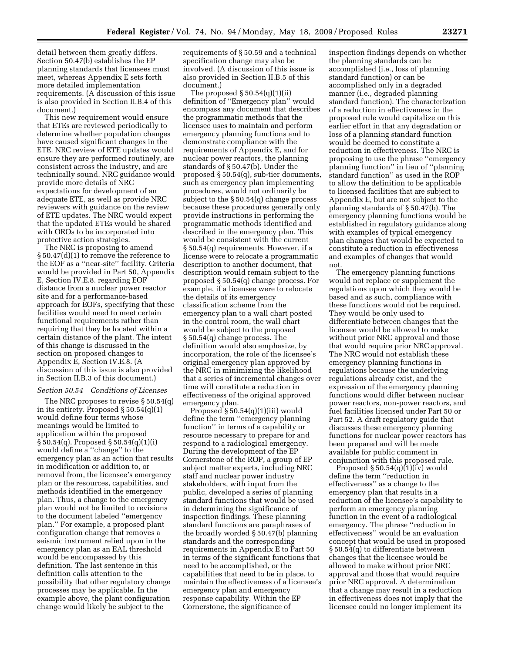detail between them greatly differs. Section 50.47(b) establishes the EP planning standards that licensees must meet, whereas Appendix E sets forth more detailed implementation requirements. (A discussion of this issue is also provided in Section II.B.4 of this document.)

This new requirement would ensure that ETEs are reviewed periodically to determine whether population changes have caused significant changes in the ETE. NRC review of ETE updates would ensure they are performed routinely, are consistent across the industry, and are technically sound. NRC guidance would provide more details of NRC expectations for development of an adequate ETE, as well as provide NRC reviewers with guidance on the review of ETE updates. The NRC would expect that the updated ETEs would be shared with OROs to be incorporated into protective action strategies.

The NRC is proposing to amend § 50.47(d)(1) to remove the reference to the EOF as a ''near-site'' facility. Criteria would be provided in Part 50, Appendix E, Section IV.E.8. regarding EOF distance from a nuclear power reactor site and for a performance-based approach for EOFs, specifying that these facilities would need to meet certain functional requirements rather than requiring that they be located within a certain distance of the plant. The intent of this change is discussed in the section on proposed changes to Appendix E, Section IV.E.8. (A discussion of this issue is also provided in Section II.B.3 of this document.)

#### *Section 50.54 Conditions of Licenses*

The NRC proposes to revise § 50.54(q) in its entirety. Proposed § 50.54(q)(1) would define four terms whose meanings would be limited to application within the proposed § 50.54(q). Proposed § 50.54(q)(1)(i) would define a ''change'' to the emergency plan as an action that results in modification or addition to, or removal from, the licensee's emergency plan or the resources, capabilities, and methods identified in the emergency plan. Thus, a change to the emergency plan would not be limited to revisions to the document labeled ''emergency plan.'' For example, a proposed plant configuration change that removes a seismic instrument relied upon in the emergency plan as an EAL threshold would be encompassed by this definition. The last sentence in this definition calls attention to the possibility that other regulatory change processes may be applicable. In the example above, the plant configuration change would likely be subject to the

requirements of § 50.59 and a technical specification change may also be involved. (A discussion of this issue is also provided in Section II.B.5 of this document.)

The proposed  $\S 50.54(q)(1)(ii)$ definition of ''Emergency plan'' would encompass any document that describes the programmatic methods that the licensee uses to maintain and perform emergency planning functions and to demonstrate compliance with the requirements of Appendix E, and for nuclear power reactors, the planning standards of § 50.47(b). Under the proposed § 50.54(q), sub-tier documents, such as emergency plan implementing procedures, would not ordinarily be subject to the § 50.54(q) change process because these procedures generally only provide instructions in performing the programmatic methods identified and described in the emergency plan. This would be consistent with the current § 50.54(q) requirements. However, if a license were to relocate a programmatic description to another document, that description would remain subject to the proposed § 50.54(q) change process. For example, if a licensee were to relocate the details of its emergency classification scheme from the emergency plan to a wall chart posted in the control room, the wall chart would be subject to the proposed § 50.54(q) change process. The definition would also emphasize, by incorporation, the role of the licensee's original emergency plan approved by the NRC in minimizing the likelihood that a series of incremental changes over time will constitute a reduction in effectiveness of the original approved emergency plan.

Proposed § 50.54(q)(1)(iii) would define the term ''emergency planning function'' in terms of a capability or resource necessary to prepare for and respond to a radiological emergency. During the development of the EP Cornerstone of the ROP, a group of EP subject matter experts, including NRC staff and nuclear power industry stakeholders, with input from the public, developed a series of planning standard functions that would be used in determining the significance of inspection findings. These planning standard functions are paraphrases of the broadly worded § 50.47(b) planning standards and the corresponding requirements in Appendix E to Part 50 in terms of the significant functions that need to be accomplished, or the capabilities that need to be in place, to maintain the effectiveness of a licensee's emergency plan and emergency response capability. Within the EP Cornerstone, the significance of

inspection findings depends on whether the planning standards can be accomplished (i.e., loss of planning standard function) or can be accomplished only in a degraded manner (i.e., degraded planning standard function). The characterization of a reduction in effectiveness in the proposed rule would capitalize on this earlier effort in that any degradation or loss of a planning standard function would be deemed to constitute a reduction in effectiveness. The NRC is proposing to use the phrase ''emergency planning function'' in lieu of ''planning standard function'' as used in the ROP to allow the definition to be applicable to licensed facilities that are subject to Appendix E, but are not subject to the planning standards of § 50.47(b). The emergency planning functions would be established in regulatory guidance along with examples of typical emergency plan changes that would be expected to constitute a reduction in effectiveness and examples of changes that would not.

The emergency planning functions would not replace or supplement the regulations upon which they would be based and as such, compliance with these functions would not be required. They would be only used to differentiate between changes that the licensee would be allowed to make without prior NRC approval and those that would require prior NRC approval. The NRC would not establish these emergency planning functions in regulations because the underlying regulations already exist, and the expression of the emergency planning functions would differ between nuclear power reactors, non-power reactors, and fuel facilities licensed under Part 50 or Part 52. A draft regulatory guide that discusses these emergency planning functions for nuclear power reactors has been prepared and will be made available for public comment in conjunction with this proposed rule.

Proposed  $\S 50.54(q)(1)(iv)$  would define the term ''reduction in effectiveness'' as a change to the emergency plan that results in a reduction of the licensee's capability to perform an emergency planning function in the event of a radiological emergency. The phrase ''reduction in effectiveness'' would be an evaluation concept that would be used in proposed § 50.54(q) to differentiate between changes that the licensee would be allowed to make without prior NRC approval and those that would require prior NRC approval. A determination that a change may result in a reduction in effectiveness does not imply that the licensee could no longer implement its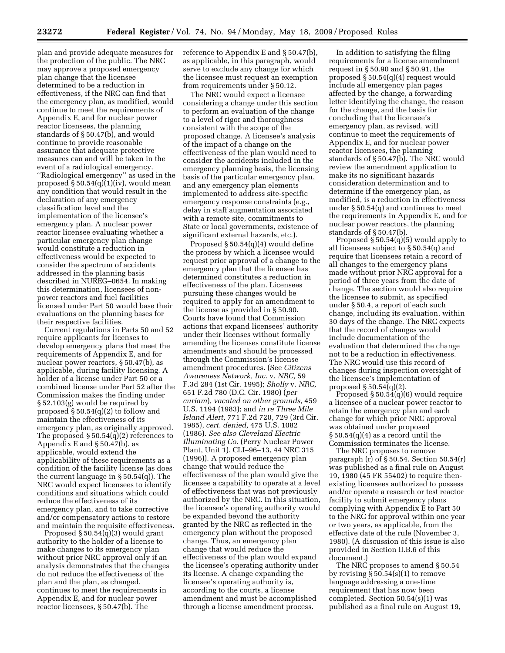plan and provide adequate measures for the protection of the public. The NRC may approve a proposed emergency plan change that the licensee determined to be a reduction in effectiveness, if the NRC can find that the emergency plan, as modified, would continue to meet the requirements of Appendix E, and for nuclear power reactor licensees, the planning standards of § 50.47(b), and would continue to provide reasonable assurance that adequate protective measures can and will be taken in the event of a radiological emergency. ''Radiological emergency'' as used in the proposed § 50.54(q)(1)(iv), would mean any condition that would result in the declaration of any emergency classification level and the implementation of the licensee's emergency plan. A nuclear power reactor licensee evaluating whether a particular emergency plan change would constitute a reduction in effectiveness would be expected to consider the spectrum of accidents addressed in the planning basis described in NUREG–0654. In making this determination, licensees of nonpower reactors and fuel facilities licensed under Part 50 would base their evaluations on the planning bases for their respective facilities.

Current regulations in Parts 50 and 52 require applicants for licenses to develop emergency plans that meet the requirements of Appendix E, and for nuclear power reactors, § 50.47(b), as applicable, during facility licensing. A holder of a license under Part 50 or a combined license under Part 52 after the Commission makes the finding under § 52.103(g) would be required by proposed § 50.54(q)(2) to follow and maintain the effectiveness of its emergency plan, as originally approved. The proposed § 50.54(q)(2) references to Appendix E and  $\S 50.47(b)$ , as applicable, would extend the applicability of these requirements as a condition of the facility license (as does the current language in § 50.54(q)). The NRC would expect licensees to identify conditions and situations which could reduce the effectiveness of its emergency plan, and to take corrective and/or compensatory actions to restore and maintain the requisite effectiveness.

Proposed § 50.54(q)(3) would grant authority to the holder of a license to make changes to its emergency plan without prior NRC approval only if an analysis demonstrates that the changes do not reduce the effectiveness of the plan and the plan, as changed, continues to meet the requirements in Appendix E, and for nuclear power reactor licensees, § 50.47(b). The

reference to Appendix E and § 50.47(b), as applicable, in this paragraph, would serve to exclude any change for which the licensee must request an exemption from requirements under § 50.12.

The NRC would expect a licensee considering a change under this section to perform an evaluation of the change to a level of rigor and thoroughness consistent with the scope of the proposed change. A licensee's analysis of the impact of a change on the effectiveness of the plan would need to consider the accidents included in the emergency planning basis, the licensing basis of the particular emergency plan, and any emergency plan elements implemented to address site-specific emergency response constraints (e.g., delay in staff augmentation associated with a remote site, commitments to State or local governments, existence of significant external hazards, etc.).

Proposed § 50.54(q)(4) would define the process by which a licensee would request prior approval of a change to the emergency plan that the licensee has determined constitutes a reduction in effectiveness of the plan. Licensees pursuing these changes would be required to apply for an amendment to the license as provided in § 50.90. Courts have found that Commission actions that expand licensees' authority under their licenses without formally amending the licenses constitute license amendments and should be processed through the Commission's license amendment procedures. (See *Citizens Awareness Network, Inc.* v. *NRC,* 59 F.3d 284 (1st Cir. 1995); *Sholly* v. *NRC,*  651 F.2d 780 (D.C. Cir. 1980) (*per curiam*), *vacated on other grounds,* 459 U.S. 1194 (1983); and *in re Three Mile Island Alert,* 771 F.2d 720, 729 (3rd Cir. 1985), *cert. denied,* 475 U.S. 1082 (1986). *See also Cleveland Electric Illuminating Co.* (Perry Nuclear Power Plant, Unit 1), CLI–96–13, 44 NRC 315 (1996)). A proposed emergency plan change that would reduce the effectiveness of the plan would give the licensee a capability to operate at a level of effectiveness that was not previously authorized by the NRC. In this situation, the licensee's operating authority would be expanded beyond the authority granted by the NRC as reflected in the emergency plan without the proposed change. Thus, an emergency plan change that would reduce the effectiveness of the plan would expand the licensee's operating authority under its license. A change expanding the licensee's operating authority is, according to the courts, a license amendment and must be accomplished through a license amendment process.

In addition to satisfying the filing requirements for a license amendment request in § 50.90 and § 50.91, the proposed § 50.54(q)(4) request would include all emergency plan pages affected by the change, a forwarding letter identifying the change, the reason for the change, and the basis for concluding that the licensee's emergency plan, as revised, will continue to meet the requirements of Appendix E, and for nuclear power reactor licensees, the planning standards of § 50.47(b). The NRC would review the amendment application to make its no significant hazards consideration determination and to determine if the emergency plan, as modified, is a reduction in effectiveness under § 50.54(q) and continues to meet the requirements in Appendix E, and for nuclear power reactors, the planning standards of § 50.47(b).

Proposed § 50.54(q)(5) would apply to all licensees subject to § 50.54(q) and require that licensees retain a record of all changes to the emergency plans made without prior NRC approval for a period of three years from the date of change. The section would also require the licensee to submit, as specified under § 50.4, a report of each such change, including its evaluation, within 30 days of the change. The NRC expects that the record of changes would include documentation of the evaluation that determined the change not to be a reduction in effectiveness. The NRC would use this record of changes during inspection oversight of the licensee's implementation of proposed  $\S 50.54(q)(2)$ .

Proposed  $\S 50.54(q)(6)$  would require a licensee of a nuclear power reactor to retain the emergency plan and each change for which prior NRC approval was obtained under proposed  $\S 50.54(q)(4)$  as a record until the Commission terminates the license.

The NRC proposes to remove paragraph  $(r)$  of  $\S 50.54$ . Section  $50.54(r)$ was published as a final rule on August 19, 1980 (45 FR 55402) to require thenexisting licensees authorized to possess and/or operate a research or test reactor facility to submit emergency plans complying with Appendix E to Part 50 to the NRC for approval within one year or two years, as applicable, from the effective date of the rule (November 3, 1980). (A discussion of this issue is also provided in Section II.B.6 of this document.)

The NRC proposes to amend § 50.54 by revising  $\S 50.54(s)(1)$  to remove language addressing a one-time requirement that has now been completed. Section 50.54(s)(1) was published as a final rule on August 19,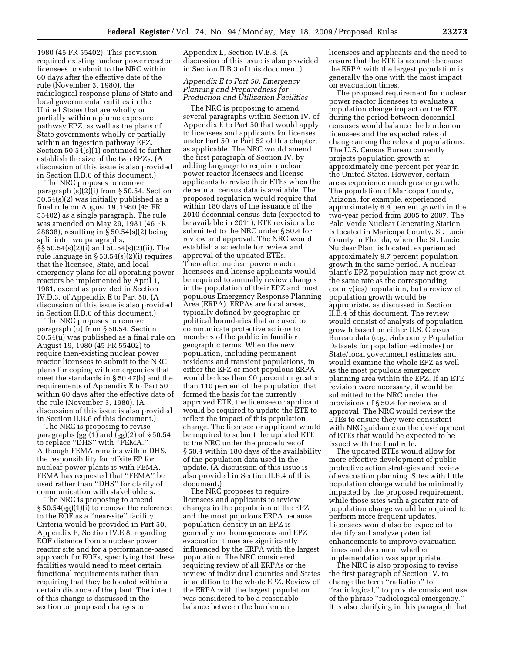1980 (45 FR 55402). This provision required existing nuclear power reactor licensees to submit to the NRC within 60 days after the effective date of the rule (November 3, 1980), the radiological response plans of State and local governmental entities in the United States that are wholly or partially within a plume exposure pathway EPZ, as well as the plans of State governments wholly or partially within an ingestion pathway EPZ. Section 50.54(s)(1) continued to further establish the size of the two EPZs. (A discussion of this issue is also provided in Section II.B.6 of this document.)

The NRC proposes to remove paragraph (s)(2)(i) from § 50.54. Section 50.54(s)(2) was initially published as a final rule on August 19, 1980 (45 FR 55402) as a single paragraph. The rule was amended on May 29, 1981 (46 FR 28838), resulting in § 50.54(s)(2) being split into two paragraphs, §§ 50.54(s)(2)(i) and 50.54(s)(2)(ii). The rule language in § 50.54(s)(2)(i) requires that the licensee, State, and local emergency plans for all operating power reactors be implemented by April 1, 1981, except as provided in Section IV.D.3. of Appendix E to Part 50. (A discussion of this issue is also provided in Section II.B.6 of this document.)

The NRC proposes to remove paragraph (u) from § 50.54. Section 50.54(u) was published as a final rule on August 19, 1980 (45 FR 55402) to require then-existing nuclear power reactor licensees to submit to the NRC plans for coping with emergencies that meet the standards in § 50.47(b) and the requirements of Appendix E to Part 50 within 60 days after the effective date of the rule (November 3, 1980). (A discussion of this issue is also provided in Section II.B.6 of this document.)

The NRC is proposing to revise paragraphs (gg)(1) and (gg)(2) of § 50.54 to replace ''DHS'' with ''FEMA.'' Although FEMA remains within DHS, the responsibility for offsite EP for nuclear power plants is with FEMA. FEMA has requested that ''FEMA'' be used rather than ''DHS'' for clarity of communication with stakeholders.

The NRC is proposing to amend § 50.54(gg)(1)(i) to remove the reference to the EOF as a ''near-site'' facility. Criteria would be provided in Part 50, Appendix E, Section IV.E.8. regarding EOF distance from a nuclear power reactor site and for a performance-based approach for EOFs, specifying that these facilities would need to meet certain functional requirements rather than requiring that they be located within a certain distance of the plant. The intent of this change is discussed in the section on proposed changes to

Appendix E, Section IV.E.8. (A discussion of this issue is also provided in Section II.B.3 of this document.)

# *Appendix E to Part 50, Emergency Planning and Preparedness for Production and Utilization Facilities*

The NRC is proposing to amend several paragraphs within Section IV. of Appendix E to Part 50 that would apply to licensees and applicants for licenses under Part 50 or Part 52 of this chapter, as applicable. The NRC would amend the first paragraph of Section IV. by adding language to require nuclear power reactor licensees and license applicants to revise their ETEs when the decennial census data is available. The proposed regulation would require that within 180 days of the issuance of the 2010 decennial census data (expected to be available in 2011), ETE revisions be submitted to the NRC under § 50.4 for review and approval. The NRC would establish a schedule for review and approval of the updated ETEs. Thereafter, nuclear power reactor licensees and license applicants would be required to annually review changes in the population of their EPZ and most populous Emergency Response Planning Area (ERPA). ERPAs are local areas, typically defined by geographic or political boundaries that are used to communicate protective actions to members of the public in familiar geographic terms. When the new population, including permanent residents and transient populations, in either the EPZ or most populous ERPA would be less than 90 percent or greater than 110 percent of the population that formed the basis for the currently approved ETE, the licensee or applicant would be required to update the ETE to reflect the impact of this population change. The licensee or applicant would be required to submit the updated ETE to the NRC under the procedures of § 50.4 within 180 days of the availability of the population data used in the update. (A discussion of this issue is also provided in Section II.B.4 of this document.)

The NRC proposes to require licensees and applicants to review changes in the population of the EPZ and the most populous ERPA because population density in an EPZ is generally not homogeneous and EPZ evacuation times are significantly influenced by the ERPA with the largest population. The NRC considered requiring review of all ERPAs or the review of individual counties and States in addition to the whole EPZ. Review of the ERPA with the largest population was considered to be a reasonable balance between the burden on

licensees and applicants and the need to ensure that the ETE is accurate because the ERPA with the largest population is generally the one with the most impact on evacuation times.

The proposed requirement for nuclear power reactor licensees to evaluate a population change impact on the ETE during the period between decennial censuses would balance the burden on licensees and the expected rates of change among the relevant populations. The U.S. Census Bureau currently projects population growth at approximately one percent per year in the United States. However, certain areas experience much greater growth. The population of Maricopa County, Arizona, for example, experienced approximately 6.4 percent growth in the two-year period from 2005 to 2007. The Palo Verde Nuclear Generating Station is located in Maricopa County. St. Lucie County in Florida, where the St. Lucie Nuclear Plant is located, experienced approximately 9.7 percent population growth in the same period. A nuclear plant's EPZ population may not grow at the same rate as the corresponding county(ies) population, but a review of population growth would be appropriate, as discussed in Section II.B.4 of this document. The review would consist of analysis of population growth based on either U.S. Census Bureau data (e.g., Subcounty Population Datasets for population estimates) or State/local government estimates and would examine the whole EPZ as well as the most populous emergency planning area within the EPZ. If an ETE revision were necessary, it would be submitted to the NRC under the provisions of § 50.4 for review and approval. The NRC would review the ETEs to ensure they were consistent with NRC guidance on the development of ETEs that would be expected to be issued with the final rule.

The updated ETEs would allow for more effective development of public protective action strategies and review of evacuation planning. Sites with little population change would be minimally impacted by the proposed requirement, while those sites with a greater rate of population change would be required to perform more frequent updates. Licensees would also be expected to identify and analyze potential enhancements to improve evacuation times and document whether implementation was appropriate.

The NRC is also proposing to revise the first paragraph of Section IV. to change the term ''radiation'' to ''radiological,'' to provide consistent use of the phrase ''radiological emergency.'' It is also clarifying in this paragraph that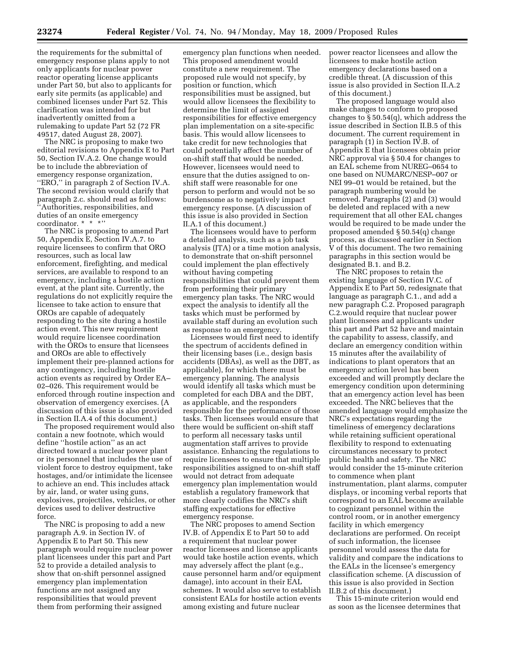the requirements for the submittal of emergency response plans apply to not only applicants for nuclear power reactor operating license applicants under Part 50, but also to applicants for early site permits (as applicable) and combined licenses under Part 52. This clarification was intended for but inadvertently omitted from a rulemaking to update Part 52 (72 FR 49517, dated August 28, 2007).

The NRC is proposing to make two editorial revisions to Appendix E to Part 50, Section IV.A.2. One change would be to include the abbreviation of emergency response organization, ''ERO,'' in paragraph 2 of Section IV.A. The second revision would clarify that paragraph 2.c. should read as follows: ''Authorities, responsibilities, and duties of an onsite emergency coordinator. \* \* \*''

The NRC is proposing to amend Part 50, Appendix E, Section IV.A.7. to require licensees to confirm that ORO resources, such as local law enforcement, firefighting, and medical services, are available to respond to an emergency, including a hostile action event, at the plant site. Currently, the regulations do not explicitly require the licensee to take action to ensure that OROs are capable of adequately responding to the site during a hostile action event. This new requirement would require licensee coordination with the OROs to ensure that licensees and OROs are able to effectively implement their pre-planned actions for any contingency, including hostile action events as required by Order EA– 02–026. This requirement would be enforced through routine inspection and observation of emergency exercises. (A discussion of this issue is also provided in Section II.A.4 of this document.)

The proposed requirement would also contain a new footnote, which would define ''hostile action'' as an act directed toward a nuclear power plant or its personnel that includes the use of violent force to destroy equipment, take hostages, and/or intimidate the licensee to achieve an end. This includes attack by air, land, or water using guns, explosives, projectiles, vehicles, or other devices used to deliver destructive force.

The NRC is proposing to add a new paragraph A.9. in Section IV. of Appendix E to Part 50. This new paragraph would require nuclear power plant licensees under this part and Part 52 to provide a detailed analysis to show that on-shift personnel assigned emergency plan implementation functions are not assigned any responsibilities that would prevent them from performing their assigned

emergency plan functions when needed. This proposed amendment would constitute a new requirement. The proposed rule would not specify, by position or function, which responsibilities must be assigned, but would allow licensees the flexibility to determine the limit of assigned responsibilities for effective emergency plan implementation on a site-specific basis. This would allow licensees to take credit for new technologies that could potentially affect the number of on-shift staff that would be needed. However, licensees would need to ensure that the duties assigned to onshift staff were reasonable for one person to perform and would not be so burdensome as to negatively impact emergency response. (A discussion of this issue is also provided in Section II.A.1 of this document.)

The licensees would have to perform a detailed analysis, such as a job task analysis (JTA) or a time motion analysis, to demonstrate that on-shift personnel could implement the plan effectively without having competing responsibilities that could prevent them from performing their primary emergency plan tasks. The NRC would expect the analysis to identify all the tasks which must be performed by available staff during an evolution such as response to an emergency.

Licensees would first need to identify the spectrum of accidents defined in their licensing bases (i.e., design basis accidents (DBAs), as well as the DBT, as applicable), for which there must be emergency planning. The analysis would identify all tasks which must be completed for each DBA and the DBT, as applicable, and the responders responsible for the performance of those tasks. Then licensees would ensure that there would be sufficient on-shift staff to perform all necessary tasks until augmentation staff arrives to provide assistance. Enhancing the regulations to require licensees to ensure that multiple responsibilities assigned to on-shift staff would not detract from adequate emergency plan implementation would establish a regulatory framework that more clearly codifies the NRC's shift staffing expectations for effective emergency response.

The NRC proposes to amend Section IV.B. of Appendix E to Part 50 to add a requirement that nuclear power reactor licensees and license applicants would take hostile action events, which may adversely affect the plant (e.g., cause personnel harm and/or equipment damage), into account in their EAL schemes. It would also serve to establish consistent EALs for hostile action events among existing and future nuclear

power reactor licensees and allow the licensees to make hostile action emergency declarations based on a credible threat. (A discussion of this issue is also provided in Section II.A.2 of this document.)

The proposed language would also make changes to conform to proposed changes to § 50.54(q), which address the issue described in Section II.B.5 of this document. The current requirement in paragraph (1) in Section IV.B. of Appendix E that licensees obtain prior NRC approval via § 50.4 for changes to an EAL scheme from NUREG–0654 to one based on NUMARC/NESP–007 or NEI 99–01 would be retained, but the paragraph numbering would be removed. Paragraphs (2) and (3) would be deleted and replaced with a new requirement that all other EAL changes would be required to be made under the proposed amended § 50.54(q) change process, as discussed earlier in Section V of this document. The two remaining paragraphs in this section would be designated B.1. and B.2.

The NRC proposes to retain the existing language of Section IV.C. of Appendix E to Part 50, redesignate that language as paragraph C.1., and add a new paragraph C.2. Proposed paragraph C.2.would require that nuclear power plant licensees and applicants under this part and Part 52 have and maintain the capability to assess, classify, and declare an emergency condition within 15 minutes after the availability of indications to plant operators that an emergency action level has been exceeded and will promptly declare the emergency condition upon determining that an emergency action level has been exceeded. The NRC believes that the amended language would emphasize the NRC's expectations regarding the timeliness of emergency declarations while retaining sufficient operational flexibility to respond to extenuating circumstances necessary to protect public health and safety. The NRC would consider the 15-minute criterion to commence when plant instrumentation, plant alarms, computer displays, or incoming verbal reports that correspond to an EAL become available to cognizant personnel within the control room, or in another emergency facility in which emergency declarations are performed. On receipt of such information, the licensee personnel would assess the data for validity and compare the indications to the EALs in the licensee's emergency classification scheme. (A discussion of this issue is also provided in Section II.B.2 of this document.)

This 15-minute criterion would end as soon as the licensee determines that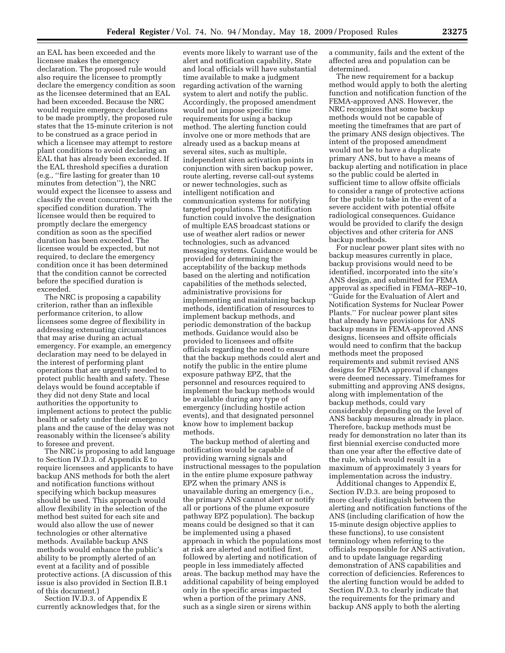an EAL has been exceeded and the licensee makes the emergency declaration. The proposed rule would also require the licensee to promptly declare the emergency condition as soon as the licensee determined that an EAL had been exceeded. Because the NRC would require emergency declarations to be made promptly, the proposed rule states that the 15-minute criterion is not to be construed as a grace period in which a licensee may attempt to restore plant conditions to avoid declaring an EAL that has already been exceeded. If the EAL threshold specifies a duration (e.g., ''fire lasting for greater than 10 minutes from detection''), the NRC would expect the licensee to assess and classify the event concurrently with the specified condition duration. The licensee would then be required to promptly declare the emergency condition as soon as the specified duration has been exceeded. The licensee would be expected, but not required, to declare the emergency condition once it has been determined that the condition cannot be corrected before the specified duration is exceeded.

The NRC is proposing a capability criterion, rather than an inflexible performance criterion, to allow licensees some degree of flexibility in addressing extenuating circumstances that may arise during an actual emergency. For example, an emergency declaration may need to be delayed in the interest of performing plant operations that are urgently needed to protect public health and safety. These delays would be found acceptable if they did not deny State and local authorities the opportunity to implement actions to protect the public health or safety under their emergency plans and the cause of the delay was not reasonably within the licensee's ability to foresee and prevent.

The NRC is proposing to add language to Section IV.D.3. of Appendix E to require licensees and applicants to have backup ANS methods for both the alert and notification functions without specifying which backup measures should be used. This approach would allow flexibility in the selection of the method best suited for each site and would also allow the use of newer technologies or other alternative methods. Available backup ANS methods would enhance the public's ability to be promptly alerted of an event at a facility and of possible protective actions. (A discussion of this issue is also provided in Section II.B.1 of this document.)

Section IV.D.3. of Appendix E currently acknowledges that, for the

events more likely to warrant use of the alert and notification capability, State and local officials will have substantial time available to make a judgment regarding activation of the warning system to alert and notify the public. Accordingly, the proposed amendment would not impose specific time requirements for using a backup method. The alerting function could involve one or more methods that are already used as a backup means at several sites, such as multiple, independent siren activation points in conjunction with siren backup power, route alerting, reverse call-out systems or newer technologies, such as intelligent notification and communication systems for notifying targeted populations. The notification function could involve the designation of multiple EAS broadcast stations or use of weather alert radios or newer technologies, such as advanced messaging systems. Guidance would be provided for determining the acceptability of the backup methods based on the alerting and notification capabilities of the methods selected, administrative provisions for implementing and maintaining backup methods, identification of resources to implement backup methods, and periodic demonstration of the backup methods. Guidance would also be provided to licensees and offsite officials regarding the need to ensure that the backup methods could alert and notify the public in the entire plume exposure pathway EPZ, that the personnel and resources required to implement the backup methods would be available during any type of emergency (including hostile action events), and that designated personnel know how to implement backup methods.

The backup method of alerting and notification would be capable of providing warning signals and instructional messages to the population in the entire plume exposure pathway EPZ when the primary ANS is unavailable during an emergency (i.e., the primary ANS cannot alert or notify all or portions of the plume exposure pathway EPZ population). The backup means could be designed so that it can be implemented using a phased approach in which the populations most at risk are alerted and notified first, followed by alerting and notification of people in less immediately affected areas. The backup method may have the additional capability of being employed only in the specific areas impacted when a portion of the primary ANS, such as a single siren or sirens within

a community, fails and the extent of the affected area and population can be determined.

The new requirement for a backup method would apply to both the alerting function and notification function of the FEMA-approved ANS. However, the NRC recognizes that some backup methods would not be capable of meeting the timeframes that are part of the primary ANS design objectives. The intent of the proposed amendment would not be to have a duplicate primary ANS, but to have a means of backup alerting and notification in place so the public could be alerted in sufficient time to allow offsite officials to consider a range of protective actions for the public to take in the event of a severe accident with potential offsite radiological consequences. Guidance would be provided to clarify the design objectives and other criteria for ANS backup methods.

For nuclear power plant sites with no backup measures currently in place, backup provisions would need to be identified, incorporated into the site's ANS design, and submitted for FEMA approval as specified in FEMA–REP–10, ''Guide for the Evaluation of Alert and Notification Systems for Nuclear Power Plants.'' For nuclear power plant sites that already have provisions for ANS backup means in FEMA-approved ANS designs, licensees and offsite officials would need to confirm that the backup methods meet the proposed requirements and submit revised ANS designs for FEMA approval if changes were deemed necessary. Timeframes for submitting and approving ANS designs, along with implementation of the backup methods, could vary considerably depending on the level of ANS backup measures already in place. Therefore, backup methods must be ready for demonstration no later than its first biennial exercise conducted more than one year after the effective date of the rule, which would result in a maximum of approximately 3 years for implementation across the industry.

Additional changes to Appendix E, Section IV.D.3. are being proposed to more clearly distinguish between the alerting and notification functions of the ANS (including clarification of how the 15-minute design objective applies to these functions), to use consistent terminology when referring to the officials responsible for ANS activation, and to update language regarding demonstration of ANS capabilities and correction of deficiencies. References to the alerting function would be added to Section IV.D.3. to clearly indicate that the requirements for the primary and backup ANS apply to both the alerting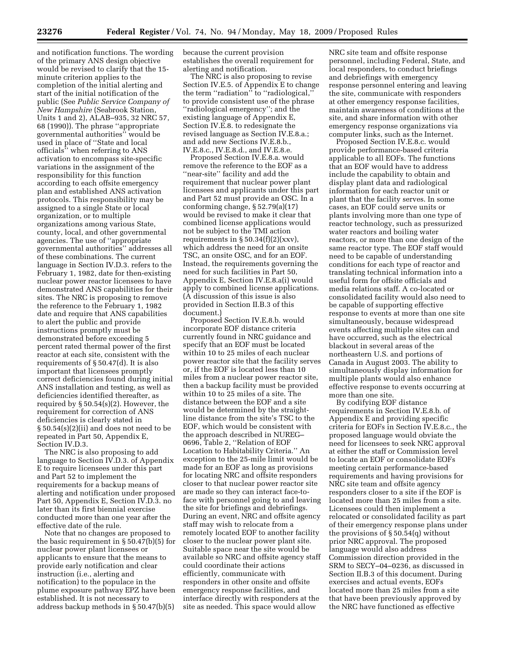and notification functions. The wording of the primary ANS design objective would be revised to clarify that the 15 minute criterion applies to the completion of the initial alerting and start of the initial notification of the public (See *Public Service Company of New Hampshire* (Seabrook Station, Units 1 and 2), ALAB–935, 32 NRC 57, 68 (1990)). The phrase ''appropriate governmental authorities'' would be used in place of ''State and local officials'' when referring to ANS activation to encompass site-specific variations in the assignment of the responsibility for this function according to each offsite emergency plan and established ANS activation protocols. This responsibility may be assigned to a single State or local organization, or to multiple organizations among various State, county, local, and other governmental agencies. The use of ''appropriate governmental authorities'' addresses all of these combinations. The current language in Section IV.D.3. refers to the February 1, 1982, date for then-existing nuclear power reactor licensees to have demonstrated ANS capabilities for their sites. The NRC is proposing to remove the reference to the February 1, 1982 date and require that ANS capabilities to alert the public and provide instructions promptly must be demonstrated before exceeding 5 percent rated thermal power of the first reactor at each site, consistent with the requirements of § 50.47(d). It is also important that licensees promptly correct deficiencies found during initial ANS installation and testing, as well as deficiencies identified thereafter, as required by § 50.54(s)(2). However, the requirement for correction of ANS deficiencies is clearly stated in § 50.54(s)(2)(ii) and does not need to be repeated in Part 50, Appendix E, Section IV.D.3.

The NRC is also proposing to add language to Section IV.D.3. of Appendix E to require licensees under this part and Part 52 to implement the requirements for a backup means of alerting and notification under proposed Part 50, Appendix E, Section IV.D.3. no later than its first biennial exercise conducted more than one year after the effective date of the rule.

Note that no changes are proposed to the basic requirement in § 50.47(b)(5) for nuclear power plant licensees or applicants to ensure that the means to provide early notification and clear instruction (i.e., alerting and notification) to the populace in the plume exposure pathway EPZ have been established. It is not necessary to address backup methods in § 50.47(b)(5)

because the current provision establishes the overall requirement for alerting and notification.

The NRC is also proposing to revise Section IV.E.5. of Appendix E to change the term ''radiation'' to ''radiological,'' to provide consistent use of the phrase ''radiological emergency''; and the existing language of Appendix E, Section IV.E.8. to redesignate the revised language as Section IV.E.8.a.; and add new Sections IV.E.8.b., IV.E.8.c., IV.E.8.d., and IV.E.8.e.

Proposed Section IV.E.8.a. would remove the reference to the EOF as a ''near-site'' facility and add the requirement that nuclear power plant licensees and applicants under this part and Part 52 must provide an OSC. In a conforming change, § 52.79(a)(17) would be revised to make it clear that combined license applications would not be subject to the TMI action requirements in  $\S 50.34(f)(2)(xx)$ , which address the need for an onsite TSC, an onsite OSC, and for an EOF. Instead, the requirements governing the need for such facilities in Part 50, Appendix E, Section IV.E.8.a(i) would apply to combined license applications. (A discussion of this issue is also provided in Section II.B.3 of this document.)

Proposed Section IV.E.8.b. would incorporate EOF distance criteria currently found in NRC guidance and specify that an EOF must be located within 10 to 25 miles of each nuclear power reactor site that the facility serves or, if the EOF is located less than 10 miles from a nuclear power reactor site, then a backup facility must be provided within 10 to 25 miles of a site. The distance between the EOF and a site would be determined by the straightline distance from the site's TSC to the EOF, which would be consistent with the approach described in NUREG– 0696, Table 2, ''Relation of EOF Location to Habitability Criteria.'' An exception to the 25-mile limit would be made for an EOF as long as provisions for locating NRC and offsite responders closer to that nuclear power reactor site are made so they can interact face-toface with personnel going to and leaving the site for briefings and debriefings. During an event, NRC and offsite agency staff may wish to relocate from a remotely located EOF to another facility closer to the nuclear power plant site. Suitable space near the site would be available so NRC and offsite agency staff could coordinate their actions efficiently, communicate with responders in other onsite and offsite emergency response facilities, and interface directly with responders at the site as needed. This space would allow

NRC site team and offsite response personnel, including Federal, State, and local responders, to conduct briefings and debriefings with emergency response personnel entering and leaving the site, communicate with responders at other emergency response facilities, maintain awareness of conditions at the site, and share information with other emergency response organizations via computer links, such as the Internet.

Proposed Section IV.E.8.c. would provide performance-based criteria applicable to all EOFs. The functions that an EOF would have to address include the capability to obtain and display plant data and radiological information for each reactor unit or plant that the facility serves. In some cases, an EOF could serve units or plants involving more than one type of reactor technology, such as pressurized water reactors and boiling water reactors, or more than one design of the same reactor type. The EOF staff would need to be capable of understanding conditions for each type of reactor and translating technical information into a useful form for offsite officials and media relations staff. A co-located or consolidated facility would also need to be capable of supporting effective response to events at more than one site simultaneously, because widespread events affecting multiple sites can and have occurred, such as the electrical blackout in several areas of the northeastern U.S. and portions of Canada in August 2003. The ability to simultaneously display information for multiple plants would also enhance effective response to events occurring at more than one site.

By codifying EOF distance requirements in Section IV.E.8.b. of Appendix E and providing specific criteria for EOFs in Section IV.E.8.c., the proposed language would obviate the need for licensees to seek NRC approval at either the staff or Commission level to locate an EOF or consolidate EOFs meeting certain performance-based requirements and having provisions for NRC site team and offsite agency responders closer to a site if the EOF is located more than 25 miles from a site. Licensees could then implement a relocated or consolidated facility as part of their emergency response plans under the provisions of § 50.54(q) without prior NRC approval. The proposed language would also address Commission direction provided in the SRM to SECY–04–0236, as discussed in Section II.B.3 of this document. During exercises and actual events, EOFs located more than 25 miles from a site that have been previously approved by the NRC have functioned as effective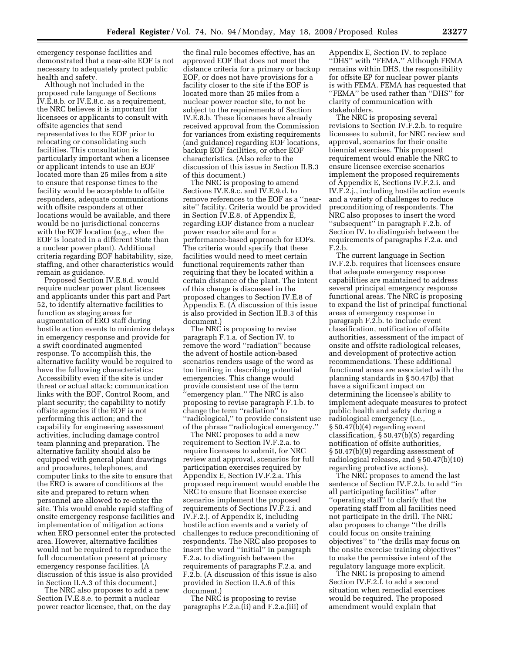emergency response facilities and demonstrated that a near-site EOF is not necessary to adequately protect public health and safety.

Although not included in the proposed rule language of Sections IV.E.8.b. or IV.E.8.c. as a requirement, the NRC believes it is important for licensees or applicants to consult with offsite agencies that send representatives to the EOF prior to relocating or consolidating such facilities. This consultation is particularly important when a licensee or applicant intends to use an EOF located more than 25 miles from a site to ensure that response times to the facility would be acceptable to offsite responders, adequate communications with offsite responders at other locations would be available, and there would be no jurisdictional concerns with the EOF location (e.g., when the EOF is located in a different State than a nuclear power plant). Additional criteria regarding EOF habitability, size, staffing, and other characteristics would remain as guidance.

Proposed Section IV.E.8.d. would require nuclear power plant licensees and applicants under this part and Part 52, to identify alternative facilities to function as staging areas for augmentation of ERO staff during hostile action events to minimize delays in emergency response and provide for a swift coordinated augmented response. To accomplish this, the alternative facility would be required to have the following characteristics: Accessibility even if the site is under threat or actual attack; communication links with the EOF, Control Room, and plant security; the capability to notify offsite agencies if the EOF is not performing this action; and the capability for engineering assessment activities, including damage control team planning and preparation. The alternative facility should also be equipped with general plant drawings and procedures, telephones, and computer links to the site to ensure that the ERO is aware of conditions at the site and prepared to return when personnel are allowed to re-enter the site. This would enable rapid staffing of onsite emergency response facilities and implementation of mitigation actions when ERO personnel enter the protected area. However, alternative facilities would not be required to reproduce the full documentation present at primary emergency response facilities. (A discussion of this issue is also provided in Section II.A.3 of this document.)

The NRC also proposes to add a new Section IV.E.8.e. to permit a nuclear power reactor licensee, that, on the day

the final rule becomes effective, has an approved EOF that does not meet the distance criteria for a primary or backup EOF, or does not have provisions for a facility closer to the site if the EOF is located more than 25 miles from a nuclear power reactor site, to not be subject to the requirements of Section IV.E.8.b. These licensees have already received approval from the Commission for variances from existing requirements (and guidance) regarding EOF locations, backup EOF facilities, or other EOF characteristics. (Also refer to the discussion of this issue in Section II.B.3 of this document.)

The NRC is proposing to amend Sections IV.E.9.c. and IV.E.9.d. to remove references to the EOF as a ''nearsite'' facility. Criteria would be provided in Section IV.E.8. of Appendix E, regarding EOF distance from a nuclear power reactor site and for a performance-based approach for EOFs. The criteria would specify that these facilities would need to meet certain functional requirements rather than requiring that they be located within a certain distance of the plant. The intent of this change is discussed in the proposed changes to Section IV.E.8 of Appendix E. (A discussion of this issue is also provided in Section II.B.3 of this document.)

The NRC is proposing to revise paragraph F.1.a. of Section IV. to remove the word ''radiation'' because the advent of hostile action-based scenarios renders usage of the word as too limiting in describing potential emergencies. This change would provide consistent use of the term ''emergency plan.'' The NRC is also proposing to revise paragraph F.1.b. to change the term ''radiation'' to ''radiological,'' to provide consistent use of the phrase ''radiological emergency.''

The NRC proposes to add a new requirement to Section IV.F.2.a. to require licensees to submit, for NRC review and approval, scenarios for full participation exercises required by Appendix E, Section IV.F.2.a. This proposed requirement would enable the NRC to ensure that licensee exercise scenarios implement the proposed requirements of Sections IV.F.2.i. and IV.F.2.j. of Appendix E, including hostile action events and a variety of challenges to reduce preconditioning of respondents. The NRC also proposes to insert the word ''initial'' in paragraph F.2.a. to distinguish between the requirements of paragraphs F.2.a. and F.2.b. (A discussion of this issue is also provided in Section II.A.6 of this document.)

The NRC is proposing to revise paragraphs F.2.a.(ii) and F.2.a.(iii) of

Appendix E, Section IV. to replace ''DHS'' with ''FEMA.'' Although FEMA remains within DHS, the responsibility for offsite EP for nuclear power plants is with FEMA. FEMA has requested that ''FEMA'' be used rather than ''DHS'' for clarity of communication with stakeholders.

The NRC is proposing several revisions to Section IV.F.2.b. to require licensees to submit, for NRC review and approval, scenarios for their onsite biennial exercises. This proposed requirement would enable the NRC to ensure licensee exercise scenarios implement the proposed requirements of Appendix E, Sections IV.F.2.i. and IV.F.2.j., including hostile action events and a variety of challenges to reduce preconditioning of respondents. The NRC also proposes to insert the word ''subsequent'' in paragraph F.2.b. of Section IV. to distinguish between the requirements of paragraphs F.2.a. and F.2.b.

The current language in Section IV.F.2.b. requires that licensees ensure that adequate emergency response capabilities are maintained to address several principal emergency response functional areas. The NRC is proposing to expand the list of principal functional areas of emergency response in paragraph F.2.b. to include event classification, notification of offsite authorities, assessment of the impact of onsite and offsite radiological releases, and development of protective action recommendations. These additional functional areas are associated with the planning standards in § 50.47(b) that have a significant impact on determining the licensee's ability to implement adequate measures to protect public health and safety during a radiological emergency (i.e., § 50.47(b)(4) regarding event classification, § 50.47(b)(5) regarding notification of offsite authorities, § 50.47(b)(9) regarding assessment of radiological releases, and § 50.47(b)(10) regarding protective actions).

The NRC proposes to amend the last sentence of Section IV.F.2.b. to add ''in all participating facilities'' after ''operating staff'' to clarify that the operating staff from all facilities need not participate in the drill. The NRC also proposes to change ''the drills could focus on onsite training objectives'' to ''the drills may focus on the onsite exercise training objectives'' to make the permissive intent of the regulatory language more explicit.

The NRC is proposing to amend Section IV.F.2.f. to add a second situation when remedial exercises would be required. The proposed amendment would explain that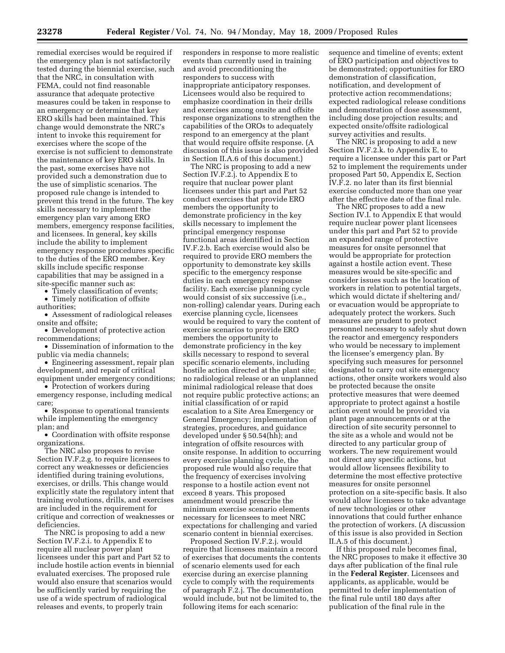remedial exercises would be required if the emergency plan is not satisfactorily tested during the biennial exercise, such that the NRC, in consultation with FEMA, could not find reasonable assurance that adequate protective measures could be taken in response to an emergency or determine that key ERO skills had been maintained. This change would demonstrate the NRC's intent to invoke this requirement for exercises where the scope of the exercise is not sufficient to demonstrate the maintenance of key ERO skills. In the past, some exercises have not provided such a demonstration due to the use of simplistic scenarios. The proposed rule change is intended to prevent this trend in the future. The key skills necessary to implement the emergency plan vary among ERO members, emergency response facilities, and licensees. In general, key skills include the ability to implement emergency response procedures specific to the duties of the ERO member. Key skills include specific response capabilities that may be assigned in a site-specific manner such as:

Timely classification of events;

• Timely notification of offsite authorities;

• Assessment of radiological releases onsite and offsite;

• Development of protective action recommendations;

• Dissemination of information to the public via media channels;

• Engineering assessment, repair plan development, and repair of critical equipment under emergency conditions;

• Protection of workers during emergency response, including medical care;

• Response to operational transients while implementing the emergency plan; and

• Coordination with offsite response organizations.

The NRC also proposes to revise Section IV.F.2.g. to require licensees to correct any weaknesses or deficiencies identified during training evolutions, exercises, or drills. This change would explicitly state the regulatory intent that training evolutions, drills, and exercises are included in the requirement for critique and correction of weaknesses or deficiencies.

The NRC is proposing to add a new Section IV.F.2.i. to Appendix E to require all nuclear power plant licensees under this part and Part 52 to include hostile action events in biennial evaluated exercises. The proposed rule would also ensure that scenarios would be sufficiently varied by requiring the use of a wide spectrum of radiological releases and events, to properly train

responders in response to more realistic events than currently used in training and avoid preconditioning the responders to success with inappropriate anticipatory responses. Licensees would also be required to emphasize coordination in their drills and exercises among onsite and offsite response organizations to strengthen the capabilities of the OROs to adequately respond to an emergency at the plant that would require offsite response. (A discussion of this issue is also provided in Section II.A.6 of this document.)

The NRC is proposing to add a new Section IV.F.2.j. to Appendix E to require that nuclear power plant licensees under this part and Part 52 conduct exercises that provide ERO members the opportunity to demonstrate proficiency in the key skills necessary to implement the principal emergency response functional areas identified in Section IV.F.2.b. Each exercise would also be required to provide ERO members the opportunity to demonstrate key skills specific to the emergency response duties in each emergency response facility. Each exercise planning cycle would consist of six successive (i.e., non-rolling) calendar years. During each exercise planning cycle, licensees would be required to vary the content of exercise scenarios to provide ERO members the opportunity to demonstrate proficiency in the key skills necessary to respond to several specific scenario elements, including hostile action directed at the plant site; no radiological release or an unplanned minimal radiological release that does not require public protective actions; an initial classification of or rapid escalation to a Site Area Emergency or General Emergency; implementation of strategies, procedures, and guidance developed under § 50.54(hh); and integration of offsite resources with onsite response. In addition to occurring every exercise planning cycle, the proposed rule would also require that the frequency of exercises involving response to a hostile action event not exceed 8 years. This proposed amendment would prescribe the minimum exercise scenario elements necessary for licensees to meet NRC expectations for challenging and varied scenario content in biennial exercises.

Proposed Section IV.F.2.j. would require that licensees maintain a record of exercises that documents the contents of scenario elements used for each exercise during an exercise planning cycle to comply with the requirements of paragraph F.2.j. The documentation would include, but not be limited to, the following items for each scenario:

sequence and timeline of events; extent of ERO participation and objectives to be demonstrated; opportunities for ERO demonstration of classification, notification, and development of protective action recommendations; expected radiological release conditions and demonstration of dose assessment, including dose projection results; and expected onsite/offsite radiological survey activities and results.

The NRC is proposing to add a new Section IV.F.2.k. to Appendix E, to require a licensee under this part or Part 52 to implement the requirements under proposed Part 50, Appendix E, Section IV.F.2. no later than its first biennial exercise conducted more than one year after the effective date of the final rule.

The NRC proposes to add a new Section IV.I. to Appendix E that would require nuclear power plant licensees under this part and Part 52 to provide an expanded range of protective measures for onsite personnel that would be appropriate for protection against a hostile action event. These measures would be site-specific and consider issues such as the location of workers in relation to potential targets, which would dictate if sheltering and/ or evacuation would be appropriate to adequately protect the workers. Such measures are prudent to protect personnel necessary to safely shut down the reactor and emergency responders who would be necessary to implement the licensee's emergency plan. By specifying such measures for personnel designated to carry out site emergency actions, other onsite workers would also be protected because the onsite protective measures that were deemed appropriate to protect against a hostile action event would be provided via plant page announcements or at the direction of site security personnel to the site as a whole and would not be directed to any particular group of workers. The new requirement would not direct any specific actions, but would allow licensees flexibility to determine the most effective protective measures for onsite personnel protection on a site-specific basis. It also would allow licensees to take advantage of new technologies or other innovations that could further enhance the protection of workers. (A discussion of this issue is also provided in Section II.A.5 of this document.)

If this proposed rule becomes final, the NRC proposes to make it effective 30 days after publication of the final rule in the **Federal Register**. Licensees and applicants, as applicable, would be permitted to defer implementation of the final rule until 180 days after publication of the final rule in the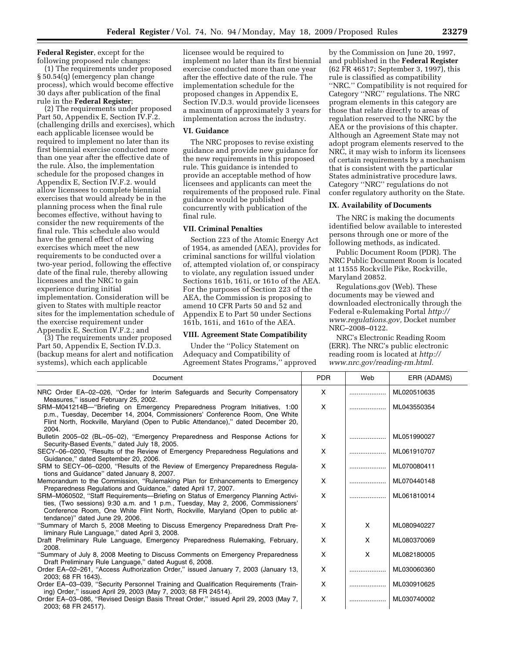**Federal Register**, except for the following proposed rule changes:

(1) The requirements under proposed § 50.54(q) (emergency plan change process), which would become effective 30 days after publication of the final rule in the **Federal Register**;

(2) The requirements under proposed Part 50, Appendix E, Section IV.F.2. (challenging drills and exercises), which each applicable licensee would be required to implement no later than its first biennial exercise conducted more than one year after the effective date of the rule. Also, the implementation schedule for the proposed changes in Appendix E, Section IV.F.2. would allow licensees to complete biennial exercises that would already be in the planning process when the final rule becomes effective, without having to consider the new requirements of the final rule. This schedule also would have the general effect of allowing exercises which meet the new requirements to be conducted over a two-year period, following the effective date of the final rule, thereby allowing licensees and the NRC to gain experience during initial implementation. Consideration will be given to States with multiple reactor sites for the implementation schedule of the exercise requirement under Appendix E, Section IV.F.2.; and

(3) The requirements under proposed Part 50, Appendix E, Section IV.D.3. (backup means for alert and notification systems), which each applicable

licensee would be required to implement no later than its first biennial exercise conducted more than one year after the effective date of the rule. The implementation schedule for the proposed changes in Appendix E, Section IV.D.3. would provide licensees a maximum of approximately 3 years for implementation across the industry.

# **VI. Guidance**

The NRC proposes to revise existing guidance and provide new guidance for the new requirements in this proposed rule. This guidance is intended to provide an acceptable method of how licensees and applicants can meet the requirements of the proposed rule. Final guidance would be published concurrently with publication of the final rule.

#### **VII. Criminal Penalties**

Section 223 of the Atomic Energy Act of 1954, as amended (AEA), provides for criminal sanctions for willful violation of, attempted violation of, or conspiracy to violate, any regulation issued under Sections 161b, 161i, or 161o of the AEA. For the purposes of Section 223 of the AEA, the Commission is proposing to amend 10 CFR Parts 50 and 52 and Appendix E to Part 50 under Sections 161b, 161i, and 161o of the AEA.

# **VIII. Agreement State Compatibility**

Under the ''Policy Statement on Adequacy and Compatibility of Agreement States Programs,'' approved by the Commission on June 20, 1997, and published in the **Federal Register**  (62 FR 46517; September 3, 1997), this rule is classified as compatibility ''NRC.'' Compatibility is not required for Category ''NRC'' regulations. The NRC program elements in this category are those that relate directly to areas of regulation reserved to the NRC by the AEA or the provisions of this chapter. Although an Agreement State may not adopt program elements reserved to the NRC, it may wish to inform its licensees of certain requirements by a mechanism that is consistent with the particular States administrative procedure laws. Category ''NRC'' regulations do not confer regulatory authority on the State.

# **IX. Availability of Documents**

The NRC is making the documents identified below available to interested persons through one or more of the following methods, as indicated.

Public Document Room (PDR). The NRC Public Document Room is located at 11555 Rockville Pike, Rockville, Maryland 20852.

Regulations.gov (Web). These documents may be viewed and downloaded electronically through the Federal e-Rulemaking Portal *http:// www.regulations.gov,* Docket number NRC–2008–0122.

NRC's Electronic Reading Room (ERR). The NRC's public electronic reading room is located at *http:// www.nrc.gov/reading-rm.html.* 

| Document                                                                                                                                                                                                                                                                                   | <b>PDR</b>   | Web | ERR (ADAMS) |
|--------------------------------------------------------------------------------------------------------------------------------------------------------------------------------------------------------------------------------------------------------------------------------------------|--------------|-----|-------------|
| NRC Order EA-02-026, "Order for Interim Safeguards and Security Compensatory<br>Measures," issued February 25, 2002.                                                                                                                                                                       | X            |     | ML020510635 |
| SRM-M041214B-"Briefing on Emergency Preparedness Program Initiatives, 1:00<br>p.m., Tuesday, December 14, 2004, Commissioners' Conference Room, One White<br>Flint North, Rockville, Maryland (Open to Public Attendance)," dated December 20,<br>2004.                                    | X            |     | ML043550354 |
| Bulletin 2005–02 (BL–05–02), "Emergency Preparedness and Response Actions for<br>Security-Based Events," dated July 18, 2005.                                                                                                                                                              | X            |     | ML051990027 |
| SECY-06-0200, "Results of the Review of Emergency Preparedness Regulations and<br>Guidance," dated September 20, 2006.                                                                                                                                                                     | X            |     | ML061910707 |
| SRM to SECY-06-0200, "Results of the Review of Emergency Preparedness Regula-<br>tions and Guidance" dated January 8, 2007.                                                                                                                                                                | X            |     | ML070080411 |
| Memorandum to the Commission, "Rulemaking Plan for Enhancements to Emergency<br>Preparedness Regulations and Guidance," dated April 17, 2007.                                                                                                                                              | X            |     | ML070440148 |
| SRM-M060502, "Staff Requirements-Briefing on Status of Emergency Planning Activi-<br>ties, (Two sessions) 9:30 a.m. and 1 p.m., Tuesday, May 2, 2006, Commissioners'<br>Conference Room, One White Flint North, Rockville, Maryland (Open to public at-<br>tendance)" dated June 29, 2006. | $\mathsf{x}$ |     | ML061810014 |
| "Summary of March 5, 2008 Meeting to Discuss Emergency Preparedness Draft Pre-<br>liminary Rule Language," dated April 3, 2008.                                                                                                                                                            | X            | X   | ML080940227 |
| Draft Preliminary Rule Language, Emergency Preparedness Rulemaking, February,<br>2008.                                                                                                                                                                                                     | X            | X   | ML080370069 |
| "Summary of July 8, 2008 Meeting to Discuss Comments on Emergency Preparedness<br>Draft Preliminary Rule Language," dated August 6, 2008.                                                                                                                                                  | X            | X   | ML082180005 |
| Order EA-02-261, "Access Authorization Order," issued January 7, 2003 (January 13,<br>2003: 68 FR 1643).                                                                                                                                                                                   | X            |     | ML030060360 |
| Order EA-03-039, "Security Personnel Training and Qualification Requirements (Train-<br>ing) Order," issued April 29, 2003 (May 7, 2003; 68 FR 24514).                                                                                                                                     | X            |     | ML030910625 |
| Order EA-03-086, "Revised Design Basis Threat Order," issued April 29, 2003 (May 7,<br>2003; 68 FR 24517).                                                                                                                                                                                 | X            |     | ML030740002 |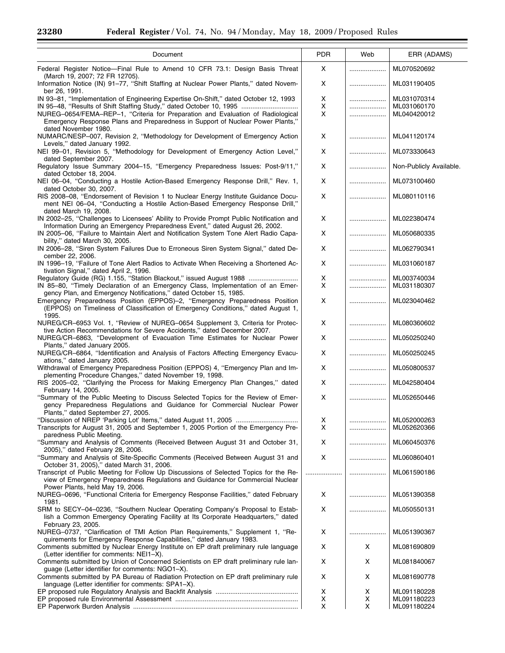۳

| Document                                                                                                                                                                                      | <b>PDR</b>          | Web    | ERR (ADAMS)                |
|-----------------------------------------------------------------------------------------------------------------------------------------------------------------------------------------------|---------------------|--------|----------------------------|
| Federal Register Notice-Final Rule to Amend 10 CFR 73.1: Design Basis Threat                                                                                                                  | x                   |        | ML070520692                |
| (March 19, 2007; 72 FR 12705).<br>Information Notice (IN) 91-77, "Shift Staffing at Nuclear Power Plants," dated Novem-<br>ber 26, 1991.                                                      | Χ                   | .      | ML031190405                |
| IN 93-81, "Implementation of Engineering Expertise On-Shift," dated October 12, 1993                                                                                                          | Χ                   |        | ML031070314                |
| IN 95-48, "Results of Shift Staffing Study," dated October 10, 1995<br>NUREG-0654/FEMA-REP-1, "Criteria for Preparation and Evaluation of Radiological                                        | X<br>X              | .      | ML031060170<br>ML040420012 |
| Emergency Response Plans and Preparedness in Support of Nuclear Power Plants,"<br>dated November 1980.                                                                                        |                     |        |                            |
| NUMARC/NESP-007, Revision 2, "Methodology for Development of Emergency Action<br>Levels," dated January 1992.                                                                                 | Χ                   |        | ML041120174                |
| NEI 99-01, Revision 5, "Methodology for Development of Emergency Action Level,"<br>dated September 2007.                                                                                      | X                   | .      | ML073330643                |
| Regulatory Issue Summary 2004-15, "Emergency Preparedness Issues: Post-9/11,"<br>dated October 18, 2004.                                                                                      | X                   |        | Non-Publicly Available.    |
| NEI 06-04, "Conducting a Hostile Action-Based Emergency Response Drill," Rev. 1,<br>dated October 30, 2007.                                                                                   | X                   |        | ML073100460                |
| RIS 2008-08, "Endorsement of Revision 1 to Nuclear Energy Institute Guidance Docu-<br>ment NEI 06-04, "Conducting a Hostile Action-Based Emergency Response Drill,"                           | X                   |        | ML080110116                |
| dated March 19, 2008.                                                                                                                                                                         |                     |        |                            |
| IN 2002-25, "Challenges to Licensees' Ability to Provide Prompt Public Notification and<br>Information During an Emergency Preparedness Event," dated August 26, 2002.                        | x                   |        | ML022380474                |
| IN 2005-06, "Failure to Maintain Alert and Notification System Tone Alert Radio Capa-<br>bility," dated March 30, 2005.                                                                       | X                   |        | ML050680335                |
| IN 2006-28, "Siren System Failures Due to Erroneous Siren System Signal," dated De-<br>cember 22, 2006.                                                                                       | x                   |        | ML062790341                |
| IN 1996-19, "Failure of Tone Alert Radios to Activate When Receiving a Shortened Ac-<br>tivation Signal," dated April 2, 1996.                                                                | X                   |        | ML031060187                |
| Regulatory Guide (RG) 1.155, "Station Blackout," issued August 1988                                                                                                                           | X                   | .      | ML003740034                |
| IN 85-80, "Timely Declaration of an Emergency Class, Implementation of an Emer-<br>gency Plan, and Emergency Notifications," dated October 15, 1985.                                          | X                   |        | ML031180307                |
| Emergency Preparedness Position (EPPOS)-2, "Emergency Preparedness Position<br>(EPPOS) on Timeliness of Classification of Emergency Conditions," dated August 1,<br>1995.                     | X                   |        | ML023040462                |
| NUREG/CR-6953 Vol. 1, "Review of NUREG-0654 Supplement 3, Criteria for Protec-<br>tive Action Recommendations for Severe Accidents," dated December 2007.                                     | X                   |        | ML080360602                |
| NUREG/CR-6863, "Development of Evacuation Time Estimates for Nuclear Power<br>Plants," dated January 2005.                                                                                    | X                   |        | ML050250240                |
| NUREG/CR-6864, "Identification and Analysis of Factors Affecting Emergency Evacu-<br>ations," dated January 2005.                                                                             | X                   | .      | ML050250245                |
| Withdrawal of Emergency Preparedness Position (EPPOS) 4, "Emergency Plan and Im-<br>plementing Procedure Changes," dated November 19, 1998.                                                   | X                   |        | ML050800537                |
| RIS 2005-02, "Clarifying the Process for Making Emergency Plan Changes," dated                                                                                                                | Χ                   | .      | ML042580404                |
| February 14, 2005.<br>"Summary of the Public Meeting to Discuss Selected Topics for the Review of Emer-<br>gency Preparedness Regulations and Guidance for Commercial Nuclear Power           | X                   | .      | ML052650446                |
| Plants," dated September 27, 2005.                                                                                                                                                            |                     |        |                            |
| Transcripts for August 31, 2005 and September 1, 2005 Portion of the Emergency Pre-                                                                                                           | $\pmb{\times}$<br>X | .<br>. | ML052000263<br>ML052620366 |
| paredness Public Meeting.<br>"Summary and Analysis of Comments (Received Between August 31 and October 31,                                                                                    | Χ                   |        | ML060450376                |
| 2005)," dated February 28, 2006.<br>"Summary and Analysis of Site-Specific Comments (Received Between August 31 and                                                                           | X                   | .      | ML060860401                |
| October 31, 2005)," dated March 31, 2006.                                                                                                                                                     |                     |        |                            |
| Transcript of Public Meeting for Follow Up Discussions of Selected Topics for the Re-<br>view of Emergency Preparedness Regulations and Guidance for Commercial Nuclear                       |                     | .      | ML061590186                |
| Power Plants, held May 19, 2006.<br>NUREG-0696, "Functional Criteria for Emergency Response Facilities," dated February                                                                       | X                   |        | ML051390358                |
| 1981.<br>SRM to SECY-04-0236, "Southern Nuclear Operating Company's Proposal to Estab-                                                                                                        | Χ                   |        | ML050550131                |
| lish a Common Emergency Operating Facility at Its Corporate Headquarters," dated<br>February 23, 2005.                                                                                        |                     |        |                            |
| NUREG-0737, "Clarification of TMI Action Plan Requirements," Supplement 1, "Re-<br>quirements for Emergency Response Capabilities," dated January 1983.                                       | X                   |        | ML051390367                |
| Comments submitted by Nuclear Energy Institute on EP draft preliminary rule language<br>(Letter identifier for comments: NEI1-X).                                                             | Χ                   | X      | ML081690809                |
| Comments submitted by Union of Concerned Scientists on EP draft preliminary rule lan-                                                                                                         | Χ                   | X      | ML081840067                |
| guage (Letter identifier for comments: NGO1-X).<br>Comments submitted by PA Bureau of Radiation Protection on EP draft preliminary rule<br>language (Letter identifier for comments: SPA1-X). | х                   | X      | ML081690778                |
|                                                                                                                                                                                               | X                   | X      | ML091180228                |
|                                                                                                                                                                                               | Χ<br>X              | X<br>X | ML091180223<br>ML091180224 |
|                                                                                                                                                                                               |                     |        |                            |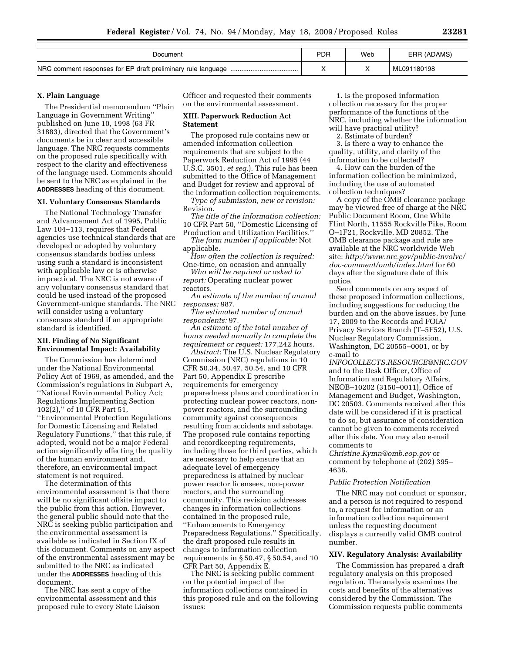| Document                                                         | PDR | Web | ERR (ADAMS) |
|------------------------------------------------------------------|-----|-----|-------------|
| NRC comment responses for EP draft preliminary rule language<br> |     |     | ML091180198 |

# **X. Plain Language**

The Presidential memorandum ''Plain Language in Government Writing'' published on June 10, 1998 (63 FR 31883), directed that the Government's documents be in clear and accessible language. The NRC requests comments on the proposed rule specifically with respect to the clarity and effectiveness of the language used. Comments should be sent to the NRC as explained in the **ADDRESSES** heading of this document.

#### **XI. Voluntary Consensus Standards**

The National Technology Transfer and Advancement Act of 1995, Public Law 104–113, requires that Federal agencies use technical standards that are developed or adopted by voluntary consensus standards bodies unless using such a standard is inconsistent with applicable law or is otherwise impractical. The NRC is not aware of any voluntary consensus standard that could be used instead of the proposed Government-unique standards. The NRC will consider using a voluntary consensus standard if an appropriate standard is identified.

# **XII. Finding of No Significant Environmental Impact: Availability**

The Commission has determined under the National Environmental Policy Act of 1969, as amended, and the Commission's regulations in Subpart A, ''National Environmental Policy Act; Regulations Implementing Section 102(2),'' of 10 CFR Part 51, ''Environmental Protection Regulations for Domestic Licensing and Related Regulatory Functions,'' that this rule, if adopted, would not be a major Federal action significantly affecting the quality of the human environment and, therefore, an environmental impact statement is not required.

The determination of this environmental assessment is that there will be no significant offsite impact to the public from this action. However, the general public should note that the NRC is seeking public participation and the environmental assessment is available as indicated in Section IX of this document. Comments on any aspect of the environmental assessment may be submitted to the NRC as indicated under the **ADDRESSES** heading of this document.

The NRC has sent a copy of the environmental assessment and this proposed rule to every State Liaison Officer and requested their comments on the environmental assessment.

# **XIII. Paperwork Reduction Act Statement**

The proposed rule contains new or amended information collection requirements that are subject to the Paperwork Reduction Act of 1995 (44 U.S.C. 3501, *et seq.*). This rule has been submitted to the Office of Management and Budget for review and approval of the information collection requirements.

*Type of submission, new or revision:*  Revision.

*The title of the information collection:*  10 CFR Part 50, ''Domestic Licensing of Production and Utilization Facilities.''

*The form number if applicable:* Not applicable.

*How often the collection is required:*  One-time, on occasion and annually

*Who will be required or asked to report:* Operating nuclear power reactors.

*An estimate of the number of annual responses:* 987.

*The estimated number of annual respondents:* 97.

*An estimate of the total number of hours needed annually to complete the requirement or request:* 177,242 hours.

*Abstract:* The U.S. Nuclear Regulatory Commission (NRC) regulations in 10 CFR 50.34, 50.47, 50.54, and 10 CFR Part 50, Appendix E prescribe requirements for emergency preparedness plans and coordination in protecting nuclear power reactors, nonpower reactors, and the surrounding community against consequences resulting from accidents and sabotage. The proposed rule contains reporting and recordkeeping requirements, including those for third parties, which are necessary to help ensure that an adequate level of emergency preparedness is attained by nuclear power reactor licensees, non-power reactors, and the surrounding community. This revision addresses changes in information collections contained in the proposed rule, ''Enhancements to Emergency Preparedness Regulations.'' Specifically, the draft proposed rule results in changes to information collection requirements in § 50.47, § 50.54, and 10 CFR Part 50, Appendix E.

The NRC is seeking public comment on the potential impact of the information collections contained in this proposed rule and on the following issues:

1. Is the proposed information collection necessary for the proper performance of the functions of the NRC, including whether the information will have practical utility?

2. Estimate of burden?

3. Is there a way to enhance the quality, utility, and clarity of the information to be collected?

4. How can the burden of the information collection be minimized, including the use of automated collection techniques?

A copy of the OMB clearance package may be viewed free of charge at the NRC Public Document Room, One White Flint North, 11555 Rockville Pike, Room O–1F21, Rockville, MD 20852. The OMB clearance package and rule are available at the NRC worldwide Web site: *http://www.nrc.gov/public-involve/ doc-comment/omb/index.html* for 60 days after the signature date of this notice.

Send comments on any aspect of these proposed information collections, including suggestions for reducing the burden and on the above issues, by June 17, 2009 to the Records and FOIA/ Privacy Services Branch (T–5F52), U.S. Nuclear Regulatory Commission, Washington, DC 20555–0001, or by e-mail to

*INFOCOLLECTS.RESOURCE@NRC.GOV*  and to the Desk Officer, Office of Information and Regulatory Affairs, NEOB–10202 (3150–0011), Office of Management and Budget, Washington, DC 20503. Comments received after this date will be considered if it is practical to do so, but assurance of consideration cannot be given to comments received after this date. You may also e-mail comments to

*Christine.Kymn@omb.eop.gov* or comment by telephone at (202) 395– 4638.

#### *Public Protection Notification*

The NRC may not conduct or sponsor, and a person is not required to respond to, a request for information or an information collection requirement unless the requesting document displays a currently valid OMB control number.

#### **XIV. Regulatory Analysis: Availability**

The Commission has prepared a draft regulatory analysis on this proposed regulation. The analysis examines the costs and benefits of the alternatives considered by the Commission. The Commission requests public comments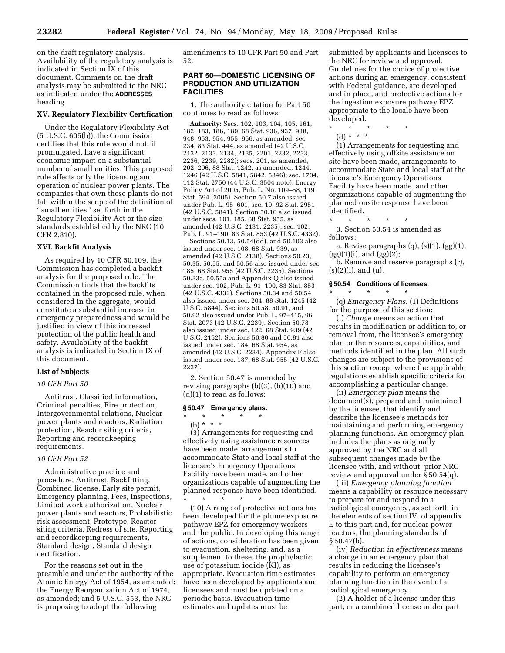on the draft regulatory analysis. Availability of the regulatory analysis is indicated in Section IX of this document. Comments on the draft analysis may be submitted to the NRC as indicated under the **ADDRESSES** heading.

#### **XV. Regulatory Flexibility Certification**

Under the Regulatory Flexibility Act (5 U.S.C. 605(b)), the Commission certifies that this rule would not, if promulgated, have a significant economic impact on a substantial number of small entities. This proposed rule affects only the licensing and operation of nuclear power plants. The companies that own these plants do not fall within the scope of the definition of ''small entities'' set forth in the Regulatory Flexibility Act or the size standards established by the NRC (10 CFR 2.810).

#### **XVI. Backfit Analysis**

As required by 10 CFR 50.109, the Commission has completed a backfit analysis for the proposed rule. The Commission finds that the backfits contained in the proposed rule, when considered in the aggregate, would constitute a substantial increase in emergency preparedness and would be justified in view of this increased protection of the public health and safety. Availability of the backfit analysis is indicated in Section IX of this document.

# **List of Subjects**

#### *10 CFR Part 50*

Antitrust, Classified information, Criminal penalties, Fire protection, Intergovernmental relations, Nuclear power plants and reactors, Radiation protection, Reactor siting criteria, Reporting and recordkeeping requirements.

#### *10 CFR Part 52*

Administrative practice and procedure, Antitrust, Backfitting, Combined license, Early site permit, Emergency planning, Fees, Inspections, Limited work authorization, Nuclear power plants and reactors, Probabilistic risk assessment, Prototype, Reactor siting criteria, Redress of site, Reporting and recordkeeping requirements, Standard design, Standard design certification.

For the reasons set out in the preamble and under the authority of the Atomic Energy Act of 1954, as amended; the Energy Reorganization Act of 1974, as amended; and 5 U.S.C. 553, the NRC is proposing to adopt the following

amendments to 10 CFR Part 50 and Part 52.

# **PART 50—DOMESTIC LICENSING OF PRODUCTION AND UTILIZATION FACILITIES**

1. The authority citation for Part 50 continues to read as follows:

**Authority:** Secs. 102, 103, 104, 105, 161, 182, 183, 186, 189, 68 Stat. 936, 937, 938, 948, 953, 954, 955, 956, as amended, sec. 234, 83 Stat. 444, as amended (42 U.S.C. 2132, 2133, 2134, 2135, 2201, 2232, 2233, 2236, 2239, 2282); secs. 201, as amended, 202, 206, 88 Stat. 1242, as amended, 1244, 1246 (42 U.S.C. 5841, 5842, 5846); sec. 1704, 112 Stat. 2750 (44 U.S.C. 3504 note); Energy Policy Act of 2005, Pub. L. No. 109–58, 119 Stat. 594 (2005). Section 50.7 also issued under Pub. L. 95–601, sec. 10, 92 Stat. 2951 (42 U.S.C. 5841). Section 50.10 also issued under secs. 101, 185, 68 Stat. 955, as amended (42 U.S.C. 2131, 2235); sec. 102, Pub. L. 91–190, 83 Stat. 853 (42 U.S.C. 4332).

Sections 50.13, 50.54(dd), and 50.103 also issued under sec. 108, 68 Stat. 939, as amended (42 U.S.C. 2138). Sections 50.23, 50.35, 50.55, and 50.56 also issued under sec. 185, 68 Stat. 955 (42 U.S.C. 2235). Sections 50.33a, 50.55a and Appendix Q also issued under sec. 102, Pub. L. 91–190, 83 Stat. 853 (42 U.S.C. 4332). Sections 50.34 and 50.54 also issued under sec. 204, 88 Stat. 1245 (42 U.S.C. 5844). Sections 50.58, 50.91, and 50.92 also issued under Pub. L. 97–415, 96 Stat. 2073 (42 U.S.C. 2239). Section 50.78 also issued under sec. 122, 68 Stat. 939 (42 U.S.C. 2152). Sections 50.80 and 50.81 also issued under sec. 184, 68 Stat. 954, as amended (42 U.S.C. 2234). Appendix F also issued under sec. 187, 68 Stat. 955 (42 U.S.C. 2237).

2. Section 50.47 is amended by revising paragraphs (b)(3), (b)(10) and (d)(1) to read as follows:

#### **§ 50.47 Emergency plans.**  \* \* \* \* \*

(b) \* \* \* (3) Arrangements for requesting and effectively using assistance resources have been made, arrangements to accommodate State and local staff at the licensee's Emergency Operations Facility have been made, and other organizations capable of augmenting the planned response have been identified. \* \* \* \* \*

(10) A range of protective actions has been developed for the plume exposure pathway EPZ for emergency workers and the public. In developing this range of actions, consideration has been given to evacuation, sheltering, and, as a supplement to these, the prophylactic use of potassium iodide (KI), as appropriate. Evacuation time estimates have been developed by applicants and licensees and must be updated on a periodic basis. Evacuation time estimates and updates must be

submitted by applicants and licensees to the NRC for review and approval. Guidelines for the choice of protective actions during an emergency, consistent with Federal guidance, are developed and in place, and protective actions for the ingestion exposure pathway EPZ appropriate to the locale have been developed.

\* \* \* \* \* (d) \* \* \*

(1) Arrangements for requesting and effectively using offsite assistance on site have been made, arrangements to accommodate State and local staff at the licensee's Emergency Operations Facility have been made, and other organizations capable of augmenting the planned onsite response have been identified.

\* \* \* \* \* 3. Section 50.54 is amended as follows:

a. Revise paragraphs  $(q)$ ,  $(s)(1)$ ,  $(gg)(1)$ , (gg)(1)(i), and (gg)(2);

b. Remove and reserve paragraphs (r), (s)(2)(i), and (u).

# **§ 50.54 Conditions of licenses.**

\* \* \* \* \*

(q) *Emergency Plans.* (1) Definitions for the purpose of this section:

(i) *Change* means an action that results in modification or addition to, or removal from, the licensee's emergency plan or the resources, capabilities, and methods identified in the plan. All such changes are subject to the provisions of this section except where the applicable regulations establish specific criteria for accomplishing a particular change.

(ii) *Emergency plan* means the document(s), prepared and maintained by the licensee, that identify and describe the licensee's methods for maintaining and performing emergency planning functions. An emergency plan includes the plans as originally approved by the NRC and all subsequent changes made by the licensee with, and without, prior NRC review and approval under  $\bar{\S}$  50.54(q).

(iii) *Emergency planning function*  means a capability or resource necessary to prepare for and respond to a radiological emergency, as set forth in the elements of section IV. of appendix E to this part and, for nuclear power reactors, the planning standards of  $§ 50.47(b).$ 

(iv) *Reduction in effectiveness* means a change in an emergency plan that results in reducing the licensee's capability to perform an emergency planning function in the event of a radiological emergency.

(2) A holder of a license under this part, or a combined license under part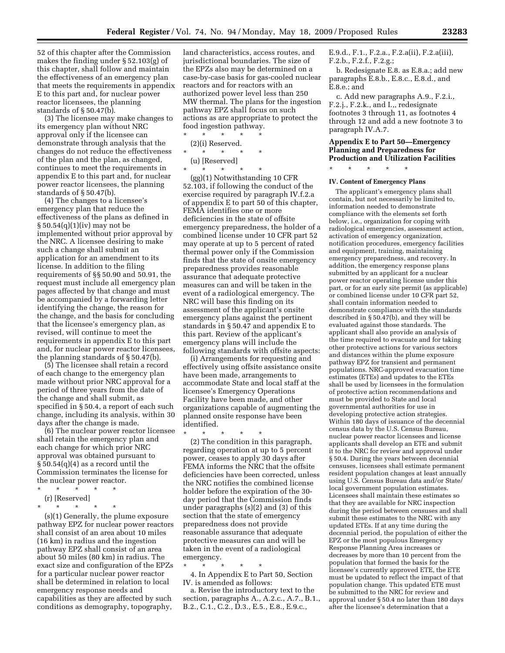52 of this chapter after the Commission makes the finding under § 52.103(g) of this chapter, shall follow and maintain the effectiveness of an emergency plan that meets the requirements in appendix E to this part and, for nuclear power reactor licensees, the planning standards of § 50.47(b).

(3) The licensee may make changes to its emergency plan without NRC approval only if the licensee can demonstrate through analysis that the changes do not reduce the effectiveness of the plan and the plan, as changed, continues to meet the requirements in appendix E to this part and, for nuclear power reactor licensees, the planning standards of § 50.47(b).

(4) The changes to a licensee's emergency plan that reduce the effectiveness of the plans as defined in § 50.54(q)(1)(iv) may not be implemented without prior approval by the NRC. A licensee desiring to make such a change shall submit an application for an amendment to its license. In addition to the filing requirements of §§ 50.90 and 50.91, the request must include all emergency plan pages affected by that change and must be accompanied by a forwarding letter identifying the change, the reason for the change, and the basis for concluding that the licensee's emergency plan, as revised, will continue to meet the requirements in appendix E to this part and, for nuclear power reactor licensees, the planning standards of § 50.47(b).

(5) The licensee shall retain a record of each change to the emergency plan made without prior NRC approval for a period of three years from the date of the change and shall submit, as specified in § 50.4, a report of each such change, including its analysis, within 30 days after the change is made.

(6) The nuclear power reactor licensee shall retain the emergency plan and each change for which prior NRC approval was obtained pursuant to  $\S 50.54(q)(4)$  as a record until the Commission terminates the license for the nuclear power reactor.

- \* \* \* \* \*
- (r) [Reserved]
- \* \* \* \* \*

(s)(1) Generally, the plume exposure pathway EPZ for nuclear power reactors shall consist of an area about 10 miles (16 km) in radius and the ingestion pathway EPZ shall consist of an area about 50 miles (80 km) in radius. The exact size and configuration of the EPZs for a particular nuclear power reactor shall be determined in relation to local emergency response needs and capabilities as they are affected by such conditions as demography, topography,

land characteristics, access routes, and jurisdictional boundaries. The size of the EPZs also may be determined on a case-by-case basis for gas-cooled nuclear reactors and for reactors with an authorized power level less than 250 MW thermal. The plans for the ingestion pathway EPZ shall focus on such actions as are appropriate to protect the food ingestion pathway.

\* \* \* \* \*

\* \* \* \* \*

(u) [Reserved]

(gg)(1) Notwithstanding 10 CFR 52.103, if following the conduct of the exercise required by paragraph IV.f.2.a of appendix E to part 50 of this chapter, FEMA identifies one or more deficiencies in the state of offsite emergency preparedness, the holder of a combined license under 10 CFR part 52 may operate at up to 5 percent of rated thermal power only if the Commission finds that the state of onsite emergency preparedness provides reasonable assurance that adequate protective measures can and will be taken in the event of a radiological emergency. The NRC will base this finding on its assessment of the applicant's onsite emergency plans against the pertinent standards in § 50.47 and appendix E to this part. Review of the applicant's emergency plans will include the following standards with offsite aspects:

(i) Arrangements for requesting and effectively using offsite assistance onsite have been made, arrangements to accommodate State and local staff at the licensee's Emergency Operations Facility have been made, and other organizations capable of augmenting the planned onsite response have been identified.

\* \* \* \* \* (2) The condition in this paragraph, regarding operation at up to 5 percent power, ceases to apply 30 days after FEMA informs the NRC that the offsite deficiencies have been corrected, unless the NRC notifies the combined license holder before the expiration of the 30 day period that the Commission finds under paragraphs (s)(2) and (3) of this section that the state of emergency preparedness does not provide reasonable assurance that adequate protective measures can and will be taken in the event of a radiological emergency.

\* \* \* \* \* 4. In Appendix E to Part 50, Section IV. is amended as follows:

a. Revise the introductory text to the section, paragraphs A., A.2.c., A.7., B.1., B.2., C.1., C.2., D.3., E.5., E.8., E.9.c.,

E.9.d., F.1., F.2.a., F.2.a(ii), F.2.a(iii), F.2.b., F.2.f., F.2.g.;

b. Redesignate E.8. as E.8.a.; add new paragraphs E.8.b., E.8.c., E.8.d., and E.8.e.; and

c. Add new paragraphs A.9., F.2.i., F.2.j., F.2.k., and I.,, redesignate footnotes 3 through 11, as footnotes 4 through 12 and add a new footnote 3 to paragraph IV.A.7.

# **Appendix E to Part 50—Emergency Planning and Preparedness for Production and Utilization Facilities**

\* \* \* \* \*

#### **IV. Content of Emergency Plans**

The applicant's emergency plans shall contain, but not necessarily be limited to, information needed to demonstrate compliance with the elements set forth below, i.e., organization for coping with radiological emergencies, assessment action, activation of emergency organization, notification procedures, emergency facilities and equipment, training, maintaining emergency preparedness, and recovery. In addition, the emergency response plans submitted by an applicant for a nuclear power reactor operating license under this part, or for an early site permit (as applicable) or combined license under 10 CFR part 52, shall contain information needed to demonstrate compliance with the standards described in § 50.47(b), and they will be evaluated against those standards. The applicant shall also provide an analysis of the time required to evacuate and for taking other protective actions for various sectors and distances within the plume exposure pathway EPZ for transient and permanent populations. NRC-approved evacuation time estimates (ETEs) and updates to the ETEs shall be used by licensees in the formulation of protective action recommendations and must be provided to State and local governmental authorities for use in developing protective action strategies. Within 180 days of issuance of the decennial census data by the U.S. Census Bureau, nuclear power reactor licensees and license applicants shall develop an ETE and submit it to the NRC for review and approval under § 50.4. During the years between decennial censuses, licensees shall estimate permanent resident population changes at least annually using U.S. Census Bureau data and/or State/ local government population estimates. Licensees shall maintain these estimates so that they are available for NRC inspection during the period between censuses and shall submit these estimates to the NRC with any updated ETEs. If at any time during the decennial period, the population of either the EPZ or the most populous Emergency Response Planning Area increases or decreases by more than 10 percent from the population that formed the basis for the licensee's currently approved ETE, the ETE must be updated to reflect the impact of that population change. This updated ETE must be submitted to the NRC for review and approval under § 50.4 no later than 180 days after the licensee's determination that a

(2)(i) Reserved.

 $\star$   $\star$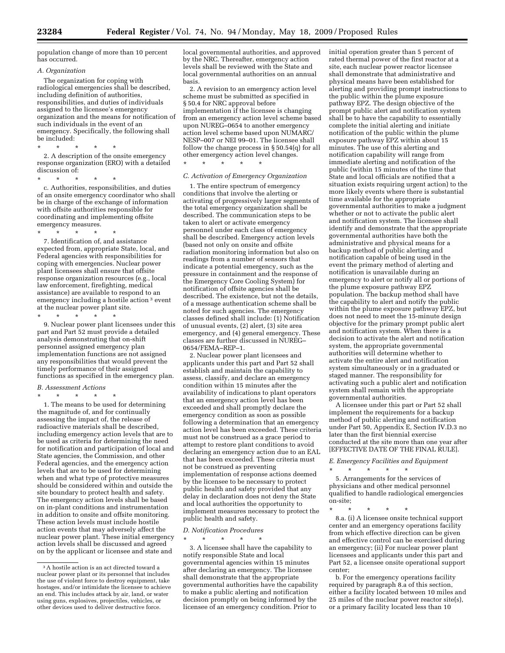population change of more than 10 percent has occurred.

#### *A. Organization*

The organization for coping with radiological emergencies shall be described, including definition of authorities, responsibilities, and duties of individuals assigned to the licensee's emergency organization and the means for notification of such individuals in the event of an emergency. Specifically, the following shall be included:

\* \* \* \* \*

2. A description of the onsite emergency response organization (ERO) with a detailed discussion of:

\* \* \* \* \* c. Authorities, responsibilities, and duties of an onsite emergency coordinator who shall be in charge of the exchange of information with offsite authorities responsible for coordinating and implementing offsite emergency measures.

\* \* \* \* \* 7. Identification of, and assistance expected from, appropriate State, local, and Federal agencies with responsibilities for coping with emergencies. Nuclear power plant licensees shall ensure that offsite response organization resources (e.g., local law enforcement, firefighting, medical assistance) are available to respond to an emergency including a hostile action 3 event at the nuclear power plant site.

\* \* \* \* \* 9. Nuclear power plant licensees under this part and Part 52 must provide a detailed analysis demonstrating that on-shift personnel assigned emergency plan

implementation functions are not assigned any responsibilities that would prevent the timely performance of their assigned functions as specified in the emergency plan.

#### *B. Assessment Actions*  \* \* \* \* \*

1. The means to be used for determining the magnitude of, and for continually assessing the impact of, the release of radioactive materials shall be described, including emergency action levels that are to be used as criteria for determining the need for notification and participation of local and State agencies, the Commission, and other Federal agencies, and the emergency action levels that are to be used for determining when and what type of protective measures should be considered within and outside the site boundary to protect health and safety. The emergency action levels shall be based on in-plant conditions and instrumentation in addition to onsite and offsite monitoring. These action levels must include hostile action events that may adversely affect the nuclear power plant. These initial emergency action levels shall be discussed and agreed on by the applicant or licensee and state and

local governmental authorities, and approved by the NRC. Thereafter, emergency action levels shall be reviewed with the State and local governmental authorities on an annual basis.

2. A revision to an emergency action level scheme must be submitted as specified in § 50.4 for NRC approval before implementation if the licensee is changing from an emergency action level scheme based upon NUREG–0654 to another emergency action level scheme based upon NUMARC/ NESP–007 or NEI 99–01. The licensee shall follow the change process in  $\S 50.54(q)$  for all other emergency action level changes. \* \* \* \* \*

# *C. Activation of Emergency Organization*

1. The entire spectrum of emergency conditions that involve the alerting or activating of progressively larger segments of the total emergency organization shall be described. The communication steps to be taken to alert or activate emergency personnel under each class of emergency shall be described. Emergency action levels (based not only on onsite and offsite radiation monitoring information but also on readings from a number of sensors that indicate a potential emergency, such as the pressure in containment and the response of the Emergency Core Cooling System) for notification of offsite agencies shall be described. The existence, but not the details, of a message authentication scheme shall be noted for such agencies. The emergency classes defined shall include: (1) Notification of unusual events, (2) alert, (3) site area emergency, and (4) general emergency. These classes are further discussed in NUREG– 0654/FEMA–REP–1.

2. Nuclear power plant licensees and applicants under this part and Part 52 shall establish and maintain the capability to assess, classify, and declare an emergency condition within 15 minutes after the availability of indications to plant operators that an emergency action level has been exceeded and shall promptly declare the emergency condition as soon as possible following a determination that an emergency action level has been exceeded. These criteria must not be construed as a grace period to attempt to restore plant conditions to avoid declaring an emergency action due to an EAL that has been exceeded. These criteria must not be construed as preventing implementation of response actions deemed by the licensee to be necessary to protect public health and safety provided that any delay in declaration does not deny the State and local authorities the opportunity to implement measures necessary to protect the public health and safety.

*D. Notification Procedures* 

\* \* \* \* \*

3. A licensee shall have the capability to notify responsible State and local governmental agencies within 15 minutes after declaring an emergency. The licensee shall demonstrate that the appropriate governmental authorities have the capability to make a public alerting and notification decision promptly on being informed by the licensee of an emergency condition. Prior to

initial operation greater than 5 percent of rated thermal power of the first reactor at a site, each nuclear power reactor licensee shall demonstrate that administrative and physical means have been established for alerting and providing prompt instructions to the public within the plume exposure pathway EPZ. The design objective of the prompt public alert and notification system shall be to have the capability to essentially complete the initial alerting and initiate notification of the public within the plume exposure pathway EPZ within about 15 minutes. The use of this alerting and notification capability will range from immediate alerting and notification of the public (within 15 minutes of the time that State and local officials are notified that a situation exists requiring urgent action) to the more likely events where there is substantial time available for the appropriate governmental authorities to make a judgment whether or not to activate the public alert and notification system. The licensee shall identify and demonstrate that the appropriate governmental authorities have both the administrative and physical means for a backup method of public alerting and notification capable of being used in the event the primary method of alerting and notification is unavailable during an emergency to alert or notify all or portions of the plume exposure pathway EPZ population. The backup method shall have the capability to alert and notify the public within the plume exposure pathway EPZ, but does not need to meet the 15-minute design objective for the primary prompt public alert and notification system. When there is a decision to activate the alert and notification system, the appropriate governmental authorities will determine whether to activate the entire alert and notification system simultaneously or in a graduated or staged manner. The responsibility for activating such a public alert and notification system shall remain with the appropriate governmental authorities.

A licensee under this part or Part 52 shall implement the requirements for a backup method of public alerting and notification under Part 50, Appendix E, Section IV.D.3 no later than the first biennial exercise conducted at the site more than one year after [EFFECTIVE DATE OF THE FINAL RULE].

# *E. Emergency Facilities and Equipment*

\* \* \* \* \* 5. Arrangements for the services of physicians and other medical personnel qualified to handle radiological emergencies on-site;

\* \* \* \* \*

8.a. (i) A licensee onsite technical support center and an emergency operations facility from which effective direction can be given and effective control can be exercised during an emergency; (ii) For nuclear power plant licensees and applicants under this part and Part 52, a licensee onsite operational support center;

b. For the emergency operations facility required by paragraph 8.a of this section, either a facility located between 10 miles and 25 miles of the nuclear power reactor site(s), or a primary facility located less than 10

<sup>3</sup>A hostile action is an act directed toward a nuclear power plant or its personnel that includes the use of violent force to destroy equipment, take hostages, and/or intimidate the licensee to achieve an end. This includes attack by air, land, or water using guns, explosives, projectiles, vehicles, or other devices used to deliver destructive force.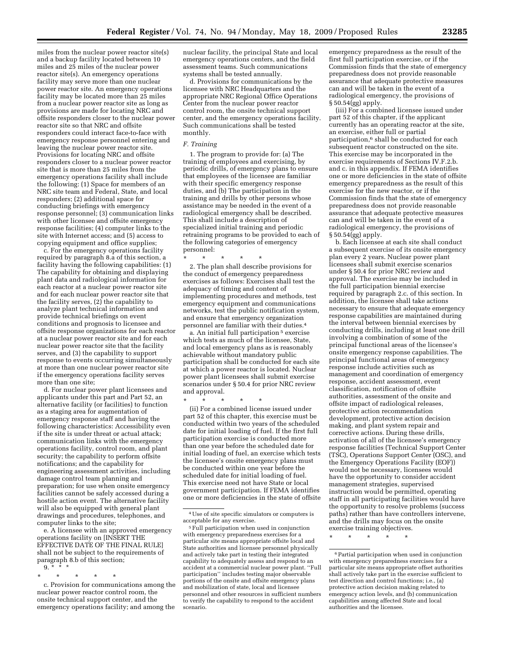miles from the nuclear power reactor site(s) and a backup facility located between 10 miles and 25 miles of the nuclear power reactor site(s). An emergency operations facility may serve more than one nuclear power reactor site. An emergency operations facility may be located more than 25 miles from a nuclear power reactor site as long as provisions are made for locating NRC and offsite responders closer to the nuclear power reactor site so that NRC and offsite responders could interact face-to-face with emergency response personnel entering and leaving the nuclear power reactor site. Provisions for locating NRC and offsite responders closer to a nuclear power reactor site that is more than 25 miles from the emergency operations facility shall include the following: (1) Space for members of an NRC site team and Federal, State, and local responders; (2) additional space for conducting briefings with emergency response personnel; (3) communication links with other licensee and offsite emergency response facilities; (4) computer links to the site with Internet access; and (5) access to copying equipment and office supplies;

c. For the emergency operations facility required by paragraph 8.a of this section, a facility having the following capabilities: (1) The capability for obtaining and displaying plant data and radiological information for each reactor at a nuclear power reactor site and for each nuclear power reactor site that the facility serves, (2) the capability to analyze plant technical information and provide technical briefings on event conditions and prognosis to licensee and offsite response organizations for each reactor at a nuclear power reactor site and for each nuclear power reactor site that the facility serves, and (3) the capability to support response to events occurring simultaneously at more than one nuclear power reactor site if the emergency operations facility serves more than one site;

d. For nuclear power plant licensees and applicants under this part and Part 52, an alternative facility (or facilities) to function as a staging area for augmentation of emergency response staff and having the following characteristics: Accessibility even if the site is under threat or actual attack; communication links with the emergency operations facility, control room, and plant security; the capability to perform offsite notifications; and the capability for engineering assessment activities, including damage control team planning and preparation; for use when onsite emergency facilities cannot be safely accessed during a hostile action event. The alternative facility will also be equipped with general plant drawings and procedures, telephones, and computer links to the site;

e. A licensee with an approved emergency operations facility on [INSERT THE EFFECTIVE DATE OF THE FINAL RULE] shall not be subject to the requirements of paragraph 8.b of this section;

- $\mathbf{q}$
- \* \* \* \* \*

c. Provision for communications among the nuclear power reactor control room, the onsite technical support center, and the emergency operations facility; and among the nuclear facility, the principal State and local emergency operations centers, and the field assessment teams. Such communications systems shall be tested annually.

d. Provisions for communications by the licensee with NRC Headquarters and the appropriate NRC Regional Office Operations Center from the nuclear power reactor control room, the onsite technical support center, and the emergency operations facility. Such communications shall be tested monthly.

#### *F. Training*

1. The program to provide for: (a) The training of employees and exercising, by periodic drills, of emergency plans to ensure that employees of the licensee are familiar with their specific emergency response duties, and (b) The participation in the training and drills by other persons whose assistance may be needed in the event of a radiological emergency shall be described. This shall include a description of specialized initial training and periodic retraining programs to be provided to each of the following categories of emergency personnel:

\* \* \* \* \*

2. The plan shall describe provisions for the conduct of emergency preparedness exercises as follows: Exercises shall test the adequacy of timing and content of implementing procedures and methods, test emergency equipment and communications networks, test the public notification system, and ensure that emergency organization personnel are familiar with their duties.4

a. An initial full participation 5 exercise which tests as much of the licensee, State, and local emergency plans as is reasonably achievable without mandatory public participation shall be conducted for each site at which a power reactor is located. Nuclear power plant licensees shall submit exercise scenarios under § 50.4 for prior NRC review and approval.

\* \* \* \* \*

(ii) For a combined license issued under part 52 of this chapter, this exercise must be conducted within two years of the scheduled date for initial loading of fuel. If the first full participation exercise is conducted more than one year before the scheduled date for initial loading of fuel, an exercise which tests the licensee's onsite emergency plans must be conducted within one year before the scheduled date for initial loading of fuel. This exercise need not have State or local government participation. If FEMA identifies one or more deficiencies in the state of offsite emergency preparedness as the result of the first full participation exercise, or if the Commission finds that the state of emergency preparedness does not provide reasonable assurance that adequate protective measures can and will be taken in the event of a radiological emergency, the provisions of § 50.54(gg) apply.

(iii) For a combined licensee issued under part 52 of this chapter, if the applicant currently has an operating reactor at the site, an exercise, either full or partial participation,6 shall be conducted for each subsequent reactor constructed on the site. This exercise may be incorporated in the exercise requirements of Sections IV.F.2.b. and c. in this appendix. If FEMA identifies one or more deficiencies in the state of offsite emergency preparedness as the result of this exercise for the new reactor, or if the Commission finds that the state of emergency preparedness does not provide reasonable assurance that adequate protective measures can and will be taken in the event of a radiological emergency, the provisions of  $§ 50.54(gg)$  apply.

b. Each licensee at each site shall conduct a subsequent exercise of its onsite emergency plan every 2 years. Nuclear power plant licensees shall submit exercise scenarios under § 50.4 for prior NRC review and approval. The exercise may be included in the full participation biennial exercise required by paragraph 2.c. of this section. In addition, the licensee shall take actions necessary to ensure that adequate emergency response capabilities are maintained during the interval between biennial exercises by conducting drills, including at least one drill involving a combination of some of the principal functional areas of the licensee's onsite emergency response capabilities. The principal functional areas of emergency response include activities such as management and coordination of emergency response, accident assessment, event classification, notification of offsite authorities, assessment of the onsite and offsite impact of radiological releases, protective action recommendation development, protective action decision making, and plant system repair and corrective actions. During these drills, activation of all of the licensee's emergency response facilities (Technical Support Center (TSC), Operations Support Center (OSC), and the Emergency Operations Facility (EOF)) would not be necessary, licensees would have the opportunity to consider accident management strategies, supervised instruction would be permitted, operating staff in all participating facilities would have the opportunity to resolve problems (success paths) rather than have controllers intervene, and the drills may focus on the onsite exercise training objectives.

\* \* \* \* \*

<sup>4</sup>Use of site specific simulators or computers is acceptable for any exercise.

<sup>5</sup>Full participation when used in conjunction with emergency preparedness exercises for a particular site means appropriate offsite local and State authorities and licensee personnel physically and actively take part in testing their integrated capability to adequately assess and respond to an accident at a commercial nuclear power plant. ''Full participation'' includes testing major observable portions of the onsite and offsite emergency plans and mobilization of state, local and licensee personnel and other resources in sufficient numbers to verify the capability to respond to the accident scenario.

<sup>6</sup>Partial participation when used in conjunction with emergency preparedness exercises for a particular site means appropriate offset authorities shall actively take part in the exercise sufficient to test direction and control functions; i.e., (a) protective action decision making related to emergency action levels, and (b) communication capabilities among affected State and local authorities and the licensee.